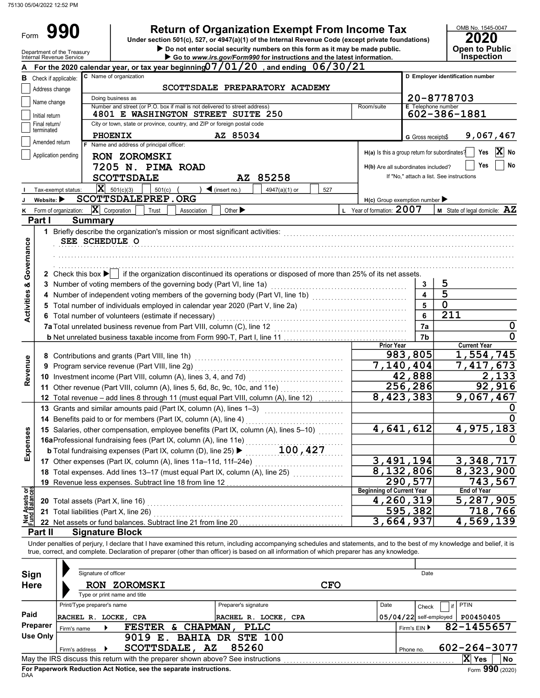Form

| <b>Return of Organization Exempt From Income Tax</b> |  |  |  |
|------------------------------------------------------|--|--|--|
|                                                      |  |  |  |

 $\blacktriangleright$  Do not enter social security numbers on this form as it may be made public. **990** Return of Organization Exempt From Income Tax Under Section 501(c), 527, or 4947(a)(1) of the Internal Revenue Code (except private foundations) 2020

OMB No. 1545-0047 Open to Public<br>Inspection

|                                | $\blacktriangleright$ Do not enter social security numbers on this form as it may be made public.<br>Department of the Treasury<br>Internal Revenue Service<br>Go to www.irs.gov/Form990 for instructions and the latest information. |                                                                                                                                                              |                            |                                          |                                                                            |                                                                                                   |                                                                                                                                                                           |           |                                     |                           | <b>Open to Public</b><br>Inspection                                                                                                                                        |
|--------------------------------|---------------------------------------------------------------------------------------------------------------------------------------------------------------------------------------------------------------------------------------|--------------------------------------------------------------------------------------------------------------------------------------------------------------|----------------------------|------------------------------------------|----------------------------------------------------------------------------|---------------------------------------------------------------------------------------------------|---------------------------------------------------------------------------------------------------------------------------------------------------------------------------|-----------|-------------------------------------|---------------------------|----------------------------------------------------------------------------------------------------------------------------------------------------------------------------|
|                                |                                                                                                                                                                                                                                       |                                                                                                                                                              |                            |                                          |                                                                            |                                                                                                   | For the 2020 calendar year, or tax year beginning 07/01/20, and ending 06/30/21                                                                                           |           |                                     |                           |                                                                                                                                                                            |
|                                | <b>B</b> Check if applicable:                                                                                                                                                                                                         |                                                                                                                                                              |                            | C Name of organization                   |                                                                            |                                                                                                   |                                                                                                                                                                           |           |                                     |                           | D Employer identification number                                                                                                                                           |
|                                | Address change                                                                                                                                                                                                                        |                                                                                                                                                              |                            |                                          |                                                                            |                                                                                                   | SCOTTSDALE PREPARATORY ACADEMY                                                                                                                                            |           |                                     |                           |                                                                                                                                                                            |
|                                | Name change                                                                                                                                                                                                                           |                                                                                                                                                              |                            | Doing business as                        |                                                                            |                                                                                                   |                                                                                                                                                                           |           |                                     |                           | 20-8778703                                                                                                                                                                 |
|                                |                                                                                                                                                                                                                                       |                                                                                                                                                              |                            |                                          | Number and street (or P.O. box if mail is not delivered to street address) |                                                                                                   |                                                                                                                                                                           |           | Room/suite                          | <b>E</b> Telephone number |                                                                                                                                                                            |
|                                | Initial return                                                                                                                                                                                                                        |                                                                                                                                                              |                            |                                          |                                                                            | 4801 E WASHINGTON STREET SUITE 250                                                                |                                                                                                                                                                           |           |                                     |                           | 602-386-1881                                                                                                                                                               |
|                                | Final return/<br>terminated                                                                                                                                                                                                           |                                                                                                                                                              |                            |                                          | City or town, state or province, country, and ZIP or foreign postal code   |                                                                                                   |                                                                                                                                                                           |           |                                     |                           |                                                                                                                                                                            |
|                                | Amended return                                                                                                                                                                                                                        |                                                                                                                                                              |                            | <b>PHOENIX</b>                           |                                                                            | AZ 85034                                                                                          |                                                                                                                                                                           |           |                                     | G Gross receipts\$        | 9,067,467                                                                                                                                                                  |
|                                |                                                                                                                                                                                                                                       |                                                                                                                                                              |                            | F Name and address of principal officer: |                                                                            |                                                                                                   |                                                                                                                                                                           |           |                                     |                           | X No<br>H(a) Is this a group return for subordinates?<br>Yes                                                                                                               |
|                                |                                                                                                                                                                                                                                       | Application pending                                                                                                                                          |                            | <b>RON ZOROMSKI</b>                      |                                                                            |                                                                                                   |                                                                                                                                                                           |           |                                     |                           | Yes                                                                                                                                                                        |
|                                |                                                                                                                                                                                                                                       |                                                                                                                                                              |                            |                                          | 7205 N. PIMA ROAD                                                          |                                                                                                   |                                                                                                                                                                           |           | H(b) Are all subordinates included? |                           | No                                                                                                                                                                         |
|                                |                                                                                                                                                                                                                                       |                                                                                                                                                              |                            | <b>SCOTTSDALE</b>                        |                                                                            | AZ 85258                                                                                          |                                                                                                                                                                           |           |                                     |                           | If "No," attach a list. See instructions                                                                                                                                   |
|                                |                                                                                                                                                                                                                                       | Tax-exempt status:                                                                                                                                           |                            | $\mathbf{X}$ 501(c)(3)                   | 501(c)                                                                     | $\blacktriangleleft$ (insert no.)                                                                 | 4947(a)(1) or<br>527                                                                                                                                                      |           |                                     |                           |                                                                                                                                                                            |
|                                | Website: $\blacktriangleright$                                                                                                                                                                                                        |                                                                                                                                                              |                            | SCOTTSDALEPREP.ORG                       |                                                                            |                                                                                                   |                                                                                                                                                                           |           | $H(c)$ Group exemption number       |                           |                                                                                                                                                                            |
| κ                              |                                                                                                                                                                                                                                       | Form of organization:                                                                                                                                        |                            | $ \mathbf{X} $ Corporation<br>Trust      | Association                                                                | Other $\blacktriangleright$                                                                       |                                                                                                                                                                           |           | L Year of formation: 2007           |                           | <b>M</b> State of legal domicile: $\mathbf{AZ}$                                                                                                                            |
|                                | Part I                                                                                                                                                                                                                                |                                                                                                                                                              | <b>Summary</b>             |                                          |                                                                            |                                                                                                   |                                                                                                                                                                           |           |                                     |                           |                                                                                                                                                                            |
|                                |                                                                                                                                                                                                                                       |                                                                                                                                                              |                            |                                          |                                                                            |                                                                                                   |                                                                                                                                                                           |           |                                     |                           | 1 Briefly describe the organization's mission or most significant activities: www.communities.com/www.communities.com/www.communities.com                                  |
| Governance                     |                                                                                                                                                                                                                                       |                                                                                                                                                              |                            | SEE SCHEDULE O                           |                                                                            |                                                                                                   |                                                                                                                                                                           |           |                                     |                           |                                                                                                                                                                            |
|                                |                                                                                                                                                                                                                                       |                                                                                                                                                              |                            |                                          |                                                                            |                                                                                                   |                                                                                                                                                                           |           |                                     |                           |                                                                                                                                                                            |
|                                |                                                                                                                                                                                                                                       |                                                                                                                                                              |                            |                                          |                                                                            |                                                                                                   |                                                                                                                                                                           |           |                                     |                           |                                                                                                                                                                            |
|                                |                                                                                                                                                                                                                                       |                                                                                                                                                              |                            |                                          |                                                                            |                                                                                                   | 2 Check this box $\blacktriangleright$ if the organization discontinued its operations or disposed of more than 25% of its net assets.                                    |           |                                     |                           |                                                                                                                                                                            |
|                                |                                                                                                                                                                                                                                       |                                                                                                                                                              |                            |                                          | 3 Number of voting members of the governing body (Part VI, line 1a)        |                                                                                                   |                                                                                                                                                                           |           |                                     | 3                         | 5                                                                                                                                                                          |
| <b>Activities &amp;</b>        |                                                                                                                                                                                                                                       |                                                                                                                                                              |                            |                                          |                                                                            |                                                                                                   | 4 Number of independent voting members of the governing body (Part VI, line 1b) [1] [1] [1] Number of independent voting members of the governing body (Part VI, line 1b) |           |                                     | 4                         | $\overline{5}$                                                                                                                                                             |
|                                |                                                                                                                                                                                                                                       |                                                                                                                                                              |                            |                                          |                                                                            |                                                                                                   | 5 Total number of individuals employed in calendar year 2020 (Part V, line 2a) [[[[[[[[[[[[[[[[[[[[[[[[[[[[[[                                                             |           |                                     | 5                         | $\mathbf 0$                                                                                                                                                                |
|                                |                                                                                                                                                                                                                                       |                                                                                                                                                              |                            |                                          | 6 Total number of volunteers (estimate if necessary)                       |                                                                                                   |                                                                                                                                                                           |           |                                     | 6                         | 211                                                                                                                                                                        |
|                                |                                                                                                                                                                                                                                       |                                                                                                                                                              |                            |                                          |                                                                            | 7a Total unrelated business revenue from Part VIII, column (C), line 12                           |                                                                                                                                                                           |           |                                     | 7a                        | $\mathbf 0$                                                                                                                                                                |
|                                |                                                                                                                                                                                                                                       |                                                                                                                                                              |                            |                                          |                                                                            |                                                                                                   |                                                                                                                                                                           |           | <b>Prior Year</b>                   | 7b                        | 0<br><b>Current Year</b>                                                                                                                                                   |
|                                |                                                                                                                                                                                                                                       |                                                                                                                                                              |                            |                                          |                                                                            |                                                                                                   |                                                                                                                                                                           |           |                                     | 983,805                   | 1,554,745                                                                                                                                                                  |
| Revenue                        | 9                                                                                                                                                                                                                                     | 8 Contributions and grants (Part VIII, line 1h)                                                                                                              |                            |                                          |                                                                            |                                                                                                   |                                                                                                                                                                           | 7,140,404 | 7,417,673                           |                           |                                                                                                                                                                            |
|                                |                                                                                                                                                                                                                                       |                                                                                                                                                              |                            |                                          |                                                                            |                                                                                                   |                                                                                                                                                                           |           |                                     | 42,888                    | 2,133                                                                                                                                                                      |
|                                |                                                                                                                                                                                                                                       |                                                                                                                                                              |                            |                                          |                                                                            |                                                                                                   | 11 Other revenue (Part VIII, column (A), lines 5, 6d, 8c, 9c, 10c, and 11e)                                                                                               |           |                                     | 256,286                   | 92,916                                                                                                                                                                     |
|                                |                                                                                                                                                                                                                                       |                                                                                                                                                              |                            |                                          |                                                                            |                                                                                                   |                                                                                                                                                                           |           |                                     | 8,423,383                 | 9,067,467                                                                                                                                                                  |
|                                |                                                                                                                                                                                                                                       | 12 Total revenue - add lines 8 through 11 (must equal Part VIII, column (A), line 12)<br>13 Grants and similar amounts paid (Part IX, column (A), lines 1-3) |                            |                                          |                                                                            |                                                                                                   |                                                                                                                                                                           |           |                                     |                           |                                                                                                                                                                            |
|                                |                                                                                                                                                                                                                                       |                                                                                                                                                              |                            |                                          | 14 Benefits paid to or for members (Part IX, column (A), line 4)           |                                                                                                   |                                                                                                                                                                           |           |                                     |                           |                                                                                                                                                                            |
|                                |                                                                                                                                                                                                                                       |                                                                                                                                                              |                            |                                          |                                                                            |                                                                                                   | 15 Salaries, other compensation, employee benefits (Part IX, column (A), lines 5-10)                                                                                      |           |                                     | 4,641,612                 | 4,975,183                                                                                                                                                                  |
|                                |                                                                                                                                                                                                                                       |                                                                                                                                                              |                            |                                          |                                                                            | 16aProfessional fundraising fees (Part IX, column (A), line 11e)                                  |                                                                                                                                                                           |           |                                     |                           |                                                                                                                                                                            |
| Expenses                       |                                                                                                                                                                                                                                       |                                                                                                                                                              |                            |                                          |                                                                            | <b>b</b> Total fundraising expenses (Part IX, column (D), line 25) $\blacktriangleright$ 100, 427 |                                                                                                                                                                           |           |                                     |                           |                                                                                                                                                                            |
|                                |                                                                                                                                                                                                                                       |                                                                                                                                                              |                            |                                          |                                                                            |                                                                                                   |                                                                                                                                                                           |           |                                     | 3,491,194                 | 3,348,717                                                                                                                                                                  |
|                                |                                                                                                                                                                                                                                       |                                                                                                                                                              |                            |                                          |                                                                            | 18 Total expenses. Add lines 13-17 (must equal Part IX, column (A), line 25)                      |                                                                                                                                                                           |           |                                     | 8,132,806                 | 8,323,900                                                                                                                                                                  |
|                                |                                                                                                                                                                                                                                       |                                                                                                                                                              |                            |                                          | 19 Revenue less expenses. Subtract line 18 from line 12                    |                                                                                                   |                                                                                                                                                                           |           |                                     | 290,577                   | 743,567                                                                                                                                                                    |
| Net Assets or<br>Fund Balances |                                                                                                                                                                                                                                       |                                                                                                                                                              |                            |                                          |                                                                            |                                                                                                   |                                                                                                                                                                           |           | <b>Beginning of Current Year</b>    |                           | <b>End of Year</b>                                                                                                                                                         |
|                                |                                                                                                                                                                                                                                       |                                                                                                                                                              |                            |                                          |                                                                            |                                                                                                   | 20 Total assets (Part X, line 16) <b>Consumers and Street assets (Part X, line 16)</b>                                                                                    |           |                                     | 4,260,319                 | 5,287,905                                                                                                                                                                  |
|                                |                                                                                                                                                                                                                                       |                                                                                                                                                              |                            | 21 Total liabilities (Part X, line 26)   |                                                                            |                                                                                                   |                                                                                                                                                                           |           |                                     | 595,382                   | 718,766                                                                                                                                                                    |
|                                |                                                                                                                                                                                                                                       |                                                                                                                                                              |                            |                                          | 22 Net assets or fund balances. Subtract line 21 from line 20              |                                                                                                   |                                                                                                                                                                           |           |                                     | 3,664,937                 | $\overline{4,569,139}$                                                                                                                                                     |
|                                | Part II                                                                                                                                                                                                                               |                                                                                                                                                              |                            | <b>Signature Block</b>                   |                                                                            |                                                                                                   |                                                                                                                                                                           |           |                                     |                           |                                                                                                                                                                            |
|                                |                                                                                                                                                                                                                                       |                                                                                                                                                              |                            |                                          |                                                                            |                                                                                                   |                                                                                                                                                                           |           |                                     |                           | Under penalties of perjury, I declare that I have examined this return, including accompanying schedules and statements, and to the best of my knowledge and belief, it is |
|                                |                                                                                                                                                                                                                                       |                                                                                                                                                              |                            |                                          |                                                                            |                                                                                                   | true, correct, and complete. Declaration of preparer (other than officer) is based on all information of which preparer has any knowledge.                                |           |                                     |                           |                                                                                                                                                                            |
|                                |                                                                                                                                                                                                                                       |                                                                                                                                                              |                            |                                          |                                                                            |                                                                                                   |                                                                                                                                                                           |           |                                     |                           |                                                                                                                                                                            |
|                                | Sign                                                                                                                                                                                                                                  |                                                                                                                                                              | Signature of officer       |                                          |                                                                            |                                                                                                   |                                                                                                                                                                           |           |                                     | Date                      |                                                                                                                                                                            |
|                                | <b>Here</b>                                                                                                                                                                                                                           |                                                                                                                                                              |                            | RON ZOROMSKI                             |                                                                            |                                                                                                   | <b>CFO</b>                                                                                                                                                                |           |                                     |                           |                                                                                                                                                                            |
|                                |                                                                                                                                                                                                                                       |                                                                                                                                                              |                            | Type or print name and title             |                                                                            |                                                                                                   |                                                                                                                                                                           |           |                                     |                           |                                                                                                                                                                            |
|                                |                                                                                                                                                                                                                                       |                                                                                                                                                              | Print/Type preparer's name |                                          |                                                                            | Preparer's signature                                                                              |                                                                                                                                                                           |           | Date                                | Check                     | <b>PTIN</b>                                                                                                                                                                |
| Paid                           |                                                                                                                                                                                                                                       |                                                                                                                                                              |                            | RACHEL R. LOCKE, CPA                     |                                                                            | RACHEL R. LOCKE, CPA                                                                              |                                                                                                                                                                           |           |                                     | $05/04/22$ self-employed  | P00450405                                                                                                                                                                  |
|                                | Preparer                                                                                                                                                                                                                              | Firm's name                                                                                                                                                  |                            |                                          |                                                                            | FESTER & CHAPMAN, PLLC                                                                            |                                                                                                                                                                           |           |                                     | Firm's EIN ▶              | 82-1455657                                                                                                                                                                 |
|                                | <b>Use Only</b>                                                                                                                                                                                                                       |                                                                                                                                                              |                            |                                          |                                                                            | 9019 E. BAHIA DR STE 100                                                                          |                                                                                                                                                                           |           |                                     |                           |                                                                                                                                                                            |
|                                |                                                                                                                                                                                                                                       | Firm's address                                                                                                                                               |                            |                                          | SCOTTSDALE, AZ                                                             | 85260                                                                                             |                                                                                                                                                                           |           |                                     | Phone no.                 | 602-264-3077                                                                                                                                                               |
|                                |                                                                                                                                                                                                                                       |                                                                                                                                                              |                            |                                          |                                                                            |                                                                                                   |                                                                                                                                                                           |           |                                     |                           | $ \mathbf{X} $ Yes<br>No.                                                                                                                                                  |

| Sign                 | Signature of officer                                                                  |                                                                                 |                                        |      |              |                          | Date            |           |  |  |  |
|----------------------|---------------------------------------------------------------------------------------|---------------------------------------------------------------------------------|----------------------------------------|------|--------------|--------------------------|-----------------|-----------|--|--|--|
| <b>Here</b>          | <b>RON</b>                                                                            | <b>ZOROMSKI</b><br>Type or print name and title                                 | <b>CFO</b>                             |      |              |                          |                 |           |  |  |  |
|                      | Print/Type preparer's name                                                            |                                                                                 | Preparer's signature                   | Date |              | Check                    | <b>PTIN</b>     |           |  |  |  |
| Paid                 | RACHEL R. LOCKE, CPA                                                                  |                                                                                 | RACHEL R. LOCKE, CPA                   |      |              | $05/04/22$ self-employed | P00450405       |           |  |  |  |
| Preparer<br>Use Only | Firm's name                                                                           | <b>CHAPMAN</b><br><b>FESTER</b><br>б.<br>9019<br>E.                             | <b>PLLC</b><br><b>BAHIA DR STE 100</b> |      | Firm's $EIN$ |                          | 82-1455657      |           |  |  |  |
|                      | Firm's address                                                                        | SCOTTSDALE, AZ                                                                  | 85260                                  |      | Phone no.    |                          | 602-264-3077    |           |  |  |  |
|                      |                                                                                       | May the IRS discuss this return with the preparer shown above? See instructions |                                        |      |              |                          | X<br><b>Yes</b> | <b>No</b> |  |  |  |
|                      | Form 990 (2020)<br>For Paperwork Reduction Act Notice, see the separate instructions. |                                                                                 |                                        |      |              |                          |                 |           |  |  |  |

DAA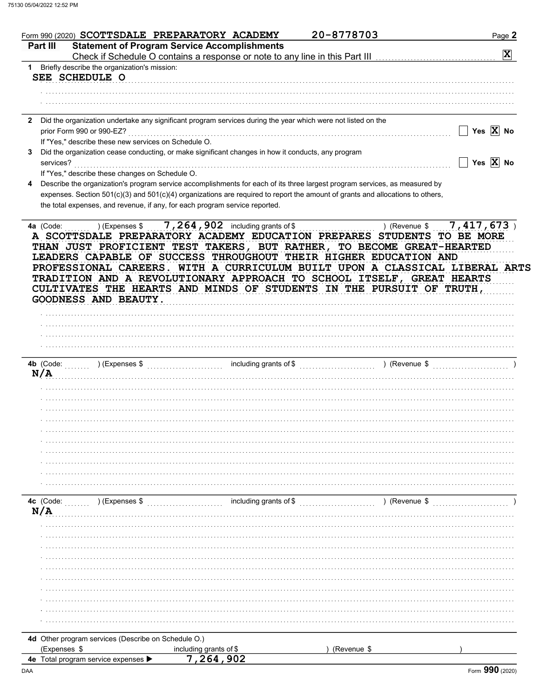| <b>Statement of Program Service Accomplishments</b><br>Part III                                                                                                                                                                                                                                                          | Form 990 (2020) SCOTTSDALE PREPARATORY ACADEMY | 20-8778703    | Page 2                  |
|--------------------------------------------------------------------------------------------------------------------------------------------------------------------------------------------------------------------------------------------------------------------------------------------------------------------------|------------------------------------------------|---------------|-------------------------|
|                                                                                                                                                                                                                                                                                                                          |                                                |               | $\mathbf{\overline{X}}$ |
| 1 Briefly describe the organization's mission:                                                                                                                                                                                                                                                                           |                                                |               |                         |
| SEE SCHEDULE O                                                                                                                                                                                                                                                                                                           |                                                |               |                         |
|                                                                                                                                                                                                                                                                                                                          |                                                |               |                         |
|                                                                                                                                                                                                                                                                                                                          |                                                |               |                         |
| Did the organization undertake any significant program services during the year which were not listed on the                                                                                                                                                                                                             |                                                |               |                         |
|                                                                                                                                                                                                                                                                                                                          |                                                |               | Yes $\overline{X}$ No   |
| If "Yes," describe these new services on Schedule O.                                                                                                                                                                                                                                                                     |                                                |               |                         |
| Did the organization cease conducting, or make significant changes in how it conducts, any program                                                                                                                                                                                                                       |                                                |               |                         |
| services?                                                                                                                                                                                                                                                                                                                |                                                |               | Yes $\overline{X}$ No   |
| If "Yes," describe these changes on Schedule O.<br>Describe the organization's program service accomplishments for each of its three largest program services, as measured by                                                                                                                                            |                                                |               |                         |
| expenses. Section 501(c)(3) and 501(c)(4) organizations are required to report the amount of grants and allocations to others,                                                                                                                                                                                           |                                                |               |                         |
| the total expenses, and revenue, if any, for each program service reported.                                                                                                                                                                                                                                              |                                                |               |                         |
|                                                                                                                                                                                                                                                                                                                          |                                                |               |                         |
| LEADERS CAPABLE OF SUCCESS THROUGHOUT THEIR HIGHER EDUCATION AND<br>PROFESSIONAL CAREERS. WITH A CURRICULUM BUILT UPON A CLASSICAL LIBERAL ARTS<br>TRADITION AND A REVOLUTIONARY APPROACH TO SCHOOL ITSELF, GREAT HEARTS<br>CULTIVATES THE HEARTS AND MINDS OF STUDENTS IN THE PURSUIT OF TRUTH,<br>GOODNESS AND BEAUTY. |                                                |               |                         |
|                                                                                                                                                                                                                                                                                                                          |                                                |               |                         |
|                                                                                                                                                                                                                                                                                                                          |                                                |               |                         |
| 4b (Code: We are not code: The separation of the separation of the separation of the separation of the separation of the separation of the separation of the separation of the separation of the separation of the separation<br>N/A                                                                                     |                                                |               |                         |
|                                                                                                                                                                                                                                                                                                                          |                                                |               |                         |
|                                                                                                                                                                                                                                                                                                                          |                                                |               |                         |
| $\ldots$ ) (Expenses \$                                                                                                                                                                                                                                                                                                  | including grants of \$                         | ) (Revenue \$ |                         |
|                                                                                                                                                                                                                                                                                                                          |                                                |               |                         |
|                                                                                                                                                                                                                                                                                                                          |                                                |               |                         |
|                                                                                                                                                                                                                                                                                                                          |                                                |               |                         |
|                                                                                                                                                                                                                                                                                                                          |                                                |               |                         |
|                                                                                                                                                                                                                                                                                                                          |                                                |               |                         |
|                                                                                                                                                                                                                                                                                                                          |                                                |               |                         |
|                                                                                                                                                                                                                                                                                                                          |                                                |               |                         |
|                                                                                                                                                                                                                                                                                                                          |                                                |               |                         |
|                                                                                                                                                                                                                                                                                                                          |                                                |               |                         |
|                                                                                                                                                                                                                                                                                                                          |                                                |               |                         |
|                                                                                                                                                                                                                                                                                                                          |                                                |               |                         |
| 4c (Code:<br>4d Other program services (Describe on Schedule O.)<br>(Expenses \$                                                                                                                                                                                                                                         | including grants of \$                         | (Revenue \$   |                         |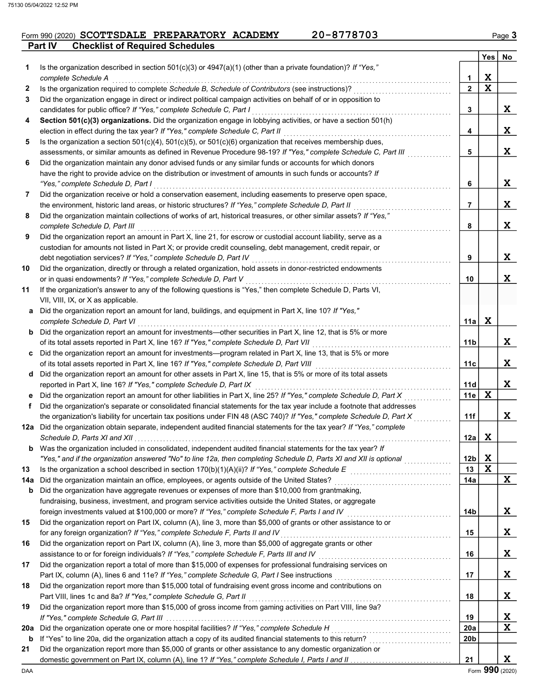### **Part IV** Checklist of Required Schedules Form 990 (2020) SCOTTSDALE PREPARATORY ACADEMY 20-8778703 Page 3

|     |                                                                                                                                                                                                                                        |                 | Yes         | No          |
|-----|----------------------------------------------------------------------------------------------------------------------------------------------------------------------------------------------------------------------------------------|-----------------|-------------|-------------|
| 1   | Is the organization described in section $501(c)(3)$ or $4947(a)(1)$ (other than a private foundation)? If "Yes,"                                                                                                                      |                 |             |             |
|     | complete Schedule A                                                                                                                                                                                                                    | 1               | $\mathbf x$ |             |
| 2   | Is the organization required to complete Schedule B, Schedule of Contributors (see instructions)?                                                                                                                                      | $\mathbf 2$     | $\mathbf x$ |             |
| 3   | Did the organization engage in direct or indirect political campaign activities on behalf of or in opposition to                                                                                                                       |                 |             |             |
|     | candidates for public office? If "Yes," complete Schedule C, Part I                                                                                                                                                                    | 3               |             | X           |
| 4   | Section 501(c)(3) organizations. Did the organization engage in lobbying activities, or have a section 501(h)                                                                                                                          |                 |             |             |
|     | election in effect during the tax year? If "Yes," complete Schedule C, Part II                                                                                                                                                         | 4               |             | X           |
| 5   | Is the organization a section $501(c)(4)$ , $501(c)(5)$ , or $501(c)(6)$ organization that receives membership dues,<br>assessments, or similar amounts as defined in Revenue Procedure 98-19? If "Yes," complete Schedule C, Part III | 5               |             | X           |
| 6   | Did the organization maintain any donor advised funds or any similar funds or accounts for which donors                                                                                                                                |                 |             |             |
|     | have the right to provide advice on the distribution or investment of amounts in such funds or accounts? If                                                                                                                            |                 |             |             |
|     | "Yes," complete Schedule D, Part I                                                                                                                                                                                                     | 6               |             | X           |
| 7   | Did the organization receive or hold a conservation easement, including easements to preserve open space,                                                                                                                              |                 |             |             |
|     | the environment, historic land areas, or historic structures? If "Yes," complete Schedule D, Part II                                                                                                                                   | 7               |             | X           |
| 8   | Did the organization maintain collections of works of art, historical treasures, or other similar assets? If "Yes,"                                                                                                                    |                 |             |             |
|     | complete Schedule D, Part III                                                                                                                                                                                                          | 8               |             | X           |
| 9   | Did the organization report an amount in Part X, line 21, for escrow or custodial account liability, serve as a                                                                                                                        |                 |             |             |
|     | custodian for amounts not listed in Part X; or provide credit counseling, debt management, credit repair, or                                                                                                                           |                 |             |             |
|     | debt negotiation services? If "Yes," complete Schedule D, Part IV                                                                                                                                                                      | 9               |             | X           |
| 10  | Did the organization, directly or through a related organization, hold assets in donor-restricted endowments                                                                                                                           |                 |             |             |
|     | or in quasi endowments? If "Yes," complete Schedule D, Part V                                                                                                                                                                          | 10              |             | X           |
| 11  | If the organization's answer to any of the following questions is "Yes," then complete Schedule D, Parts VI,                                                                                                                           |                 |             |             |
|     | VII, VIII, IX, or X as applicable.                                                                                                                                                                                                     |                 |             |             |
|     | a Did the organization report an amount for land, buildings, and equipment in Part X, line 10? If "Yes,"                                                                                                                               |                 |             |             |
|     | complete Schedule D, Part VI                                                                                                                                                                                                           | 11a             | X           |             |
|     | <b>b</b> Did the organization report an amount for investments—other securities in Part X, line 12, that is 5% or more                                                                                                                 | 11b             |             | X           |
|     | of its total assets reported in Part X, line 16? If "Yes," complete Schedule D, Part VII<br>c Did the organization report an amount for investments—program related in Part X, line 13, that is 5% or more                             |                 |             |             |
|     | of its total assets reported in Part X, line 16? If "Yes," complete Schedule D, Part VIII                                                                                                                                              | 11c             |             | X           |
|     | d Did the organization report an amount for other assets in Part X, line 15, that is 5% or more of its total assets                                                                                                                    |                 |             |             |
|     | reported in Part X, line 16? If "Yes," complete Schedule D, Part IX                                                                                                                                                                    | 11d             |             | X           |
|     | e Did the organization report an amount for other liabilities in Part X, line 25? If "Yes," complete Schedule D, Part X                                                                                                                | 11e             | $\mathbf x$ |             |
| f   | Did the organization's separate or consolidated financial statements for the tax year include a footnote that addresses                                                                                                                |                 |             |             |
|     | the organization's liability for uncertain tax positions under FIN 48 (ASC 740)? If "Yes," complete Schedule D, Part X                                                                                                                 | 11f             |             | X           |
|     | 12a Did the organization obtain separate, independent audited financial statements for the tax year? If "Yes," complete                                                                                                                |                 |             |             |
|     |                                                                                                                                                                                                                                        | 12a             | X           |             |
| b   | Was the organization included in consolidated, independent audited financial statements for the tax year? If                                                                                                                           |                 |             |             |
|     | "Yes," and if the organization answered "No" to line 12a, then completing Schedule D, Parts XI and XII is optional                                                                                                                     | 12 <sub>b</sub> | X           |             |
| 13  |                                                                                                                                                                                                                                        | 13              | $\mathbf x$ |             |
| 14а | Did the organization maintain an office, employees, or agents outside of the United States?                                                                                                                                            | 14a             |             | X           |
| b   | Did the organization have aggregate revenues or expenses of more than \$10,000 from grantmaking,                                                                                                                                       |                 |             |             |
|     | fundraising, business, investment, and program service activities outside the United States, or aggregate<br>foreign investments valued at \$100,000 or more? If "Yes," complete Schedule F, Parts I and IV                            |                 |             | X           |
| 15  | Did the organization report on Part IX, column (A), line 3, more than \$5,000 of grants or other assistance to or                                                                                                                      | 14b             |             |             |
|     | for any foreign organization? If "Yes," complete Schedule F, Parts II and IV                                                                                                                                                           | 15              |             | X           |
| 16  | Did the organization report on Part IX, column (A), line 3, more than \$5,000 of aggregate grants or other                                                                                                                             |                 |             |             |
|     | assistance to or for foreign individuals? If "Yes," complete Schedule F, Parts III and IV                                                                                                                                              | 16              |             | X           |
| 17  | Did the organization report a total of more than \$15,000 of expenses for professional fundraising services on                                                                                                                         |                 |             |             |
|     |                                                                                                                                                                                                                                        | 17              |             | X           |
| 18  | Did the organization report more than \$15,000 total of fundraising event gross income and contributions on                                                                                                                            |                 |             |             |
|     | Part VIII, lines 1c and 8a? If "Yes," complete Schedule G, Part II                                                                                                                                                                     | 18              |             | X           |
| 19  | Did the organization report more than \$15,000 of gross income from gaming activities on Part VIII, line 9a?                                                                                                                           |                 |             |             |
|     |                                                                                                                                                                                                                                        | 19              |             | X           |
| 20a |                                                                                                                                                                                                                                        | 20a             |             | $\mathbf X$ |
| b   |                                                                                                                                                                                                                                        | 20 <sub>b</sub> |             |             |
| 21  | Did the organization report more than \$5,000 of grants or other assistance to any domestic organization or                                                                                                                            |                 |             |             |
|     |                                                                                                                                                                                                                                        | 21              |             | X           |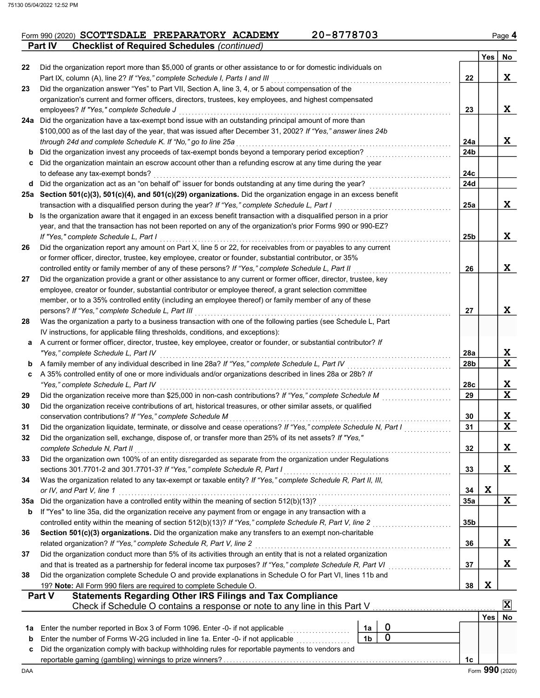### Form 990 (2020) SCOTTSDALE PREPARATORY ACADEMY 20-8778703 Page 4 **Part IV** Checklist of Required Schedules (continued)

|     |                                                                                                                                                                                                              |                |                  |                 | Yes | No                      |
|-----|--------------------------------------------------------------------------------------------------------------------------------------------------------------------------------------------------------------|----------------|------------------|-----------------|-----|-------------------------|
| 22  | Did the organization report more than \$5,000 of grants or other assistance to or for domestic individuals on                                                                                                |                |                  |                 |     |                         |
|     | Part IX, column (A), line 2? If "Yes," complete Schedule I, Parts I and III                                                                                                                                  |                |                  | 22              |     | X                       |
| 23  | Did the organization answer "Yes" to Part VII, Section A, line 3, 4, or 5 about compensation of the                                                                                                          |                |                  |                 |     |                         |
|     | organization's current and former officers, directors, trustees, key employees, and highest compensated                                                                                                      |                |                  |                 |     |                         |
|     | employees? If "Yes," complete Schedule J                                                                                                                                                                     |                |                  | 23              |     | X                       |
|     | 24a Did the organization have a tax-exempt bond issue with an outstanding principal amount of more than                                                                                                      |                |                  |                 |     |                         |
|     | \$100,000 as of the last day of the year, that was issued after December 31, 2002? If "Yes," answer lines 24b                                                                                                |                |                  |                 |     |                         |
|     | through 24d and complete Schedule K. If "No," go to line 25a                                                                                                                                                 |                |                  | 24a             |     | X                       |
| b   | Did the organization invest any proceeds of tax-exempt bonds beyond a temporary period exception?                                                                                                            |                |                  | 24b             |     |                         |
| c   | Did the organization maintain an escrow account other than a refunding escrow at any time during the year                                                                                                    |                |                  |                 |     |                         |
|     | to defease any tax-exempt bonds?                                                                                                                                                                             |                |                  | 24c             |     |                         |
| d   | Did the organization act as an "on behalf of" issuer for bonds outstanding at any time during the year?                                                                                                      |                |                  | 24d             |     |                         |
|     | 25a Section 501 $(c)(3)$ , 501 $(c)(4)$ , and 501 $(c)(29)$ organizations. Did the organization engage in an excess benefit                                                                                  |                |                  |                 |     |                         |
|     | transaction with a disqualified person during the year? If "Yes," complete Schedule L, Part I                                                                                                                |                |                  | 25a             |     | X                       |
| b   | Is the organization aware that it engaged in an excess benefit transaction with a disqualified person in a prior                                                                                             |                |                  |                 |     |                         |
|     | year, and that the transaction has not been reported on any of the organization's prior Forms 990 or 990-EZ?                                                                                                 |                |                  |                 |     |                         |
|     | If "Yes." complete Schedule L. Part I                                                                                                                                                                        |                |                  | 25b             |     | X                       |
| 26  | Did the organization report any amount on Part X, line 5 or 22, for receivables from or payables to any current                                                                                              |                |                  |                 |     |                         |
|     | or former officer, director, trustee, key employee, creator or founder, substantial contributor, or 35%                                                                                                      |                |                  |                 |     |                         |
|     | controlled entity or family member of any of these persons? If "Yes," complete Schedule L, Part II                                                                                                           |                |                  | 26              |     | X                       |
| 27  | Did the organization provide a grant or other assistance to any current or former officer, director, trustee, key                                                                                            |                |                  |                 |     |                         |
|     | employee, creator or founder, substantial contributor or employee thereof, a grant selection committee                                                                                                       |                |                  |                 |     |                         |
|     | member, or to a 35% controlled entity (including an employee thereof) or family member of any of these                                                                                                       |                |                  |                 |     |                         |
|     | persons? If "Yes," complete Schedule L, Part III                                                                                                                                                             |                |                  | 27              |     | X                       |
| 28  | Was the organization a party to a business transaction with one of the following parties (see Schedule L, Part                                                                                               |                |                  |                 |     |                         |
|     | IV instructions, for applicable filing thresholds, conditions, and exceptions):                                                                                                                              |                |                  |                 |     |                         |
| a   | A current or former officer, director, trustee, key employee, creator or founder, or substantial contributor? If                                                                                             |                |                  |                 |     | X                       |
|     | "Yes," complete Schedule L, Part IV                                                                                                                                                                          |                |                  | 28a             |     | X                       |
| b   | A family member of any individual described in line 28a? If "Yes," complete Schedule L, Part IV<br>A 35% controlled entity of one or more individuals and/or organizations described in lines 28a or 28b? If |                |                  | 28b             |     |                         |
| c   | "Yes," complete Schedule L, Part IV                                                                                                                                                                          |                |                  | 28c             |     | X                       |
| 29  | Did the organization receive more than \$25,000 in non-cash contributions? If "Yes," complete Schedule M                                                                                                     |                |                  | 29              |     | X                       |
| 30  | Did the organization receive contributions of art, historical treasures, or other similar assets, or qualified                                                                                               |                |                  |                 |     |                         |
|     | conservation contributions? If "Yes," complete Schedule M                                                                                                                                                    |                |                  | 30              |     | X                       |
| 31  | Did the organization liquidate, terminate, or dissolve and cease operations? If "Yes," complete Schedule N, Part I                                                                                           |                |                  | 31              |     | X                       |
| 32  | Did the organization sell, exchange, dispose of, or transfer more than 25% of its net assets? If "Yes,"                                                                                                      |                |                  |                 |     |                         |
|     | complete Schedule N, Part II                                                                                                                                                                                 |                |                  | 32              |     | X                       |
| 33  | Did the organization own 100% of an entity disregarded as separate from the organization under Regulations                                                                                                   |                |                  |                 |     |                         |
|     | sections 301.7701-2 and 301.7701-3? If "Yes," complete Schedule R, Part I                                                                                                                                    |                |                  | 33              |     | X                       |
| 34  | Was the organization related to any tax-exempt or taxable entity? If "Yes," complete Schedule R, Part II, III,                                                                                               |                |                  |                 |     |                         |
|     | or IV, and Part V, line 1                                                                                                                                                                                    |                |                  | 34              | X   |                         |
| 35a | Did the organization have a controlled entity within the meaning of section 512(b)(13)?                                                                                                                      |                |                  | 35a             |     | X                       |
| b   | If "Yes" to line 35a, did the organization receive any payment from or engage in any transaction with a                                                                                                      |                |                  |                 |     |                         |
|     | controlled entity within the meaning of section 512(b)(13)? If "Yes," complete Schedule R, Part V, line 2                                                                                                    |                |                  | 35 <sub>b</sub> |     |                         |
| 36  | Section 501(c)(3) organizations. Did the organization make any transfers to an exempt non-charitable                                                                                                         |                |                  |                 |     |                         |
|     | related organization? If "Yes," complete Schedule R, Part V, line 2                                                                                                                                          |                |                  | 36              |     | X                       |
| 37  | Did the organization conduct more than 5% of its activities through an entity that is not a related organization                                                                                             |                |                  |                 |     |                         |
|     | and that is treated as a partnership for federal income tax purposes? If "Yes," complete Schedule R, Part VI                                                                                                 |                |                  | 37              |     | X                       |
| 38  | Did the organization complete Schedule O and provide explanations in Schedule O for Part VI, lines 11b and                                                                                                   |                |                  |                 |     |                         |
|     | 19? Note: All Form 990 filers are required to complete Schedule O.                                                                                                                                           |                |                  | 38              | X   |                         |
|     | <b>Statements Regarding Other IRS Filings and Tax Compliance</b><br><b>Part V</b>                                                                                                                            |                |                  |                 |     |                         |
|     | Check if Schedule O contains a response or note to any line in this Part V                                                                                                                                   |                |                  |                 |     | $\overline{\mathbf{x}}$ |
|     |                                                                                                                                                                                                              |                |                  |                 | Yes | No                      |
| 1а  | Enter the number reported in Box 3 of Form 1096. Enter -0- if not applicable                                                                                                                                 | 1a             | $\boldsymbol{0}$ |                 |     |                         |
| b   | Enter the number of Forms W-2G included in line 1a. Enter -0- if not applicable [1] [1] [1] Enter the number of Forms                                                                                        | 1 <sub>b</sub> | $\mathbf 0$      |                 |     |                         |
| c   | Did the organization comply with backup withholding rules for reportable payments to vendors and                                                                                                             |                |                  |                 |     |                         |
|     |                                                                                                                                                                                                              |                |                  | 1c              |     |                         |
| DAA |                                                                                                                                                                                                              |                |                  |                 |     | Form 990 (2020)         |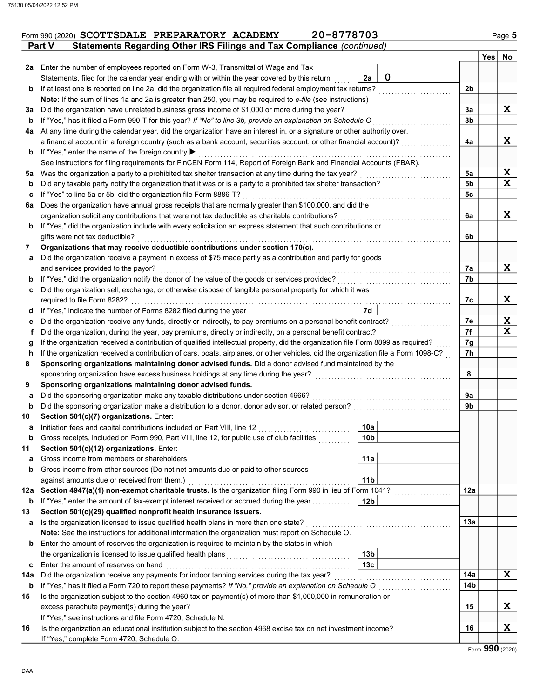|                               | 20-8778703<br>Form 990 (2020) SCOTTSDALE PREPARATORY ACADEMY<br>Statements Regarding Other IRS Filings and Tax Compliance (continued)<br><b>Part V</b>                                             |                           |             |                |            | Page 5 |
|-------------------------------|----------------------------------------------------------------------------------------------------------------------------------------------------------------------------------------------------|---------------------------|-------------|----------------|------------|--------|
|                               |                                                                                                                                                                                                    |                           |             |                | <b>Yes</b> | No     |
| 2a                            | Enter the number of employees reported on Form W-3, Transmittal of Wage and Tax                                                                                                                    |                           |             |                |            |        |
|                               | Statements, filed for the calendar year ending with or within the year covered by this return                                                                                                      | 2a                        | $\mathbf 0$ |                |            |        |
| b                             | If at least one is reported on line 2a, did the organization file all required federal employment tax returns?                                                                                     |                           |             | 2 <sub>b</sub> |            |        |
|                               | Note: If the sum of lines 1a and 2a is greater than 250, you may be required to e-file (see instructions)                                                                                          |                           |             |                |            |        |
| За                            | Did the organization have unrelated business gross income of \$1,000 or more during the year?                                                                                                      |                           |             | 3a             |            |        |
| b                             | If "Yes," has it filed a Form 990-T for this year? If "No" to line 3b, provide an explanation on Schedule O                                                                                        |                           |             | 3 <sub>b</sub> |            |        |
| 4a                            | At any time during the calendar year, did the organization have an interest in, or a signature or other authority over,                                                                            |                           |             |                |            |        |
|                               | a financial account in a foreign country (such as a bank account, securities account, or other financial account)?                                                                                 |                           |             | 4a             |            |        |
| b                             | If "Yes," enter the name of the foreign country ▶                                                                                                                                                  |                           |             |                |            |        |
|                               | See instructions for filing requirements for FinCEN Form 114, Report of Foreign Bank and Financial Accounts (FBAR).                                                                                |                           |             |                |            |        |
| 5a                            | Was the organization a party to a prohibited tax shelter transaction at any time during the tax year?                                                                                              |                           |             | 5a             |            |        |
|                               | Did any taxable party notify the organization that it was or is a party to a prohibited tax shelter transaction?                                                                                   |                           |             | 5 <sub>b</sub> |            |        |
| b                             |                                                                                                                                                                                                    |                           |             | 5 <sub>c</sub> |            |        |
| c                             | If "Yes" to line 5a or 5b, did the organization file Form 8886-T?                                                                                                                                  |                           |             |                |            |        |
| 6a                            | Does the organization have annual gross receipts that are normally greater than \$100,000, and did the                                                                                             |                           |             |                |            |        |
|                               | organization solicit any contributions that were not tax deductible as charitable contributions?                                                                                                   |                           |             | 6a             |            |        |
| b                             | If "Yes," did the organization include with every solicitation an express statement that such contributions or                                                                                     |                           |             |                |            |        |
|                               | gifts were not tax deductible?                                                                                                                                                                     |                           |             | 6b             |            |        |
| 7                             | Organizations that may receive deductible contributions under section 170(c).                                                                                                                      |                           |             |                |            |        |
| а                             | Did the organization receive a payment in excess of \$75 made partly as a contribution and partly for goods                                                                                        |                           |             |                |            |        |
|                               | and services provided to the payor?                                                                                                                                                                |                           |             | 7a             |            |        |
| b                             | If "Yes," did the organization notify the donor of the value of the goods or services provided?<br>If "Yes," did the organization notify the donor of the value of the goods or services provided? |                           |             | 7b             |            |        |
| c                             | Did the organization sell, exchange, or otherwise dispose of tangible personal property for which it was                                                                                           |                           |             |                |            |        |
|                               | required to file Form 8282?                                                                                                                                                                        |                           |             | 7с             |            |        |
| a                             |                                                                                                                                                                                                    | <b>7d</b>                 |             |                |            |        |
| е                             | Did the organization receive any funds, directly or indirectly, to pay premiums on a personal benefit contract?                                                                                    |                           |             | 7e             |            |        |
| Ť.                            | Did the organization, during the year, pay premiums, directly or indirectly, on a personal benefit contract?                                                                                       |                           |             | 7f             |            |        |
| g                             | If the organization received a contribution of qualified intellectual property, did the organization file Form 8899 as required?                                                                   |                           |             | 7g             |            |        |
| h                             | If the organization received a contribution of cars, boats, airplanes, or other vehicles, did the organization file a Form 1098-C?                                                                 |                           |             | 7h             |            |        |
| 8                             | Sponsoring organizations maintaining donor advised funds. Did a donor advised fund maintained by the                                                                                               |                           |             |                |            |        |
|                               | sponsoring organization have excess business holdings at any time during the year?                                                                                                                 |                           |             | 8              |            |        |
| 9                             | Sponsoring organizations maintaining donor advised funds.                                                                                                                                          |                           |             |                |            |        |
| а                             | Did the sponsoring organization make any taxable distributions under section 4966?                                                                                                                 |                           |             | 9a             |            |        |
| b                             | Did the sponsoring organization make a distribution to a donor, donor advisor, or related person?                                                                                                  |                           |             | 9b             |            |        |
| 10                            | Section 501(c)(7) organizations. Enter:                                                                                                                                                            |                           |             |                |            |        |
| а                             | Initiation fees and capital contributions included on Part VIII, line 12                                                                                                                           | <b>The Control</b><br>10a |             |                |            |        |
| b                             | Gross receipts, included on Form 990, Part VIII, line 12, for public use of club facilities                                                                                                        | 10 <sub>b</sub>           |             |                |            |        |
| 11                            | Section 501(c)(12) organizations. Enter:                                                                                                                                                           |                           |             |                |            |        |
| а                             | Gross income from members or shareholders                                                                                                                                                          | 11a                       |             |                |            |        |
| b                             | Gross income from other sources (Do not net amounts due or paid to other sources                                                                                                                   |                           |             |                |            |        |
|                               | against amounts due or received from them.)                                                                                                                                                        | 11 <sub>b</sub>           |             |                |            |        |
| 12a                           | Section 4947(a)(1) non-exempt charitable trusts. Is the organization filing Form 990 in lieu of Form 1041?                                                                                         |                           |             | 12a            |            |        |
| b                             | If "Yes," enter the amount of tax-exempt interest received or accrued during the year                                                                                                              | 12 <sub>b</sub>           |             |                |            |        |
| 13                            | Section 501(c)(29) qualified nonprofit health insurance issuers.                                                                                                                                   |                           |             |                |            |        |
|                               | Is the organization licensed to issue qualified health plans in more than one state?                                                                                                               |                           |             | 13а            |            |        |
|                               |                                                                                                                                                                                                    |                           |             |                |            |        |
|                               |                                                                                                                                                                                                    |                           |             |                |            |        |
|                               | Note: See the instructions for additional information the organization must report on Schedule O.                                                                                                  |                           |             |                |            |        |
|                               | Enter the amount of reserves the organization is required to maintain by the states in which                                                                                                       |                           |             |                |            |        |
|                               |                                                                                                                                                                                                    | 13 <sub>b</sub>           |             |                |            |        |
|                               | Enter the amount of reserves on hand                                                                                                                                                               | 13 <sub>c</sub>           |             |                |            |        |
|                               | Did the organization receive any payments for indoor tanning services during the tax year?                                                                                                         |                           |             | 14a            |            |        |
|                               | If "Yes," has it filed a Form 720 to report these payments? If "No," provide an explanation on Schedule O                                                                                          |                           |             | 14b            |            |        |
|                               | Is the organization subject to the section 4960 tax on payment(s) of more than \$1,000,000 in remuneration or                                                                                      |                           |             |                |            |        |
| а<br>b<br>С<br>14a<br>b<br>15 | excess parachute payment(s) during the year?                                                                                                                                                       |                           |             | 15             |            |        |
| 16                            | If "Yes," see instructions and file Form 4720, Schedule N.<br>Is the organization an educational institution subject to the section 4968 excise tax on net investment income?                      |                           |             | 16             |            |        |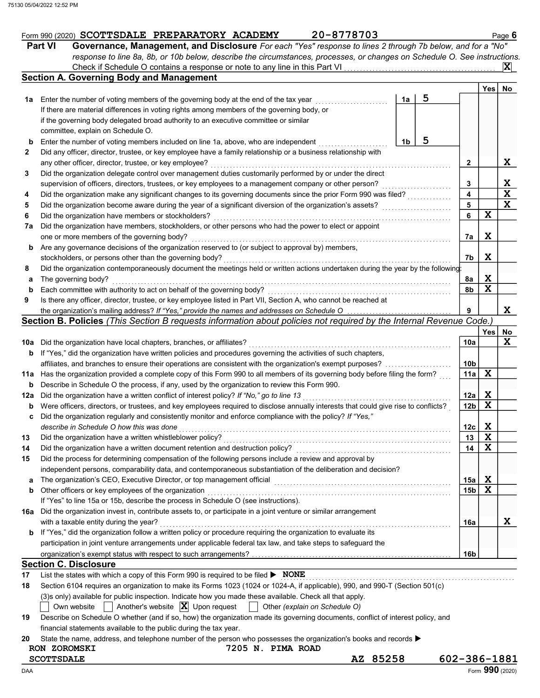|     | Part VI<br>Governance, Management, and Disclosure For each "Yes" response to lines 2 through 7b below, and for a "No"<br>response to line 8a, 8b, or 10b below, describe the circumstances, processes, or changes on Schedule O. See instructions. |                         |             |                         |
|-----|----------------------------------------------------------------------------------------------------------------------------------------------------------------------------------------------------------------------------------------------------|-------------------------|-------------|-------------------------|
|     |                                                                                                                                                                                                                                                    |                         |             | $ {\bf x} $             |
|     | <b>Section A. Governing Body and Management</b>                                                                                                                                                                                                    |                         |             |                         |
|     |                                                                                                                                                                                                                                                    |                         |             | No                      |
|     | 5                                                                                                                                                                                                                                                  |                         | Yes         |                         |
| 1a  | Enter the number of voting members of the governing body at the end of the tax year<br>1a                                                                                                                                                          |                         |             |                         |
|     | If there are material differences in voting rights among members of the governing body, or                                                                                                                                                         |                         |             |                         |
|     | if the governing body delegated broad authority to an executive committee or similar                                                                                                                                                               |                         |             |                         |
|     | committee, explain on Schedule O.                                                                                                                                                                                                                  |                         |             |                         |
| b   | 5<br>Enter the number of voting members included on line 1a, above, who are independent<br>1b                                                                                                                                                      |                         |             |                         |
| 2   | Did any officer, director, trustee, or key employee have a family relationship or a business relationship with                                                                                                                                     |                         |             |                         |
|     | any other officer, director, trustee, or key employee?                                                                                                                                                                                             | $\mathbf{2}$            |             | X                       |
| 3   | Did the organization delegate control over management duties customarily performed by or under the direct                                                                                                                                          |                         |             |                         |
|     | supervision of officers, directors, trustees, or key employees to a management company or other person?                                                                                                                                            | 3                       |             | X                       |
| 4   | Did the organization make any significant changes to its governing documents since the prior Form 990 was filed?                                                                                                                                   | $\overline{\mathbf{4}}$ |             | $\overline{\mathbf{x}}$ |
| 5   | Did the organization become aware during the year of a significant diversion of the organization's assets?                                                                                                                                         | 5                       |             | $\overline{\mathbf{x}}$ |
| 6   | Did the organization have members or stockholders?                                                                                                                                                                                                 | 6                       | X           |                         |
| 7a  | Did the organization have members, stockholders, or other persons who had the power to elect or appoint                                                                                                                                            |                         |             |                         |
|     | one or more members of the governing body?                                                                                                                                                                                                         | 7a                      | X           |                         |
| b   | Are any governance decisions of the organization reserved to (or subject to approval by) members,                                                                                                                                                  |                         |             |                         |
|     | stockholders, or persons other than the governing body?                                                                                                                                                                                            | 7b                      | X           |                         |
| 8   | Did the organization contemporaneously document the meetings held or written actions undertaken during the year by the following:                                                                                                                  |                         |             |                         |
|     |                                                                                                                                                                                                                                                    |                         | X           |                         |
| а   | The governing body?                                                                                                                                                                                                                                | 8а                      |             |                         |
| b   | Each committee with authority to act on behalf of the governing body?                                                                                                                                                                              | 8b                      | X           |                         |
| 9   | Is there any officer, director, trustee, or key employee listed in Part VII, Section A, who cannot be reached at                                                                                                                                   |                         |             |                         |
|     | the organization's mailing address? If "Yes," provide the names and addresses on Schedule O                                                                                                                                                        | 9                       |             | X                       |
|     | Section B. Policies (This Section B requests information about policies not required by the Internal Revenue Code.)                                                                                                                                |                         |             |                         |
|     |                                                                                                                                                                                                                                                    |                         | Yes   No    |                         |
|     | 10a Did the organization have local chapters, branches, or affiliates?                                                                                                                                                                             | 10a                     |             | X                       |
| b   | If "Yes," did the organization have written policies and procedures governing the activities of such chapters,                                                                                                                                     |                         |             |                         |
|     | affiliates, and branches to ensure their operations are consistent with the organization's exempt purposes?                                                                                                                                        | 10 <sub>b</sub>         |             |                         |
| 11a | Has the organization provided a complete copy of this Form 990 to all members of its governing body before filing the form?                                                                                                                        | 11a                     | $\mathbf x$ |                         |
| b   | Describe in Schedule O the process, if any, used by the organization to review this Form 990.                                                                                                                                                      |                         |             |                         |
| 12a | Did the organization have a written conflict of interest policy? If "No," go to line 13                                                                                                                                                            | 12a                     | X           |                         |
|     | Were officers, directors, or trustees, and key employees required to disclose annually interests that could give rise to conflicts?                                                                                                                | 12 <sub>b</sub>         | X           |                         |
| c   | Did the organization regularly and consistently monitor and enforce compliance with the policy? If "Yes,"                                                                                                                                          |                         |             |                         |
|     | describe in Schedule O how this was done                                                                                                                                                                                                           | 12c                     | X           |                         |
| 13  | Did the organization have a written whistleblower policy?                                                                                                                                                                                          | 13                      | X           |                         |
| 14  | Did the organization have a written document retention and destruction policy?                                                                                                                                                                     | 14                      | X           |                         |
|     |                                                                                                                                                                                                                                                    |                         |             |                         |
| 15  | Did the process for determining compensation of the following persons include a review and approval by                                                                                                                                             |                         |             |                         |
|     | independent persons, comparability data, and contemporaneous substantiation of the deliberation and decision?                                                                                                                                      |                         |             |                         |
|     | The organization's CEO, Executive Director, or top management official                                                                                                                                                                             | 15a                     | X           |                         |
| b   | Other officers or key employees of the organization                                                                                                                                                                                                | 15b                     | $\mathbf x$ |                         |
|     | If "Yes" to line 15a or 15b, describe the process in Schedule O (see instructions).                                                                                                                                                                |                         |             |                         |
| 16a | Did the organization invest in, contribute assets to, or participate in a joint venture or similar arrangement                                                                                                                                     |                         |             |                         |
|     | with a taxable entity during the year?                                                                                                                                                                                                             | 16a                     |             | X                       |
| b   | If "Yes," did the organization follow a written policy or procedure requiring the organization to evaluate its                                                                                                                                     |                         |             |                         |
|     | participation in joint venture arrangements under applicable federal tax law, and take steps to safeguard the                                                                                                                                      |                         |             |                         |
|     |                                                                                                                                                                                                                                                    | 16b                     |             |                         |
|     |                                                                                                                                                                                                                                                    |                         |             |                         |

|  | 18 Section 6104 requires an organization to make its Forms 1023 (1024 or 1024-A, if applicable), 990, and 990-T (Section 501(c) |  |  |  |  |  |
|--|---------------------------------------------------------------------------------------------------------------------------------|--|--|--|--|--|
|--|---------------------------------------------------------------------------------------------------------------------------------|--|--|--|--|--|

(3)s only) available for public inspection. Indicate how you made these available. Check all that apply.

Own website  $\Box$  Another's website  $\boxed{\mathbf{X}}$  Upon request  $\Box$  Other (explain on Schedule O)

| 19 Describe on Schedule O whether (and if so, how) the organization made its governing documents, conflict of interest policy, and |
|------------------------------------------------------------------------------------------------------------------------------------|
| financial statements available to the public during the tax year.                                                                  |

20 State the name, address, and telephone number of the person who possesses the organization's books and records  $\blacktriangleright$ 

| <b>RON ZOROMSKI</b> |  |  | 7205 N. PIMA ROAD |  |
|---------------------|--|--|-------------------|--|
| <b>SCOTTSDALE</b>   |  |  |                   |  |

SCOTTSDALE **AZ 85258** 602-386-1881

DAA Form 990 (2020)

Form 990 (2020) SCOTTSDALE PREPARATORY ACADEMY 20-8778703 Page 6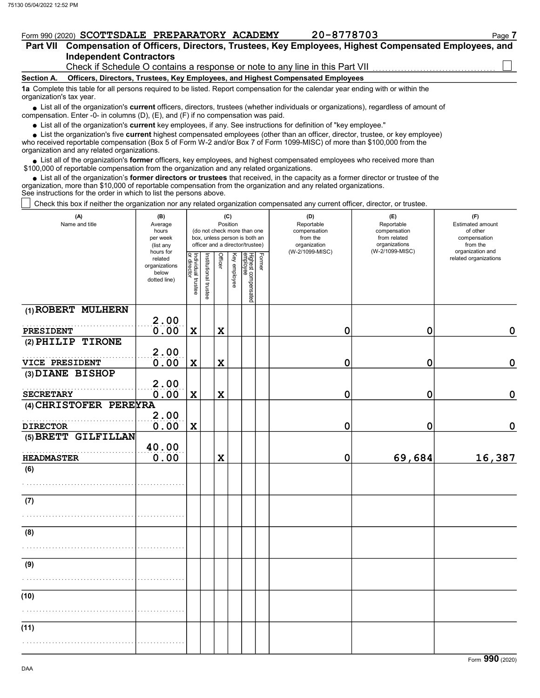|  | Form 990 (2020) SCOTTSDALE PREPARATORY ACADEMY |  | 20-8778703 | Page |  |
|--|------------------------------------------------|--|------------|------|--|
|  |                                                |  |            |      |  |

#### Independent Contractors Part VII Compensation of Officers, Directors, Trustees, Key Employees, Highest Compensated Employees, and Check if Schedule O contains a response or note to any line in this Part VII

#### Section A. Officers, Directors, Trustees, Key Employees, and Highest Compensated Employees

1a Complete this table for all persons required to be listed. Report compensation for the calendar year ending with or within the organization's tax year.

• List all of the organization's **current** officers, directors, trustees (whether individuals or organizations), regardless of amount of proposation. Enter  $\Omega$  in columns  $(D)$ ,  $(E)$  and  $(E)$  if no componention was paid compensation. Enter -0- in columns (D), (E), and (F) if no compensation was paid.

• List all of the organization's **current** key employees, if any. See instructions for definition of "key employee."

• List the organization's five **current** highest compensated employees (other than an officer, director, trustee, or key employee)<br>• received reportable compensation (Box 5 of Form W 2 and/or Box 7 of Form 1000 MISC) of m

who received reportable compensation (Box 5 of Form W-2 and/or Box 7 of Form 1099-MISC) of more than \$100,000 from the organization and any related organizations.

 $\bullet$  List all of the organization's **former** officers, key employees, and highest compensated employees who received more than  $\Omega$  0.00 of reportable compensation from the erganization and any related erganizations. \$100,000 of reportable compensation from the organization and any related organizations.

 $\bullet$  List all of the organization's **former directors or trustees** that received, in the capacity as a former director or trustee of the entrance in the organization and any related organizations organization, more than \$10,000 of reportable compensation from the organization and any related organizations. See instructions for the order in which to list the persons above.

Check this box if neither the organization nor any related organization compensated any current officer, director, or trustee.

| (A)<br>Name and title  | (B)<br>Average<br>hours<br>per week<br>(list any               |                                    |                      |                | (C)<br>Position | (do not check more than one<br>box, unless person is both an<br>officer and a director/trustee) |        | (D)<br>Reportable<br>compensation<br>from the<br>organization<br>(W-2/1099-MISC) | (E)<br>Reportable<br>compensation<br>from related<br>organizations<br>(W-2/1099-MISC) | (F)<br><b>Estimated amount</b><br>of other<br>compensation<br>from the<br>organization and |
|------------------------|----------------------------------------------------------------|------------------------------------|----------------------|----------------|-----------------|-------------------------------------------------------------------------------------------------|--------|----------------------------------------------------------------------------------|---------------------------------------------------------------------------------------|--------------------------------------------------------------------------------------------|
|                        | hours for<br>related<br>organizations<br>below<br>dotted line) | Individual trustee<br> or director | nstitutional trustee | <b>Officer</b> | Key employee    | Highest compensated<br>employee                                                                 | Former |                                                                                  |                                                                                       | related organizations                                                                      |
| (1) ROBERT MULHERN     |                                                                |                                    |                      |                |                 |                                                                                                 |        |                                                                                  |                                                                                       |                                                                                            |
| PRESIDENT              | 2.00<br>0.00                                                   | $\mathbf x$                        |                      | $\mathbf x$    |                 |                                                                                                 |        | 0                                                                                | $\mathbf 0$                                                                           | $\mathbf 0$                                                                                |
| (2) PHILIP TIRONE      |                                                                |                                    |                      |                |                 |                                                                                                 |        |                                                                                  |                                                                                       |                                                                                            |
| VICE PRESIDENT         | 2.00<br>0.00                                                   | $\mathbf x$                        |                      | $\mathbf x$    |                 |                                                                                                 |        | 0                                                                                | 0                                                                                     | 0                                                                                          |
| (3) DIANE BISHOP       |                                                                |                                    |                      |                |                 |                                                                                                 |        |                                                                                  |                                                                                       |                                                                                            |
| <b>SECRETARY</b>       | 2.00<br>0.00                                                   | $\mathbf x$                        |                      | X              |                 |                                                                                                 |        | 0                                                                                | 0                                                                                     | 0                                                                                          |
| (4) CHRISTOFER PEREYRA |                                                                |                                    |                      |                |                 |                                                                                                 |        |                                                                                  |                                                                                       |                                                                                            |
| <b>DIRECTOR</b>        | 2.00<br>0.00                                                   | $\mathbf x$                        |                      |                |                 |                                                                                                 |        | $\mathbf 0$                                                                      | $\mathbf 0$                                                                           | $\mathbf 0$                                                                                |
| (5) BRETT GILFILLAN    | 40.00                                                          |                                    |                      |                |                 |                                                                                                 |        |                                                                                  |                                                                                       |                                                                                            |
| <b>HEADMASTER</b>      | 0.00                                                           |                                    |                      | $\mathbf x$    |                 |                                                                                                 |        | 0                                                                                | 69,684                                                                                | 16,387                                                                                     |
| (6)                    |                                                                |                                    |                      |                |                 |                                                                                                 |        |                                                                                  |                                                                                       |                                                                                            |
|                        |                                                                |                                    |                      |                |                 |                                                                                                 |        |                                                                                  |                                                                                       |                                                                                            |
| (7)                    |                                                                |                                    |                      |                |                 |                                                                                                 |        |                                                                                  |                                                                                       |                                                                                            |
|                        |                                                                |                                    |                      |                |                 |                                                                                                 |        |                                                                                  |                                                                                       |                                                                                            |
| (8)                    |                                                                |                                    |                      |                |                 |                                                                                                 |        |                                                                                  |                                                                                       |                                                                                            |
|                        |                                                                |                                    |                      |                |                 |                                                                                                 |        |                                                                                  |                                                                                       |                                                                                            |
| (9)                    |                                                                |                                    |                      |                |                 |                                                                                                 |        |                                                                                  |                                                                                       |                                                                                            |
|                        |                                                                |                                    |                      |                |                 |                                                                                                 |        |                                                                                  |                                                                                       |                                                                                            |
| (10)                   |                                                                |                                    |                      |                |                 |                                                                                                 |        |                                                                                  |                                                                                       |                                                                                            |
|                        |                                                                |                                    |                      |                |                 |                                                                                                 |        |                                                                                  |                                                                                       |                                                                                            |
| (11)                   |                                                                |                                    |                      |                |                 |                                                                                                 |        |                                                                                  |                                                                                       |                                                                                            |
|                        |                                                                |                                    |                      |                |                 |                                                                                                 |        |                                                                                  |                                                                                       |                                                                                            |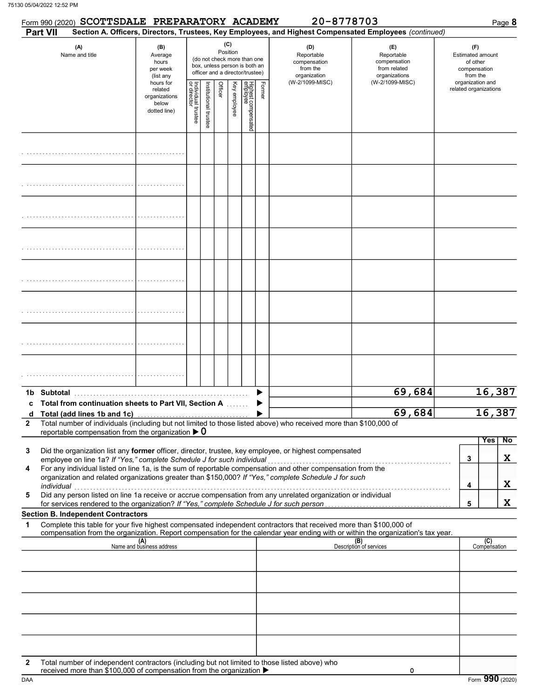|                   |            | Form 990 (2020) SCOTTSDALE PREPARATORY ACADEMY                                                  |                                                                |                                   |                      |         |                 |                                                                                                 |        | 20-8778703                                                                                                         |                                                                                                                                                                    | Page 8                                                                                     |
|-------------------|------------|-------------------------------------------------------------------------------------------------|----------------------------------------------------------------|-----------------------------------|----------------------|---------|-----------------|-------------------------------------------------------------------------------------------------|--------|--------------------------------------------------------------------------------------------------------------------|--------------------------------------------------------------------------------------------------------------------------------------------------------------------|--------------------------------------------------------------------------------------------|
|                   | Part VII   |                                                                                                 |                                                                |                                   |                      |         |                 |                                                                                                 |        |                                                                                                                    | Section A. Officers, Directors, Trustees, Key Employees, and Highest Compensated Employees (continued)                                                             |                                                                                            |
|                   |            | (A)<br>Name and title                                                                           | (B)<br>Average<br>hours<br>per week<br>(list any               |                                   |                      |         | (C)<br>Position | (do not check more than one<br>box, unless person is both an<br>officer and a director/trustee) |        | (D)<br>Reportable<br>compensation<br>from the<br>organization                                                      | (E)<br>Reportable<br>compensation<br>from related<br>organizations                                                                                                 | (F)<br><b>Estimated amount</b><br>of other<br>compensation<br>from the<br>organization and |
|                   |            |                                                                                                 | hours for<br>related<br>organizations<br>below<br>dotted line) | Individual trustee<br>or director | nstitutional trustee | Officer | Key employee    | Highest compensated<br>employee                                                                 | Former | (W-2/1099-MISC)                                                                                                    | (W-2/1099-MISC)                                                                                                                                                    | related organizations                                                                      |
|                   |            |                                                                                                 |                                                                |                                   |                      |         |                 |                                                                                                 |        |                                                                                                                    |                                                                                                                                                                    |                                                                                            |
|                   |            |                                                                                                 |                                                                |                                   |                      |         |                 |                                                                                                 |        |                                                                                                                    |                                                                                                                                                                    |                                                                                            |
|                   |            |                                                                                                 |                                                                |                                   |                      |         |                 |                                                                                                 |        |                                                                                                                    |                                                                                                                                                                    |                                                                                            |
|                   |            |                                                                                                 |                                                                |                                   |                      |         |                 |                                                                                                 |        |                                                                                                                    |                                                                                                                                                                    |                                                                                            |
|                   |            |                                                                                                 |                                                                |                                   |                      |         |                 |                                                                                                 |        |                                                                                                                    |                                                                                                                                                                    |                                                                                            |
|                   |            |                                                                                                 |                                                                |                                   |                      |         |                 |                                                                                                 |        |                                                                                                                    |                                                                                                                                                                    |                                                                                            |
|                   |            |                                                                                                 |                                                                |                                   |                      |         |                 |                                                                                                 |        |                                                                                                                    |                                                                                                                                                                    |                                                                                            |
|                   |            |                                                                                                 |                                                                |                                   |                      |         |                 |                                                                                                 |        |                                                                                                                    |                                                                                                                                                                    |                                                                                            |
|                   |            | c Total from continuation sheets to Part VII, Section A                                         |                                                                |                                   |                      |         |                 |                                                                                                 |        |                                                                                                                    | 69,684                                                                                                                                                             | 16,387                                                                                     |
| d<br>$\mathbf{2}$ |            | Total (add lines 1b and 1c)<br>reportable compensation from the organization $\triangleright$ 0 |                                                                |                                   |                      |         |                 |                                                                                                 |        | Total number of individuals (including but not limited to those listed above) who received more than \$100,000 of  | 69,684                                                                                                                                                             | 16,387                                                                                     |
| 3                 |            |                                                                                                 |                                                                |                                   |                      |         |                 |                                                                                                 |        | Did the organization list any former officer, director, trustee, key employee, or highest compensated              |                                                                                                                                                                    | No<br>Yes                                                                                  |
|                   |            | employee on line 1a? If "Yes," complete Schedule J for such individual                          |                                                                |                                   |                      |         |                 |                                                                                                 |        | For any individual listed on line 1a, is the sum of reportable compensation and other compensation from the        |                                                                                                                                                                    | X<br>3                                                                                     |
| 4                 |            |                                                                                                 |                                                                |                                   |                      |         |                 |                                                                                                 |        | organization and related organizations greater than \$150,000? If "Yes," complete Schedule J for such              |                                                                                                                                                                    |                                                                                            |
| 5                 | individual |                                                                                                 |                                                                |                                   |                      |         |                 |                                                                                                 |        | Did any person listed on line 1a receive or accrue compensation from any unrelated organization or individual      |                                                                                                                                                                    | X<br>4                                                                                     |
|                   |            | <b>Section B. Independent Contractors</b>                                                       |                                                                |                                   |                      |         |                 |                                                                                                 |        |                                                                                                                    |                                                                                                                                                                    | X<br>5                                                                                     |
| 1                 |            |                                                                                                 |                                                                |                                   |                      |         |                 |                                                                                                 |        | Complete this table for your five highest compensated independent contractors that received more than \$100,000 of |                                                                                                                                                                    |                                                                                            |
|                   |            |                                                                                                 | (A)<br>Name and business address                               |                                   |                      |         |                 |                                                                                                 |        |                                                                                                                    | compensation from the organization. Report compensation for the calendar year ending with or within the organization's tax year.<br>(B)<br>Description of services | (C)<br>Compensation                                                                        |
|                   |            |                                                                                                 |                                                                |                                   |                      |         |                 |                                                                                                 |        |                                                                                                                    |                                                                                                                                                                    |                                                                                            |
|                   |            |                                                                                                 |                                                                |                                   |                      |         |                 |                                                                                                 |        |                                                                                                                    |                                                                                                                                                                    |                                                                                            |
|                   |            |                                                                                                 |                                                                |                                   |                      |         |                 |                                                                                                 |        |                                                                                                                    |                                                                                                                                                                    |                                                                                            |
| $\mathbf{2}$      |            |                                                                                                 |                                                                |                                   |                      |         |                 |                                                                                                 |        | Total number of independent contractors (including but not limited to those listed above) who                      |                                                                                                                                                                    |                                                                                            |
| DAA               |            | received more than \$100,000 of compensation from the organization ▶                            |                                                                |                                   |                      |         |                 |                                                                                                 |        |                                                                                                                    | 0                                                                                                                                                                  | Form 990 (2020)                                                                            |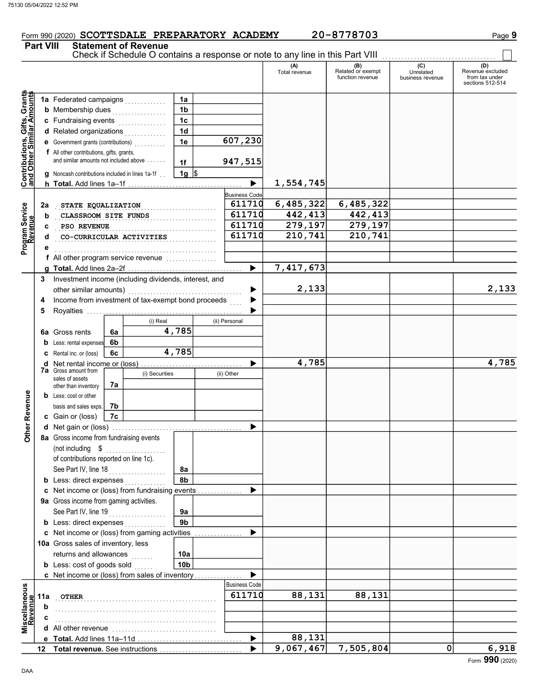# Form 990 (2020) SCOTTSDALE PREPARATORY ACADEMY 20-8778703 Page 9

Check if Schedule O contains a response or note to any line in this Part VIII

#### (A) (B) (C) (D) Total revenue Related or exempt Unrelated Revenue excluded function revenue business revenue from tax under sections 512-514 **1a** Federated campaigns **and Table 1 b** Membership dues <sub>.</sub> . . . . . . . . . . . . . . **c** Fundraising events **..............**... **d** Related organizations  $\ldots$ e Government grants (contributions) . . . . . . . . . . f All other contributions, gifts, grants, g Noncash contributions included in lines 1a-1f. h Total. Add lines 1a–1f . . . . . . . . . . . . . . . . . . . . . . . . . . . . . . . . . . . . and similar amounts not included above . . . . . . 1a 1b 1c 1d 1e 1f  $\blacktriangleright$ STATE EQUALIZATION 611710 6,485,322 6,485,322 CLASSROOM SITE FUNDS 611710 442,413 442,413 <u>. PSU REVENUE</u> . . . . . . . . . . . . . . . . . . . . . . . . . . . . . . . . . . . . . . . . . . . . . . . . . . . CO-CURRICULAR ACTIVITIES 611710 210,741 210,741 . . . . . . . . . . . . . . . . . . . . . . . . . . . . . . . . . . . . . . . . . . . . . . . . . . . 2a g Total. Add lines 2a-2f. f All other program service revenue ................ e d c b  $\frac{\$}{\$}$ Total. Add lines 2a–2f . . . . . . . . . . . . . . . . . . . . . . . . . . . . . . . . . . . . Contributions, Gifts, Grants and Other Similar Amounts Program Service 3 Investment income (including dividends, interest, and 4 Income from investment of tax-exempt bond proceeds  $\frac{1}{1+\epsilon}$ 5 6a Gross rents **b** Less: rental expenses c Rental inc. or (loss) d Net rental income or (loss) . . . . . . . . . . . . . . . . . . . . . . . . . . . . . . . . other similar amounts) . . . . . . . . . . . . . . . . . . . . . . . . . . . . . . . . . . . . Royalties .... ь ▶ ▶ **Business Code**  $\blacktriangleright$ (i) Real (ii) Personal (i) Securities (ii) Other d Net gain or (loss) . . . . . . . . . . . . . . . . . . . . . . . . . . . . . . . . . . . . . . . . . c Gain or (loss) **b** Less: cost or other 7a Gross amount from sales of assets other than inventory basis and sales exps. ▶ 8a Gross income from fundraising events **b** Less: direct expenses  $\ldots$ **c** Net income or (loss) from fundraising events . . . . . . . . . . . . . (not including \$ . . . . . . . . . . . . . . . . . . . of contributions reported on line 1c). See Part IV, line 18 . . . . . . . . . . . . . . . . . . 9a Gross income from gaming activities. See Part IV, line 19 . . . . . . . . . . . . . . . . . . **b** Less: direct expenses  $\ldots$ **c** Net income or (loss) from gaming activities  $\ldots$ ............ 10a Gross sales of inventory, less returns and allowances ....... **b** Less: cost of goods sold  $\ldots$ **c** Net income or (loss) from sales of inventory  $\ldots$ .......... 11a OTHER b c d All other revenue . . . . . . . . . . . . . . . . . . . . . . . . . . . . . . . . . e Total. Add lines 11a–11d . . . . . . . . . . . . . . . . . . . . . . . . . . . . . . . . . Total revenue. See instructions ь ь 12 . . . . . . . . . . . . . . . . . . . . . . . . . . . . . . . . . . . . . . . . . . . . . . . . . . . Revenue OTHER 611710 88,131 88,131 . . . . . . . . . . . . . . . . . . . . . . . . . . . . . . . . . . . . . . . . . . . . . . . . . . . . . . . . . . . . . . . . . . . . . . . . . . . . . . . . . . . . . . . . . . . . . . . . . . . . . .  $\begin{array}{|c|c|c|}\n\hline \multicolumn{1}{|c|}{\text{B} \text{ is}} & \multicolumn{1}{|c|}{\text{B} \text{ is}} & \multicolumn{1}{|c|}{\text{B} \text{ is}} & \multicolumn{1}{|c|}{\text{B} \text{ is}} & \multicolumn{1}{|c|}{\text{B} \text{ is}} & \multicolumn{1}{|c|}{\text{B} \text{ is}} & \multicolumn{1}{|c|}{\text{B} \text{ is}} & \multicolumn{1}{|c|}{\text{B} \text{ is}} & \multicolumn{1}{|c|}{\text{B} \text{ is}} & \multicolumn{$  Other Revenue ь Revenue C. PSO REVENUE 611710 279,197 279,197<br>
d CO-CURRICULAR ACTIVITIES<br>
d CO-CURRICULAR ACTIVITIES 611710 210,741 210,741 1g  $\vert$ \$ 6a 6b 6c 7a 7b 7c 8a 8b 9a 9b 10a 10b 607,230 947,515 1,554,745 7,417,673 2,133 2,133 4,785 4,785 4,785 4,785 88,131 9,067,467 7,505,804 0 6,918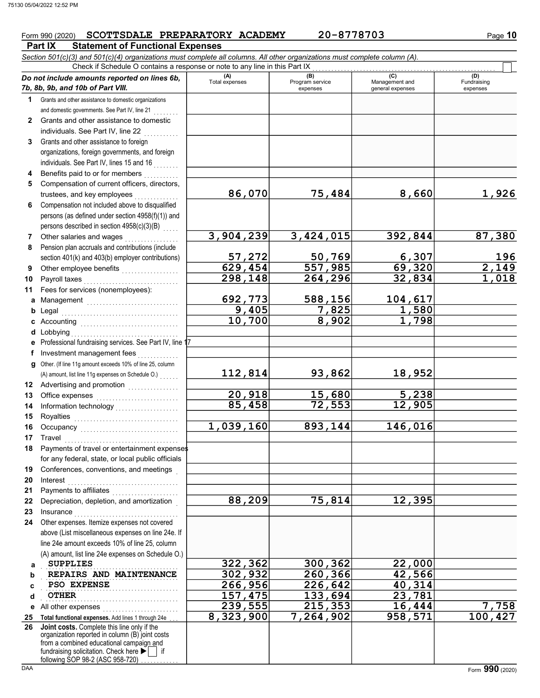### Form 990 (2020) SCOTTSDALE PREPARATORY ACADEMY 20-8778703 Page 10

**Part IX Statement of Functional Expenses** 

|                | Section 501(c)(3) and 501(c)(4) organizations must complete all columns. All other organizations must complete column (A).<br>Check if Schedule O contains a response or note to any line in this Part IX                                                                      |                       |                        |                       |                     |  |  |  |  |  |  |  |
|----------------|--------------------------------------------------------------------------------------------------------------------------------------------------------------------------------------------------------------------------------------------------------------------------------|-----------------------|------------------------|-----------------------|---------------------|--|--|--|--|--|--|--|
|                |                                                                                                                                                                                                                                                                                |                       |                        |                       |                     |  |  |  |  |  |  |  |
|                | Do not include amounts reported on lines 6b,                                                                                                                                                                                                                                   | (A)<br>Total expenses | (B)<br>Program service | (C)<br>Management and | (D)<br>Fundraising  |  |  |  |  |  |  |  |
|                | 7b, 8b, 9b, and 10b of Part VIII.                                                                                                                                                                                                                                              |                       | expenses               | general expenses      | expenses            |  |  |  |  |  |  |  |
| 1              | Grants and other assistance to domestic organizations                                                                                                                                                                                                                          |                       |                        |                       |                     |  |  |  |  |  |  |  |
|                | and domestic governments. See Part IV, line 21                                                                                                                                                                                                                                 |                       |                        |                       |                     |  |  |  |  |  |  |  |
| $\mathbf{2}^-$ | Grants and other assistance to domestic                                                                                                                                                                                                                                        |                       |                        |                       |                     |  |  |  |  |  |  |  |
|                | individuals. See Part IV, line 22                                                                                                                                                                                                                                              |                       |                        |                       |                     |  |  |  |  |  |  |  |
| 3              | Grants and other assistance to foreign                                                                                                                                                                                                                                         |                       |                        |                       |                     |  |  |  |  |  |  |  |
|                | organizations, foreign governments, and foreign                                                                                                                                                                                                                                |                       |                        |                       |                     |  |  |  |  |  |  |  |
|                | individuals. See Part IV, lines 15 and 16<br>Benefits paid to or for members                                                                                                                                                                                                   |                       |                        |                       |                     |  |  |  |  |  |  |  |
| 4<br>5         | Compensation of current officers, directors,                                                                                                                                                                                                                                   |                       |                        |                       |                     |  |  |  |  |  |  |  |
|                | trustees, and key employees                                                                                                                                                                                                                                                    | 86,070                | 75,484                 | 8,660                 | 1,926               |  |  |  |  |  |  |  |
| 6              | Compensation not included above to disqualified                                                                                                                                                                                                                                |                       |                        |                       |                     |  |  |  |  |  |  |  |
|                | persons (as defined under section 4958(f)(1)) and                                                                                                                                                                                                                              |                       |                        |                       |                     |  |  |  |  |  |  |  |
|                | persons described in section 4958(c)(3)(B)                                                                                                                                                                                                                                     |                       |                        |                       |                     |  |  |  |  |  |  |  |
| 7              | Other salaries and wages                                                                                                                                                                                                                                                       | 3,904,239             | 3,424,015              | 392,844               | 87,380              |  |  |  |  |  |  |  |
| 8              | Pension plan accruals and contributions (include                                                                                                                                                                                                                               |                       |                        |                       |                     |  |  |  |  |  |  |  |
|                | section 401(k) and 403(b) employer contributions)                                                                                                                                                                                                                              | 57,272                | 50,769                 | <u>6,307</u>          |                     |  |  |  |  |  |  |  |
| 9              | Other employee benefits                                                                                                                                                                                                                                                        | 629,454               | 557,985                | 69,320                | $\frac{196}{2,149}$ |  |  |  |  |  |  |  |
| 10             |                                                                                                                                                                                                                                                                                | 298,148               | 264,296                | 32,834                | 1,018               |  |  |  |  |  |  |  |
| 11             | Fees for services (nonemployees):                                                                                                                                                                                                                                              |                       |                        |                       |                     |  |  |  |  |  |  |  |
| а              |                                                                                                                                                                                                                                                                                | 692,773               | 588,156                | 104,617               |                     |  |  |  |  |  |  |  |
| b              | Legal                                                                                                                                                                                                                                                                          | 9,405                 | 7,825                  | 1,580                 |                     |  |  |  |  |  |  |  |
| c              |                                                                                                                                                                                                                                                                                | 10,700                | 8,902                  | 1,798                 |                     |  |  |  |  |  |  |  |
| d              | Lobbying                                                                                                                                                                                                                                                                       |                       |                        |                       |                     |  |  |  |  |  |  |  |
| е              | Professional fundraising services. See Part IV, line 17                                                                                                                                                                                                                        |                       |                        |                       |                     |  |  |  |  |  |  |  |
| f              | Investment management fees                                                                                                                                                                                                                                                     |                       |                        |                       |                     |  |  |  |  |  |  |  |
| a              | Other. (If line 11g amount exceeds 10% of line 25, column                                                                                                                                                                                                                      |                       |                        |                       |                     |  |  |  |  |  |  |  |
|                | (A) amount, list line 11g expenses on Schedule O.) [11]                                                                                                                                                                                                                        | 112,814               | 93,862                 | 18,952                |                     |  |  |  |  |  |  |  |
| 12             |                                                                                                                                                                                                                                                                                |                       |                        |                       |                     |  |  |  |  |  |  |  |
| 13             | Office expenses                                                                                                                                                                                                                                                                | 20,918                | 15,680                 | 5,238                 |                     |  |  |  |  |  |  |  |
| 14             |                                                                                                                                                                                                                                                                                | 85,458                | 72,553                 | 12,905                |                     |  |  |  |  |  |  |  |
| 15             |                                                                                                                                                                                                                                                                                |                       |                        |                       |                     |  |  |  |  |  |  |  |
| 16             |                                                                                                                                                                                                                                                                                | 1,039,160             | 893,144                | 146,016               |                     |  |  |  |  |  |  |  |
| 17             |                                                                                                                                                                                                                                                                                |                       |                        |                       |                     |  |  |  |  |  |  |  |
|                | 18 Payments of travel or entertainment expenses                                                                                                                                                                                                                                |                       |                        |                       |                     |  |  |  |  |  |  |  |
|                | for any federal, state, or local public officials                                                                                                                                                                                                                              |                       |                        |                       |                     |  |  |  |  |  |  |  |
| 19             | Conferences, conventions, and meetings                                                                                                                                                                                                                                         |                       |                        |                       |                     |  |  |  |  |  |  |  |
| 20             | Interest                                                                                                                                                                                                                                                                       |                       |                        |                       |                     |  |  |  |  |  |  |  |
| 21<br>22       | Payments to affiliates [11] contains a series and payments to affiliate succession of the series of the series<br>Depreciation, depletion, and amortization                                                                                                                    | 88,209                | 75,814                 | 12,395                |                     |  |  |  |  |  |  |  |
| 23             |                                                                                                                                                                                                                                                                                |                       |                        |                       |                     |  |  |  |  |  |  |  |
| 24             | Insurance with a construction of the state of the state of the state of the state of the state of the state of the state of the state of the state of the state of the state of the state of the state of the state of the sta<br>Other expenses. Itemize expenses not covered |                       |                        |                       |                     |  |  |  |  |  |  |  |
|                | above (List miscellaneous expenses on line 24e. If                                                                                                                                                                                                                             |                       |                        |                       |                     |  |  |  |  |  |  |  |
|                | line 24e amount exceeds 10% of line 25, column                                                                                                                                                                                                                                 |                       |                        |                       |                     |  |  |  |  |  |  |  |
|                | (A) amount, list line 24e expenses on Schedule O.)                                                                                                                                                                                                                             |                       |                        |                       |                     |  |  |  |  |  |  |  |
| а              | <b>SUPPLIES</b>                                                                                                                                                                                                                                                                | 322,362               | 300,362                | 22,000                |                     |  |  |  |  |  |  |  |
| b              | REPAIRS AND MAINTENANCE                                                                                                                                                                                                                                                        | 302,932               | 260,366                | 42,566                |                     |  |  |  |  |  |  |  |
| c              | <b>PSO EXPENSE</b>                                                                                                                                                                                                                                                             | 266,956               | 226,642                | 40,314                |                     |  |  |  |  |  |  |  |
| d              | <b>OTHER</b>                                                                                                                                                                                                                                                                   | 157,475               | 133,694                | 23,781                |                     |  |  |  |  |  |  |  |
| е              | All other expenses                                                                                                                                                                                                                                                             | 239,555               | $\overline{215}$ , 353 | 16,444                | 7,758               |  |  |  |  |  |  |  |
| 25             | Total functional expenses. Add lines 1 through 24e                                                                                                                                                                                                                             | 8,323,900             | 7,264,902              | 958,571               | 100,427             |  |  |  |  |  |  |  |
| 26             | Joint costs. Complete this line only if the<br>organization reported in column (B) joint costs                                                                                                                                                                                 |                       |                        |                       |                     |  |  |  |  |  |  |  |
|                | from a combined educational campaign and<br>fundraising solicitation. Check here $\blacktriangleright$<br>l if<br>following SOP 98-2 (ASC 958-720)                                                                                                                             |                       |                        |                       |                     |  |  |  |  |  |  |  |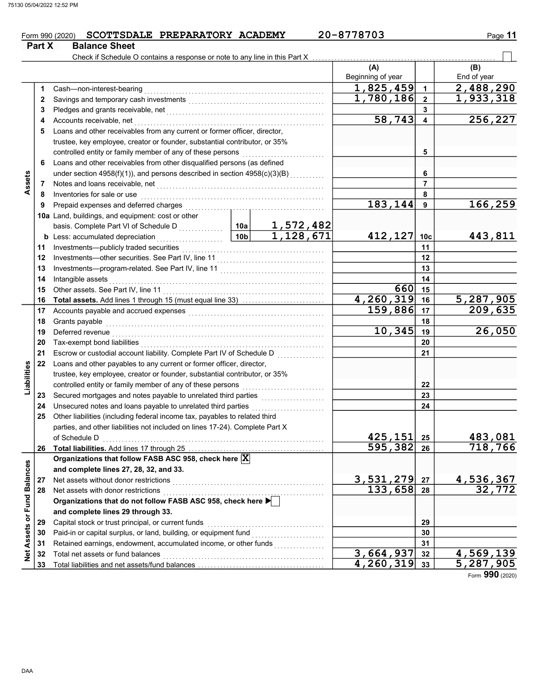#### Form 990 (2020) **SCOTTSDALE PREPARATORY ACADEMY**  $20-8778703$  Page 11 SCOTTSDALE PREPARATORY ACADEMY 20-8778703

|                             | Part X   | <b>Balance Sheet</b>                                                                                                                                                                                                                                                                                                                                                                                                                                                                                                                           |                     |           |                   |                         |             |  |
|-----------------------------|----------|------------------------------------------------------------------------------------------------------------------------------------------------------------------------------------------------------------------------------------------------------------------------------------------------------------------------------------------------------------------------------------------------------------------------------------------------------------------------------------------------------------------------------------------------|---------------------|-----------|-------------------|-------------------------|-------------|--|
|                             |          | Check if Schedule O contains a response or note to any line in this Part X                                                                                                                                                                                                                                                                                                                                                                                                                                                                     |                     |           |                   |                         |             |  |
|                             |          |                                                                                                                                                                                                                                                                                                                                                                                                                                                                                                                                                |                     |           | (A)               |                         | (B)         |  |
|                             |          |                                                                                                                                                                                                                                                                                                                                                                                                                                                                                                                                                |                     |           | Beginning of year |                         | End of year |  |
|                             | 1        | $\textbf{Cash—non-interest-bearing} \label{q:task} \begin{minipage}[c]{0.9\textwidth} \begin{minipage}[c]{0.9\textwidth} \centering \begin{minipage}[c]{0.9\textwidth} \centering \end{minipage}[c]{0.9\textwidth} \centering \begin{minipage}[c]{0.9\textwidth} \centering \end{minipage}[c]{0.9\textwidth} \centering \begin{minipage}[c]{0.9\textwidth} \centering \end{minipage}[c]{0.9\textwidth} \centering \begin{minipage}[c]{0.9\textwidth} \centering \end{minipage}[c]{0.9\textwidth} \centering \begin{minipage}[c]{0.9\textwidth$ |                     |           | 1,825,459         | $\overline{\mathbf{1}}$ | 2,488,290   |  |
|                             | 2        |                                                                                                                                                                                                                                                                                                                                                                                                                                                                                                                                                |                     |           | 1,780,186         | $\overline{\mathbf{2}}$ | 1,933,318   |  |
|                             | 3        | Pledges and grants receivable, net <b>construct to the construct of the set of the construct of the construct of the construct of the construction</b>                                                                                                                                                                                                                                                                                                                                                                                         |                     |           |                   | 3                       |             |  |
|                             | 4        | Accounts receivable, net                                                                                                                                                                                                                                                                                                                                                                                                                                                                                                                       |                     |           | 58,743            | 4                       | 256,227     |  |
|                             | 5        | Loans and other receivables from any current or former officer, director,                                                                                                                                                                                                                                                                                                                                                                                                                                                                      |                     |           |                   |                         |             |  |
|                             |          | trustee, key employee, creator or founder, substantial contributor, or 35%                                                                                                                                                                                                                                                                                                                                                                                                                                                                     |                     |           |                   |                         |             |  |
|                             |          |                                                                                                                                                                                                                                                                                                                                                                                                                                                                                                                                                |                     |           |                   | 5                       |             |  |
|                             | 6        | Loans and other receivables from other disqualified persons (as defined                                                                                                                                                                                                                                                                                                                                                                                                                                                                        |                     |           |                   |                         |             |  |
|                             |          | under section 4958(f)(1)), and persons described in section 4958(c)(3)(B)                                                                                                                                                                                                                                                                                                                                                                                                                                                                      |                     |           |                   | 6                       |             |  |
| Assets                      | 7        |                                                                                                                                                                                                                                                                                                                                                                                                                                                                                                                                                |                     |           |                   | $\overline{7}$          |             |  |
|                             | 8        | Inventories for sale or use                                                                                                                                                                                                                                                                                                                                                                                                                                                                                                                    |                     |           |                   |                         |             |  |
|                             | 9        |                                                                                                                                                                                                                                                                                                                                                                                                                                                                                                                                                |                     |           | 183,144           | - 9                     | 166,259     |  |
|                             |          | 10a Land, buildings, and equipment: cost or other                                                                                                                                                                                                                                                                                                                                                                                                                                                                                              |                     |           |                   |                         |             |  |
|                             |          | basis. Complete Part VI of Schedule D                                                                                                                                                                                                                                                                                                                                                                                                                                                                                                          | $\vert$ 10a $\vert$ | 1,572,482 |                   |                         |             |  |
|                             |          | <b>b</b> Less: accumulated depreciation                                                                                                                                                                                                                                                                                                                                                                                                                                                                                                        | 10 <sub>b</sub>     | 1,128,671 | 412, 127          | 10 <sub>c</sub>         | 443,811     |  |
|                             | 11       |                                                                                                                                                                                                                                                                                                                                                                                                                                                                                                                                                |                     |           |                   | 11                      |             |  |
|                             | 12       |                                                                                                                                                                                                                                                                                                                                                                                                                                                                                                                                                |                     |           |                   | 12                      |             |  |
|                             | 13       |                                                                                                                                                                                                                                                                                                                                                                                                                                                                                                                                                |                     | 13        |                   |                         |             |  |
|                             | 14       | Intangible assets                                                                                                                                                                                                                                                                                                                                                                                                                                                                                                                              |                     |           |                   | 14                      |             |  |
|                             | 15       |                                                                                                                                                                                                                                                                                                                                                                                                                                                                                                                                                |                     |           | 660               | 15                      |             |  |
|                             | 16       |                                                                                                                                                                                                                                                                                                                                                                                                                                                                                                                                                |                     |           | 4,260,319         | 16                      | 5,287,905   |  |
|                             | 17       |                                                                                                                                                                                                                                                                                                                                                                                                                                                                                                                                                |                     | 159,886   | 17                | 209,635                 |             |  |
|                             | 18       | Grants payable                                                                                                                                                                                                                                                                                                                                                                                                                                                                                                                                 |                     |           | 18                |                         |             |  |
|                             | 19       | Deferred revenue <b>construction of the construction of the construction of the construction</b>                                                                                                                                                                                                                                                                                                                                                                                                                                               |                     | 10,345    | 19                | 26,050                  |             |  |
|                             | 20       |                                                                                                                                                                                                                                                                                                                                                                                                                                                                                                                                                |                     |           |                   | 20                      |             |  |
|                             | 21       | Escrow or custodial account liability. Complete Part IV of Schedule D                                                                                                                                                                                                                                                                                                                                                                                                                                                                          |                     |           |                   | 21                      |             |  |
| Liabilities                 | 22       | Loans and other payables to any current or former officer, director,                                                                                                                                                                                                                                                                                                                                                                                                                                                                           |                     |           |                   |                         |             |  |
|                             |          | trustee, key employee, creator or founder, substantial contributor, or 35%                                                                                                                                                                                                                                                                                                                                                                                                                                                                     |                     |           |                   |                         |             |  |
|                             |          |                                                                                                                                                                                                                                                                                                                                                                                                                                                                                                                                                |                     |           |                   | 22<br>23                |             |  |
|                             | 23<br>24 | Unsecured notes and loans payable to unrelated third parties                                                                                                                                                                                                                                                                                                                                                                                                                                                                                   |                     |           |                   | 24                      |             |  |
|                             | 25       | Other liabilities (including federal income tax, payables to related third                                                                                                                                                                                                                                                                                                                                                                                                                                                                     |                     |           |                   |                         |             |  |
|                             |          | parties, and other liabilities not included on lines 17-24). Complete Part X                                                                                                                                                                                                                                                                                                                                                                                                                                                                   |                     |           |                   |                         |             |  |
|                             |          | of Schedule D                                                                                                                                                                                                                                                                                                                                                                                                                                                                                                                                  |                     |           | 425, 151 25       |                         | 483,081     |  |
|                             | 26       |                                                                                                                                                                                                                                                                                                                                                                                                                                                                                                                                                |                     |           | 595,382           | 26                      | 718,766     |  |
|                             |          | Organizations that follow FASB ASC 958, check here X                                                                                                                                                                                                                                                                                                                                                                                                                                                                                           |                     |           |                   |                         |             |  |
|                             |          | and complete lines 27, 28, 32, and 33.                                                                                                                                                                                                                                                                                                                                                                                                                                                                                                         |                     |           |                   |                         |             |  |
|                             | 27       | Net assets without donor restrictions                                                                                                                                                                                                                                                                                                                                                                                                                                                                                                          |                     |           | 3,531,279         | 27                      | 4,536,367   |  |
|                             | 28       | Net assets with donor restrictions                                                                                                                                                                                                                                                                                                                                                                                                                                                                                                             |                     |           | 133,658           | 28                      | 32,772      |  |
|                             |          | Net assets with donor restrictions<br>Organizations that do not follow FASB ASC 958, check here ▶ │                                                                                                                                                                                                                                                                                                                                                                                                                                            |                     |           |                   |                         |             |  |
|                             |          | and complete lines 29 through 33.                                                                                                                                                                                                                                                                                                                                                                                                                                                                                                              |                     |           |                   |                         |             |  |
|                             | 29       | Capital stock or trust principal, or current funds                                                                                                                                                                                                                                                                                                                                                                                                                                                                                             |                     |           |                   | 29                      |             |  |
|                             | 30       | Paid-in or capital surplus, or land, building, or equipment fund                                                                                                                                                                                                                                                                                                                                                                                                                                                                               |                     |           |                   | 30                      |             |  |
|                             | 31       | Retained earnings, endowment, accumulated income, or other funds                                                                                                                                                                                                                                                                                                                                                                                                                                                                               |                     |           |                   | 31                      |             |  |
| Net Assets or Fund Balances | 32       | Total net assets or fund balances                                                                                                                                                                                                                                                                                                                                                                                                                                                                                                              |                     |           | 3,664,937         | 32                      | 4,569,139   |  |
|                             | 33       |                                                                                                                                                                                                                                                                                                                                                                                                                                                                                                                                                |                     |           | 4,260,319         | 33                      | 5,287,905   |  |

Form 990 (2020)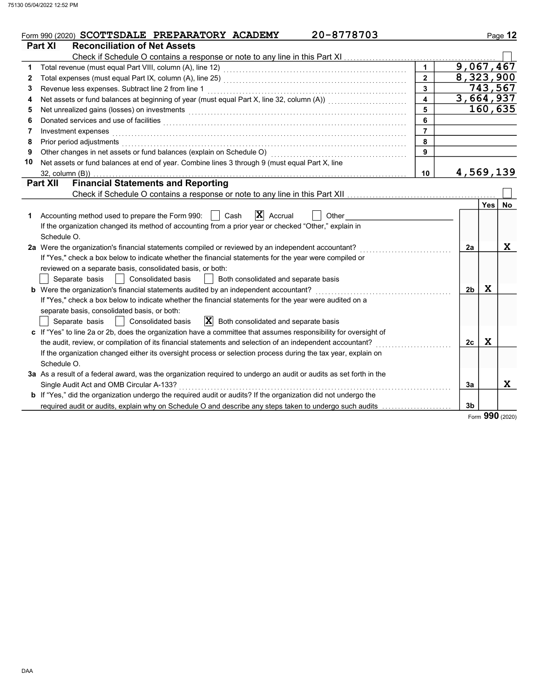|    | 20-8778703<br>Form 990 (2020) SCOTTSDALE PREPARATORY ACADEMY                                                                                                                                                                        |                |                |             | Page 12 |  |
|----|-------------------------------------------------------------------------------------------------------------------------------------------------------------------------------------------------------------------------------------|----------------|----------------|-------------|---------|--|
|    | <b>Reconciliation of Net Assets</b><br>Part XI                                                                                                                                                                                      |                |                |             |         |  |
|    |                                                                                                                                                                                                                                     |                |                |             |         |  |
| 1  |                                                                                                                                                                                                                                     |                | 9,067,467      |             |         |  |
| 2  |                                                                                                                                                                                                                                     | $\overline{2}$ | 8,323,900      |             |         |  |
| 3  | Revenue less expenses. Subtract line 2 from line 1                                                                                                                                                                                  | $\overline{3}$ |                |             | 743,567 |  |
| 4  |                                                                                                                                                                                                                                     | 4              |                | 3,664,937   |         |  |
| 5  | Net unrealized gains (losses) on investments                                                                                                                                                                                        | 5              |                |             | 160,635 |  |
| 6  | Donated services and use of facilities <b>constructs</b> and the service of the service of the service of the service of the service of the service of the service of the service of the service of the service of the service of t | 6              |                |             |         |  |
| 7  | Investment expenses                                                                                                                                                                                                                 | $\overline{7}$ |                |             |         |  |
| 8  | Prior period adjustments                                                                                                                                                                                                            | 8              |                |             |         |  |
| 9  | Other changes in net assets or fund balances (explain on Schedule O)                                                                                                                                                                | 9              |                |             |         |  |
| 10 | Net assets or fund balances at end of year. Combine lines 3 through 9 (must equal Part X, line                                                                                                                                      |                |                |             |         |  |
|    | 32, column (B))                                                                                                                                                                                                                     | 10             | 4,569,139      |             |         |  |
|    | <b>Financial Statements and Reporting</b><br><b>Part XII</b>                                                                                                                                                                        |                |                |             |         |  |
|    |                                                                                                                                                                                                                                     |                |                |             |         |  |
|    |                                                                                                                                                                                                                                     |                |                | Yes         | No      |  |
| 1  | X Accrual<br>Accounting method used to prepare the Form 990:<br>Cash<br>Other                                                                                                                                                       |                |                |             |         |  |
|    | If the organization changed its method of accounting from a prior year or checked "Other," explain in                                                                                                                               |                |                |             |         |  |
|    | Schedule O.                                                                                                                                                                                                                         |                |                |             |         |  |
|    | 2a Were the organization's financial statements compiled or reviewed by an independent accountant?                                                                                                                                  |                | 2a             |             | X       |  |
|    | If "Yes," check a box below to indicate whether the financial statements for the year were compiled or                                                                                                                              |                |                |             |         |  |
|    | reviewed on a separate basis, consolidated basis, or both:                                                                                                                                                                          |                |                |             |         |  |
|    | Separate basis<br>Consolidated basis<br>Both consolidated and separate basis                                                                                                                                                        |                |                |             |         |  |
|    | b Were the organization's financial statements audited by an independent accountant?                                                                                                                                                |                | 2 <sub>b</sub> | X           |         |  |
|    | If "Yes," check a box below to indicate whether the financial statements for the year were audited on a                                                                                                                             |                |                |             |         |  |
|    | separate basis, consolidated basis, or both:                                                                                                                                                                                        |                |                |             |         |  |
|    | $ \mathbf{X} $ Both consolidated and separate basis<br>Separate basis<br><b>Consolidated basis</b>                                                                                                                                  |                |                |             |         |  |
|    | c If "Yes" to line 2a or 2b, does the organization have a committee that assumes responsibility for oversight of                                                                                                                    |                |                |             |         |  |
|    | the audit, review, or compilation of its financial statements and selection of an independent accountant?                                                                                                                           |                | 2c             | $\mathbf x$ |         |  |
|    | If the organization changed either its oversight process or selection process during the tax year, explain on                                                                                                                       |                |                |             |         |  |
|    | Schedule O.                                                                                                                                                                                                                         |                |                |             |         |  |
|    | 3a As a result of a federal award, was the organization required to undergo an audit or audits as set forth in the                                                                                                                  |                |                |             |         |  |
|    | Single Audit Act and OMB Circular A-133?                                                                                                                                                                                            |                | 3a             |             | X       |  |
|    | b If "Yes," did the organization undergo the required audit or audits? If the organization did not undergo the                                                                                                                      |                |                |             |         |  |
|    | required audit or audits, explain why on Schedule O and describe any steps taken to undergo such audits                                                                                                                             |                | 3 <sub>b</sub> |             |         |  |

Form 990 (2020)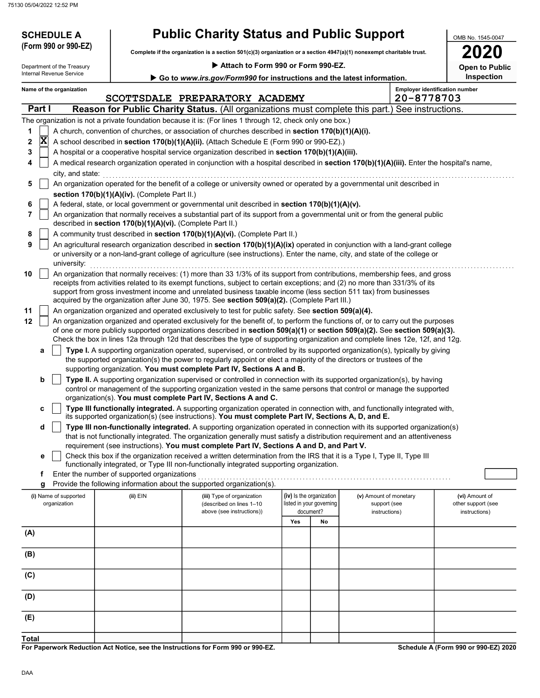75130 05/04/2022 12:52 PM

| <b>SCHEDULE A</b>                     |                                                            | <b>Public Charity Status and Public Support</b>                                                                                                                                                                                                     |                                                      |    |                                        | OMB No. 1545-0047                     |  |
|---------------------------------------|------------------------------------------------------------|-----------------------------------------------------------------------------------------------------------------------------------------------------------------------------------------------------------------------------------------------------|------------------------------------------------------|----|----------------------------------------|---------------------------------------|--|
| (Form 990 or 990-EZ)                  |                                                            | Complete if the organization is a section 501(c)(3) organization or a section 4947(a)(1) nonexempt charitable trust.                                                                                                                                |                                                      |    |                                        |                                       |  |
| Department of the Treasury            |                                                            | Attach to Form 990 or Form 990-EZ.                                                                                                                                                                                                                  |                                                      |    |                                        | <b>Open to Public</b>                 |  |
| Internal Revenue Service              |                                                            | Go to www.irs.gov/Form990 for instructions and the latest information.                                                                                                                                                                              |                                                      |    |                                        | Inspection                            |  |
| Name of the organization              |                                                            |                                                                                                                                                                                                                                                     |                                                      |    |                                        | <b>Employer identification number</b> |  |
|                                       |                                                            | SCOTTSDALE PREPARATORY ACADEMY                                                                                                                                                                                                                      |                                                      |    | 20-8778703                             |                                       |  |
| Part I                                |                                                            | Reason for Public Charity Status. (All organizations must complete this part.) See instructions.                                                                                                                                                    |                                                      |    |                                        |                                       |  |
|                                       |                                                            | The organization is not a private foundation because it is: (For lines 1 through 12, check only one box.)                                                                                                                                           |                                                      |    |                                        |                                       |  |
| 1<br>$\mathbf{x}$<br>2                |                                                            | A church, convention of churches, or association of churches described in section 170(b)(1)(A)(i).<br>A school described in section 170(b)(1)(A)(ii). (Attach Schedule E (Form 990 or 990-EZ).)                                                     |                                                      |    |                                        |                                       |  |
| 3                                     |                                                            | A hospital or a cooperative hospital service organization described in section 170(b)(1)(A)(iii).                                                                                                                                                   |                                                      |    |                                        |                                       |  |
| 4                                     |                                                            | A medical research organization operated in conjunction with a hospital described in section 170(b)(1)(A)(iii). Enter the hospital's name,                                                                                                          |                                                      |    |                                        |                                       |  |
| city, and state:                      |                                                            |                                                                                                                                                                                                                                                     |                                                      |    |                                        |                                       |  |
| 5                                     |                                                            | An organization operated for the benefit of a college or university owned or operated by a governmental unit described in                                                                                                                           |                                                      |    |                                        |                                       |  |
|                                       | section 170(b)(1)(A)(iv). (Complete Part II.)              |                                                                                                                                                                                                                                                     |                                                      |    |                                        |                                       |  |
| 6                                     |                                                            | A federal, state, or local government or governmental unit described in section 170(b)(1)(A)(v).                                                                                                                                                    |                                                      |    |                                        |                                       |  |
| 7                                     | described in section 170(b)(1)(A)(vi). (Complete Part II.) | An organization that normally receives a substantial part of its support from a governmental unit or from the general public                                                                                                                        |                                                      |    |                                        |                                       |  |
| 8                                     |                                                            | A community trust described in section 170(b)(1)(A)(vi). (Complete Part II.)                                                                                                                                                                        |                                                      |    |                                        |                                       |  |
| 9                                     |                                                            | An agricultural research organization described in section 170(b)(1)(A)(ix) operated in conjunction with a land-grant college                                                                                                                       |                                                      |    |                                        |                                       |  |
|                                       |                                                            | or university or a non-land-grant college of agriculture (see instructions). Enter the name, city, and state of the college or                                                                                                                      |                                                      |    |                                        |                                       |  |
| university:<br>10                     |                                                            | An organization that normally receives: (1) more than 33 1/3% of its support from contributions, membership fees, and gross                                                                                                                         |                                                      |    |                                        |                                       |  |
|                                       |                                                            | receipts from activities related to its exempt functions, subject to certain exceptions; and (2) no more than 331/3% of its                                                                                                                         |                                                      |    |                                        |                                       |  |
|                                       |                                                            | support from gross investment income and unrelated business taxable income (less section 511 tax) from businesses                                                                                                                                   |                                                      |    |                                        |                                       |  |
| 11                                    |                                                            | acquired by the organization after June 30, 1975. See section 509(a)(2). (Complete Part III.)<br>An organization organized and operated exclusively to test for public safety. See section 509(a)(4).                                               |                                                      |    |                                        |                                       |  |
| 12                                    |                                                            | An organization organized and operated exclusively for the benefit of, to perform the functions of, or to carry out the purposes                                                                                                                    |                                                      |    |                                        |                                       |  |
|                                       |                                                            | of one or more publicly supported organizations described in section 509(a)(1) or section 509(a)(2). See section 509(a)(3).                                                                                                                         |                                                      |    |                                        |                                       |  |
|                                       |                                                            | Check the box in lines 12a through 12d that describes the type of supporting organization and complete lines 12e, 12f, and 12g.                                                                                                                     |                                                      |    |                                        |                                       |  |
| a                                     |                                                            | Type I. A supporting organization operated, supervised, or controlled by its supported organization(s), typically by giving<br>the supported organization(s) the power to regularly appoint or elect a majority of the directors or trustees of the |                                                      |    |                                        |                                       |  |
|                                       |                                                            | supporting organization. You must complete Part IV, Sections A and B.                                                                                                                                                                               |                                                      |    |                                        |                                       |  |
| b                                     |                                                            | Type II. A supporting organization supervised or controlled in connection with its supported organization(s), by having                                                                                                                             |                                                      |    |                                        |                                       |  |
|                                       |                                                            | control or management of the supporting organization vested in the same persons that control or manage the supported                                                                                                                                |                                                      |    |                                        |                                       |  |
|                                       |                                                            | organization(s). You must complete Part IV, Sections A and C.<br>Type III functionally integrated. A supporting organization operated in connection with, and functionally integrated with,                                                         |                                                      |    |                                        |                                       |  |
| c                                     |                                                            | its supported organization(s) (see instructions). You must complete Part IV, Sections A, D, and E.                                                                                                                                                  |                                                      |    |                                        |                                       |  |
| d                                     |                                                            | Type III non-functionally integrated. A supporting organization operated in connection with its supported organization(s)                                                                                                                           |                                                      |    |                                        |                                       |  |
|                                       |                                                            | that is not functionally integrated. The organization generally must satisfy a distribution requirement and an attentiveness<br>requirement (see instructions). You must complete Part IV, Sections A and D, and Part V.                            |                                                      |    |                                        |                                       |  |
| е                                     |                                                            | Check this box if the organization received a written determination from the IRS that it is a Type I, Type II, Type III                                                                                                                             |                                                      |    |                                        |                                       |  |
|                                       |                                                            | functionally integrated, or Type III non-functionally integrated supporting organization.                                                                                                                                                           |                                                      |    |                                        |                                       |  |
| f                                     | Enter the number of supported organizations                |                                                                                                                                                                                                                                                     |                                                      |    |                                        |                                       |  |
| g                                     |                                                            | Provide the following information about the supported organization(s).                                                                                                                                                                              |                                                      |    |                                        |                                       |  |
| (i) Name of supported<br>organization | $(ii)$ EIN                                                 | (iii) Type of organization<br>(described on lines 1-10                                                                                                                                                                                              | (iv) Is the organization<br>listed in your governing |    | (v) Amount of monetary<br>support (see | (vi) Amount of<br>other support (see  |  |
|                                       |                                                            | above (see instructions))                                                                                                                                                                                                                           | document?                                            |    | instructions)                          | instructions)                         |  |
|                                       |                                                            |                                                                                                                                                                                                                                                     | Yes                                                  | No |                                        |                                       |  |
| (A)                                   |                                                            |                                                                                                                                                                                                                                                     |                                                      |    |                                        |                                       |  |
| (B)                                   |                                                            |                                                                                                                                                                                                                                                     |                                                      |    |                                        |                                       |  |
|                                       |                                                            |                                                                                                                                                                                                                                                     |                                                      |    |                                        |                                       |  |
| (C)                                   |                                                            |                                                                                                                                                                                                                                                     |                                                      |    |                                        |                                       |  |
|                                       |                                                            |                                                                                                                                                                                                                                                     |                                                      |    |                                        |                                       |  |
| (D)                                   |                                                            |                                                                                                                                                                                                                                                     |                                                      |    |                                        |                                       |  |
|                                       |                                                            |                                                                                                                                                                                                                                                     |                                                      |    |                                        |                                       |  |
| (E)                                   |                                                            |                                                                                                                                                                                                                                                     |                                                      |    |                                        |                                       |  |
| Total                                 |                                                            |                                                                                                                                                                                                                                                     |                                                      |    |                                        |                                       |  |

For Paperwork Reduction Act Notice, see the Instructions for Form 990 or 990-EZ.

Schedule A (Form 990 or 990-EZ) 2020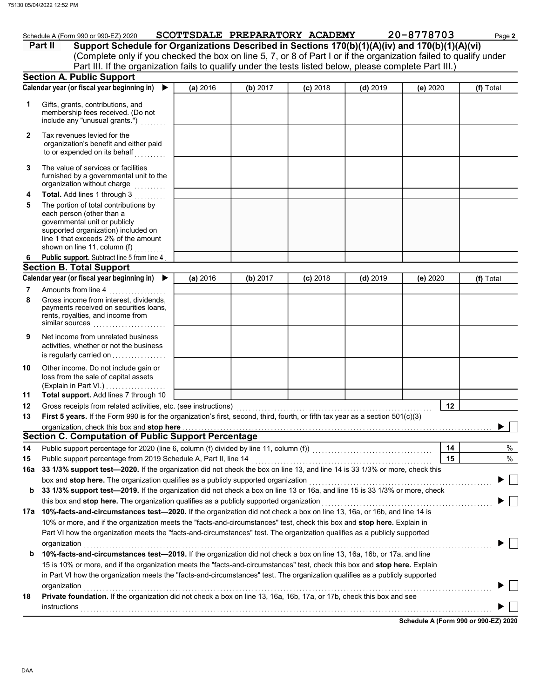|              | Schedule A (Form 990 or 990-EZ) 2020<br>Support Schedule for Organizations Described in Sections 170(b)(1)(A)(iv) and 170(b)(1)(A)(vi)<br>Part II<br>(Complete only if you checked the box on line 5, 7, or 8 of Part I or if the organization failed to qualify under |          | SCOTTSDALE PREPARATORY ACADEMY |            |            | 20-8778703 |    | Page 2    |
|--------------|------------------------------------------------------------------------------------------------------------------------------------------------------------------------------------------------------------------------------------------------------------------------|----------|--------------------------------|------------|------------|------------|----|-----------|
|              | Part III. If the organization fails to qualify under the tests listed below, please complete Part III.)                                                                                                                                                                |          |                                |            |            |            |    |           |
|              | <b>Section A. Public Support</b><br>Calendar year (or fiscal year beginning in) $\blacktriangleright$                                                                                                                                                                  |          |                                |            |            |            |    |           |
|              |                                                                                                                                                                                                                                                                        | (a) 2016 | (b) 2017                       | $(c)$ 2018 | $(d)$ 2019 | (e) 2020   |    | (f) Total |
| 1            | Gifts, grants, contributions, and<br>membership fees received. (Do not<br>include any "unusual grants.")                                                                                                                                                               |          |                                |            |            |            |    |           |
| $\mathbf{2}$ | Tax revenues levied for the<br>organization's benefit and either paid<br>to or expended on its behalf                                                                                                                                                                  |          |                                |            |            |            |    |           |
| 3            | The value of services or facilities<br>furnished by a governmental unit to the<br>organization without charge                                                                                                                                                          |          |                                |            |            |            |    |           |
| 4            | Total. Add lines 1 through 3                                                                                                                                                                                                                                           |          |                                |            |            |            |    |           |
| 5            | The portion of total contributions by<br>each person (other than a<br>governmental unit or publicly<br>supported organization) included on<br>line 1 that exceeds 2% of the amount<br>shown on line 11, column (f)                                                     |          |                                |            |            |            |    |           |
| 6            | Public support. Subtract line 5 from line 4                                                                                                                                                                                                                            |          |                                |            |            |            |    |           |
|              | <b>Section B. Total Support</b>                                                                                                                                                                                                                                        |          |                                |            |            |            |    |           |
|              | Calendar year (or fiscal year beginning in)                                                                                                                                                                                                                            | (a) 2016 | (b) 2017                       | $(c)$ 2018 | $(d)$ 2019 | (e) 2020   |    | (f) Total |
| 7<br>8       | Amounts from line 4<br>Gross income from interest, dividends,<br>payments received on securities loans,<br>rents, royalties, and income from<br>similar sources                                                                                                        |          |                                |            |            |            |    |           |
| 9            | Net income from unrelated business<br>activities, whether or not the business<br>is regularly carried on                                                                                                                                                               |          |                                |            |            |            |    |           |
| 10<br>11     | Other income. Do not include gain or<br>loss from the sale of capital assets<br>(Explain in Part VI.)<br>Total support. Add lines 7 through 10                                                                                                                         |          |                                |            |            |            |    |           |
| 12           | Gross receipts from related activities, etc. (see instructions)                                                                                                                                                                                                        |          |                                |            |            |            | 12 |           |
| 13           | First 5 years. If the Form 990 is for the organization's first, second, third, fourth, or fifth tax year as a section 501(c)(3)                                                                                                                                        |          |                                |            |            |            |    |           |
|              | organization, check this box and stop here                                                                                                                                                                                                                             |          |                                |            |            |            |    |           |
|              | <b>Section C. Computation of Public Support Percentage</b>                                                                                                                                                                                                             |          |                                |            |            |            |    |           |
| 14           |                                                                                                                                                                                                                                                                        |          |                                |            |            |            | 14 | %         |
| 15           | Public support percentage from 2019 Schedule A, Part II, line 14                                                                                                                                                                                                       |          |                                |            |            |            | 15 | %         |
| 16a          | 33 1/3% support test-2020. If the organization did not check the box on line 13, and line 14 is 33 1/3% or more, check this                                                                                                                                            |          |                                |            |            |            |    |           |
|              | box and stop here. The organization qualifies as a publicly supported organization                                                                                                                                                                                     |          |                                |            |            |            |    |           |
| b            | 33 1/3% support test-2019. If the organization did not check a box on line 13 or 16a, and line 15 is 33 1/3% or more, check                                                                                                                                            |          |                                |            |            |            |    |           |
|              | this box and stop here. The organization qualifies as a publicly supported organization                                                                                                                                                                                |          |                                |            |            |            |    |           |
|              | 17a 10%-facts-and-circumstances test-2020. If the organization did not check a box on line 13, 16a, or 16b, and line 14 is                                                                                                                                             |          |                                |            |            |            |    |           |
|              | 10% or more, and if the organization meets the "facts-and-circumstances" test, check this box and stop here. Explain in                                                                                                                                                |          |                                |            |            |            |    |           |
|              | Part VI how the organization meets the "facts-and-circumstances" test. The organization qualifies as a publicly supported                                                                                                                                              |          |                                |            |            |            |    |           |
|              | organization                                                                                                                                                                                                                                                           |          |                                |            |            |            |    |           |
| b            | 10%-facts-and-circumstances test-2019. If the organization did not check a box on line 13, 16a, 16b, or 17a, and line                                                                                                                                                  |          |                                |            |            |            |    |           |
|              | 15 is 10% or more, and if the organization meets the "facts-and-circumstances" test, check this box and stop here. Explain                                                                                                                                             |          |                                |            |            |            |    |           |
|              | in Part VI how the organization meets the "facts-and-circumstances" test. The organization qualifies as a publicly supported                                                                                                                                           |          |                                |            |            |            |    |           |
|              | organization                                                                                                                                                                                                                                                           |          |                                |            |            |            |    |           |
| 18           | Private foundation. If the organization did not check a box on line 13, 16a, 16b, 17a, or 17b, check this box and see                                                                                                                                                  |          |                                |            |            |            |    |           |
|              |                                                                                                                                                                                                                                                                        |          |                                |            |            |            |    |           |

Schedule A (Form 990 or 990-EZ) 2020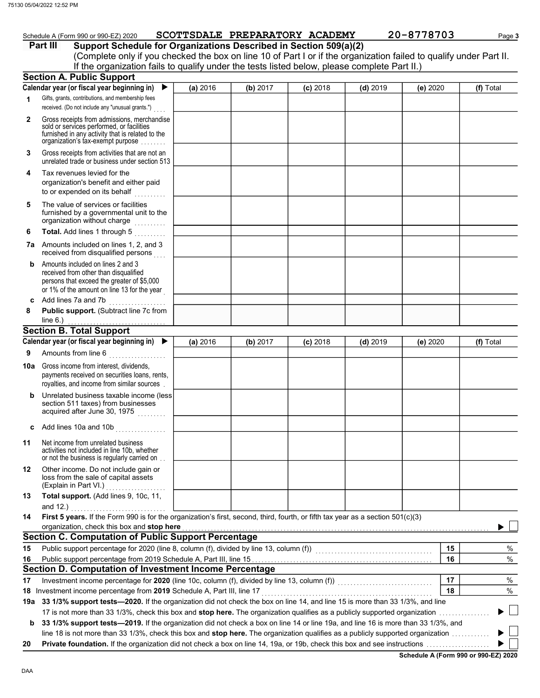| Schedule A (Form 990 or 990-EZ) 2020 | <b>SCOTTSDALE</b> | PREPARATORY ACADEMY | -8778703<br>$20 -$ | Page 3 |
|--------------------------------------|-------------------|---------------------|--------------------|--------|
| ---------<br>                        |                   |                     |                    |        |

Part III Support Schedule for Organizations Described in Section 509(a)(2) (Complete only if you checked the box on line 10 of Part I or if the organization failed to qualify under Part II. If the organization fails to qualify under the tests listed below, please complete Part II.)

|              | <b>Section A. Public Support</b>                                                                                                                                                                                                                                |          |          |            |            |          |           |
|--------------|-----------------------------------------------------------------------------------------------------------------------------------------------------------------------------------------------------------------------------------------------------------------|----------|----------|------------|------------|----------|-----------|
|              | Calendar year (or fiscal year beginning in)                                                                                                                                                                                                                     | (a) 2016 | (b) 2017 | $(c)$ 2018 | $(d)$ 2019 | (e) 2020 | (f) Total |
| 1            | Gifts, grants, contributions, and membership fees<br>received. (Do not include any "unusual grants.")                                                                                                                                                           |          |          |            |            |          |           |
|              |                                                                                                                                                                                                                                                                 |          |          |            |            |          |           |
| $\mathbf{2}$ | Gross receipts from admissions, merchandise<br>sold or services performed, or facilities<br>furnished in any activity that is related to the<br>organization's tax-exempt purpose                                                                               |          |          |            |            |          |           |
| 3            | Gross receipts from activities that are not an<br>unrelated trade or business under section 513                                                                                                                                                                 |          |          |            |            |          |           |
| 4            | Tax revenues levied for the<br>organization's benefit and either paid<br>to or expended on its behalf                                                                                                                                                           |          |          |            |            |          |           |
| 5            | The value of services or facilities<br>furnished by a governmental unit to the<br>organization without charge                                                                                                                                                   |          |          |            |            |          |           |
| 6            | Total. Add lines 1 through 5<br>.                                                                                                                                                                                                                               |          |          |            |            |          |           |
|              | 7a Amounts included on lines 1, 2, and 3<br>received from disqualified persons                                                                                                                                                                                  |          |          |            |            |          |           |
| b            | Amounts included on lines 2 and 3<br>received from other than disqualified<br>persons that exceed the greater of \$5,000<br>or 1% of the amount on line 13 for the year                                                                                         |          |          |            |            |          |           |
| c            | Add lines 7a and 7b                                                                                                                                                                                                                                             |          |          |            |            |          |           |
| 8            | Public support. (Subtract line 7c from                                                                                                                                                                                                                          |          |          |            |            |          |           |
|              | line $6.$ )                                                                                                                                                                                                                                                     |          |          |            |            |          |           |
|              | <b>Section B. Total Support</b>                                                                                                                                                                                                                                 |          |          |            |            |          |           |
|              | Calendar year (or fiscal year beginning in) $\blacktriangleright$                                                                                                                                                                                               | (a) 2016 | (b) 2017 | $(c)$ 2018 | $(d)$ 2019 | (e) 2020 | (f) Total |
| 9            | Amounts from line 6                                                                                                                                                                                                                                             |          |          |            |            |          |           |
|              | <b>10a</b> Gross income from interest, dividends,<br>payments received on securities loans, rents,<br>royalties, and income from similar sources                                                                                                                |          |          |            |            |          |           |
| b            | Unrelated business taxable income (less<br>section 511 taxes) from businesses<br>acquired after June 30, 1975                                                                                                                                                   |          |          |            |            |          |           |
| c            | Add lines 10a and 10b                                                                                                                                                                                                                                           |          |          |            |            |          |           |
| 11           | Net income from unrelated business<br>activities not included in line 10b, whether<br>or not the business is regularly carried on                                                                                                                               |          |          |            |            |          |           |
| 12           | Other income. Do not include gain or<br>loss from the sale of capital assets<br>(Explain in Part VI.)                                                                                                                                                           |          |          |            |            |          |           |
| 13           | Total support. (Add lines 9, 10c, 11,                                                                                                                                                                                                                           |          |          |            |            |          |           |
|              | and 12.)                                                                                                                                                                                                                                                        |          |          |            |            |          |           |
| 14           | First 5 years. If the Form 990 is for the organization's first, second, third, fourth, or fifth tax year as a section 501(c)(3)                                                                                                                                 |          |          |            |            |          |           |
|              | organization, check this box and stop here                                                                                                                                                                                                                      |          |          |            |            |          |           |
|              | <b>Section C. Computation of Public Support Percentage</b>                                                                                                                                                                                                      |          |          |            |            |          |           |
| 15           | Public support percentage for 2020 (line 8, column (f), divided by line 13, column (f)) [[[[[[[[[[[[[[[[[[[[[                                                                                                                                                   |          |          |            |            | 15       | %         |
| 16           |                                                                                                                                                                                                                                                                 |          |          |            |            | 16       | $\%$      |
|              | Section D. Computation of Investment Income Percentage                                                                                                                                                                                                          |          |          |            |            |          |           |
| 17           | Investment income percentage for 2020 (line 10c, column (f), divided by line 13, column (f)) [[[[[[[[[[[[[[[[                                                                                                                                                   |          |          |            |            | 17       | %         |
|              | 18 Investment income percentage from 2019 Schedule A, Part III, line 17                                                                                                                                                                                         |          |          |            |            | 18       | $\%$      |
| 19а          | 33 1/3% support tests-2020. If the organization did not check the box on line 14, and line 15 is more than 33 1/3%, and line                                                                                                                                    |          |          |            |            |          |           |
| b            | 17 is not more than 33 1/3%, check this box and stop here. The organization qualifies as a publicly supported organization<br>33 1/3% support tests-2019. If the organization did not check a box on line 14 or line 19a, and line 16 is more than 33 1/3%, and |          |          |            |            |          |           |
|              | line 18 is not more than 33 1/3%, check this box and stop here. The organization qualifies as a publicly supported organization                                                                                                                                 |          |          |            |            |          |           |
| 20           |                                                                                                                                                                                                                                                                 |          |          |            |            |          |           |
|              |                                                                                                                                                                                                                                                                 |          |          |            |            |          |           |

Schedule A (Form 990 or 990-EZ) 2020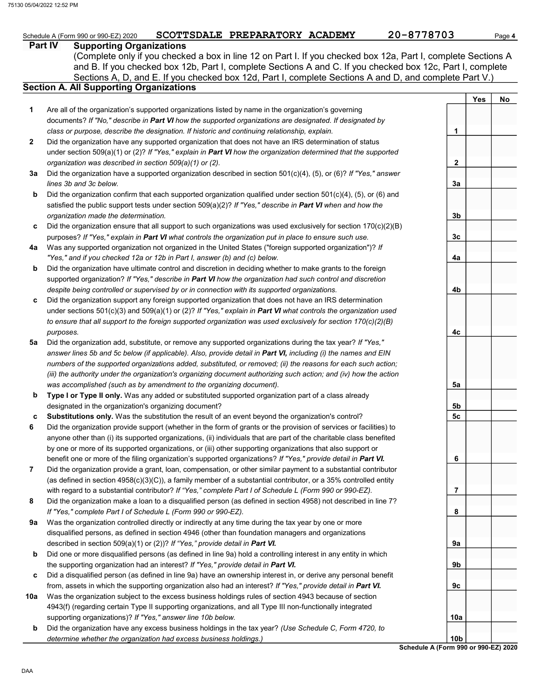|        | 20-8778703<br>SCOTTSDALE PREPARATORY ACADEMY<br>Schedule A (Form 990 or 990-EZ) 2020                                                                                                                                                                                                                                                                                                |                |     | Page 4 |
|--------|-------------------------------------------------------------------------------------------------------------------------------------------------------------------------------------------------------------------------------------------------------------------------------------------------------------------------------------------------------------------------------------|----------------|-----|--------|
|        | Part IV<br><b>Supporting Organizations</b><br>(Complete only if you checked a box in line 12 on Part I. If you checked box 12a, Part I, complete Sections A<br>and B. If you checked box 12b, Part I, complete Sections A and C. If you checked box 12c, Part I, complete<br>Sections A, D, and E. If you checked box 12d, Part I, complete Sections A and D, and complete Part V.) |                |     |        |
|        | <b>Section A. All Supporting Organizations</b>                                                                                                                                                                                                                                                                                                                                      |                |     |        |
| 1      | Are all of the organization's supported organizations listed by name in the organization's governing                                                                                                                                                                                                                                                                                |                | Yes | No     |
|        | documents? If "No," describe in Part VI how the supported organizations are designated. If designated by                                                                                                                                                                                                                                                                            |                |     |        |
|        | class or purpose, describe the designation. If historic and continuing relationship, explain.                                                                                                                                                                                                                                                                                       | 1              |     |        |
| 2      | Did the organization have any supported organization that does not have an IRS determination of status                                                                                                                                                                                                                                                                              |                |     |        |
|        | under section 509(a)(1) or (2)? If "Yes," explain in Part VI how the organization determined that the supported                                                                                                                                                                                                                                                                     |                |     |        |
|        | organization was described in section 509(a)(1) or (2).                                                                                                                                                                                                                                                                                                                             | 2              |     |        |
| За     | Did the organization have a supported organization described in section 501(c)(4), (5), or (6)? If "Yes," answer                                                                                                                                                                                                                                                                    |                |     |        |
|        | lines 3b and 3c below.                                                                                                                                                                                                                                                                                                                                                              | 3a             |     |        |
| b      | Did the organization confirm that each supported organization qualified under section 501(c)(4), (5), or (6) and                                                                                                                                                                                                                                                                    |                |     |        |
|        | satisfied the public support tests under section $509(a)(2)?$ If "Yes," describe in Part VI when and how the                                                                                                                                                                                                                                                                        |                |     |        |
|        | organization made the determination.                                                                                                                                                                                                                                                                                                                                                | 3 <sub>b</sub> |     |        |
| C      | Did the organization ensure that all support to such organizations was used exclusively for section 170(c)(2)(B)                                                                                                                                                                                                                                                                    |                |     |        |
|        | purposes? If "Yes," explain in Part VI what controls the organization put in place to ensure such use.                                                                                                                                                                                                                                                                              | 3c             |     |        |
| 4a     | Was any supported organization not organized in the United States ("foreign supported organization")? If                                                                                                                                                                                                                                                                            |                |     |        |
|        | "Yes," and if you checked 12a or 12b in Part I, answer (b) and (c) below.                                                                                                                                                                                                                                                                                                           | 4a             |     |        |
| b      | Did the organization have ultimate control and discretion in deciding whether to make grants to the foreign                                                                                                                                                                                                                                                                         |                |     |        |
|        | supported organization? If "Yes," describe in Part VI how the organization had such control and discretion                                                                                                                                                                                                                                                                          |                |     |        |
|        | despite being controlled or supervised by or in connection with its supported organizations.                                                                                                                                                                                                                                                                                        | 4b             |     |        |
| c      | Did the organization support any foreign supported organization that does not have an IRS determination                                                                                                                                                                                                                                                                             |                |     |        |
|        | under sections $501(c)(3)$ and $509(a)(1)$ or (2)? If "Yes," explain in Part VI what controls the organization used                                                                                                                                                                                                                                                                 |                |     |        |
|        | to ensure that all support to the foreign supported organization was used exclusively for section $170(c)(2)(B)$                                                                                                                                                                                                                                                                    |                |     |        |
|        | purposes.                                                                                                                                                                                                                                                                                                                                                                           | 4с             |     |        |
| 5a     | Did the organization add, substitute, or remove any supported organizations during the tax year? If "Yes,"                                                                                                                                                                                                                                                                          |                |     |        |
|        | answer lines 5b and 5c below (if applicable). Also, provide detail in Part VI, including (i) the names and EIN                                                                                                                                                                                                                                                                      |                |     |        |
|        | numbers of the supported organizations added, substituted, or removed; (ii) the reasons for each such action;                                                                                                                                                                                                                                                                       |                |     |        |
|        | (iii) the authority under the organization's organizing document authorizing such action; and (iv) how the action                                                                                                                                                                                                                                                                   |                |     |        |
|        | was accomplished (such as by amendment to the organizing document).                                                                                                                                                                                                                                                                                                                 | 5a             |     |        |
| b      | Type I or Type II only. Was any added or substituted supported organization part of a class already                                                                                                                                                                                                                                                                                 |                |     |        |
|        | designated in the organization's organizing document?<br>Substitutions only. Was the substitution the result of an event beyond the organization's control?                                                                                                                                                                                                                         | 5b<br>5c       |     |        |
| c<br>6 |                                                                                                                                                                                                                                                                                                                                                                                     |                |     |        |
|        | Did the organization provide support (whether in the form of grants or the provision of services or facilities) to<br>anyone other than (i) its supported organizations, (ii) individuals that are part of the charitable class benefited                                                                                                                                           |                |     |        |
|        | by one or more of its supported organizations, or (iii) other supporting organizations that also support or                                                                                                                                                                                                                                                                         |                |     |        |
|        | benefit one or more of the filing organization's supported organizations? If "Yes," provide detail in Part VI.                                                                                                                                                                                                                                                                      | 6              |     |        |
| 7      | Did the organization provide a grant, loan, compensation, or other similar payment to a substantial contributor                                                                                                                                                                                                                                                                     |                |     |        |
|        | (as defined in section $4958(c)(3)(C)$ ), a family member of a substantial contributor, or a 35% controlled entity                                                                                                                                                                                                                                                                  |                |     |        |
|        | with regard to a substantial contributor? If "Yes," complete Part I of Schedule L (Form 990 or 990-EZ).                                                                                                                                                                                                                                                                             | 7              |     |        |
| 8      | Did the organization make a loan to a disqualified person (as defined in section 4958) not described in line 7?                                                                                                                                                                                                                                                                     |                |     |        |
|        | If "Yes," complete Part I of Schedule L (Form 990 or 990-EZ).                                                                                                                                                                                                                                                                                                                       | 8              |     |        |
| 9а     | Was the organization controlled directly or indirectly at any time during the tax year by one or more                                                                                                                                                                                                                                                                               |                |     |        |
|        | disqualified persons, as defined in section 4946 (other than foundation managers and organizations                                                                                                                                                                                                                                                                                  |                |     |        |
|        | described in section 509(a)(1) or (2))? If "Yes," provide detail in Part VI.                                                                                                                                                                                                                                                                                                        | 9а             |     |        |
| b      | Did one or more disqualified persons (as defined in line 9a) hold a controlling interest in any entity in which                                                                                                                                                                                                                                                                     |                |     |        |
|        | the supporting organization had an interest? If "Yes," provide detail in Part VI.                                                                                                                                                                                                                                                                                                   | 9b             |     |        |
| c      | Did a disqualified person (as defined in line 9a) have an ownership interest in, or derive any personal benefit                                                                                                                                                                                                                                                                     |                |     |        |
|        | from, assets in which the supporting organization also had an interest? If "Yes," provide detail in Part VI.                                                                                                                                                                                                                                                                        | 9c             |     |        |

- 10a Was the organization subject to the excess business holdings rules of section 4943 because of section 4943(f) (regarding certain Type II supporting organizations, and all Type III non-functionally integrated supporting organizations)? If "Yes," answer line 10b below.
- b Did the organization have any excess business holdings in the tax year? (Use Schedule C, Form 4720, to determine whether the organization had excess business holdings.)

Schedule A (Form 990 or 990-EZ) 2020 10b

10a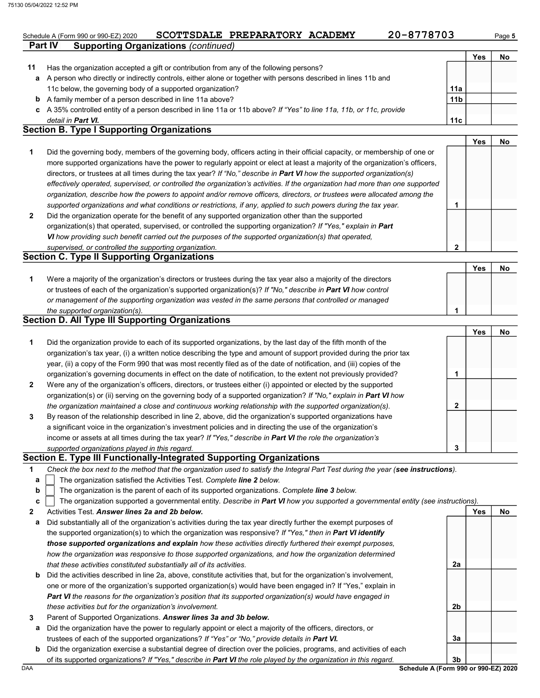#### Part IV Supporting Organizations (continued) Schedule A (Form 990 or 990-EZ) 2020 SCOTTSDALE PREPARATORY ACADEMY 20-8778703 Page 5

|    | <b>UUUUUUUUUUUUUUUUUUUUUUUU</b>                                                                                      |                 |     |    |
|----|----------------------------------------------------------------------------------------------------------------------|-----------------|-----|----|
|    |                                                                                                                      |                 | Yes | No |
| 11 | Has the organization accepted a gift or contribution from any of the following persons?                              |                 |     |    |
| a  | A person who directly or indirectly controls, either alone or together with persons described in lines 11b and       |                 |     |    |
|    | 11c below, the governing body of a supported organization?                                                           | 11a             |     |    |
|    | <b>b</b> A family member of a person described in line 11a above?                                                    | 11 <sub>b</sub> |     |    |
|    | c A 35% controlled entity of a person described in line 11a or 11b above? If "Yes" to line 11a, 11b, or 11c, provide |                 |     |    |
|    | detail in <b>Part VI.</b>                                                                                            | 11c             |     |    |
|    |                                                                                                                      |                 |     |    |

#### Section B. Type I Supporting Organizations

|                |                                                                                                                                | Yes | No |
|----------------|--------------------------------------------------------------------------------------------------------------------------------|-----|----|
| 1              | Did the governing body, members of the governing body, officers acting in their official capacity, or membership of one or     |     |    |
|                | more supported organizations have the power to regularly appoint or elect at least a majority of the organization's officers,  |     |    |
|                | directors, or trustees at all times during the tax year? If "No," describe in <b>Part VI</b> how the supported organization(s) |     |    |
|                | effectively operated, supervised, or controlled the organization's activities. If the organization had more than one supported |     |    |
|                | organization, describe how the powers to appoint and/or remove officers, directors, or trustees were allocated among the       |     |    |
|                | supported organizations and what conditions or restrictions, if any, applied to such powers during the tax year.               |     |    |
| $\overline{2}$ | Did the organization operate for the benefit of any supported organization other than the supported                            |     |    |
|                | organization(s) that operated, supervised, or controlled the supporting organization? If "Yes," explain in Part                |     |    |
|                | VI how providing quab bonafit corried out the nurnages of the supported erganization(a) that energied                          |     |    |

VI how providing such benefit carried out the purposes of the supported organization(s) that operated,

#### supervised, or controlled the supporting organization. Section C. Type II Supporting Organizations

|                                                                                                                  |  | <b>N</b> |
|------------------------------------------------------------------------------------------------------------------|--|----------|
| Were a majority of the organization's directors or trustees during the tax year also a majority of the directors |  |          |
| or trustees of each of the organization's supported organization(s)? If "No," describe in Part VI how control    |  |          |
| or management of the supporting organization was vested in the same persons that controlled or managed           |  |          |
| the supported organization(s).                                                                                   |  |          |

#### Section D. All Type III Supporting Organizations

|                |                                                                                                                        |   | Yes | Nο |
|----------------|------------------------------------------------------------------------------------------------------------------------|---|-----|----|
| 1              | Did the organization provide to each of its supported organizations, by the last day of the fifth month of the         |   |     |    |
|                | organization's tax year, (i) a written notice describing the type and amount of support provided during the prior tax  |   |     |    |
|                | year, (ii) a copy of the Form 990 that was most recently filed as of the date of notification, and (iii) copies of the |   |     |    |
|                | organization's governing documents in effect on the date of notification, to the extent not previously provided?       |   |     |    |
| $\overline{2}$ | Were any of the organization's officers, directors, or trustees either (i) appointed or elected by the supported       |   |     |    |
|                | organization(s) or (ii) serving on the governing body of a supported organization? If "No," explain in Part VI how     |   |     |    |
|                | the organization maintained a close and continuous working relationship with the supported organization(s).            | 2 |     |    |
| 3              | By reason of the relationship described in line 2, above, did the organization's supported organizations have          |   |     |    |
|                | a significant voice in the organization's investment policies and in directing the use of the organization's           |   |     |    |
|                | income or assets at all times during the tax year? If "Yes," describe in Part VI the role the organization's           |   |     |    |
|                | supported organizations played in this regard.                                                                         | 3 |     |    |

#### Section E. Type III Functionally-Integrated Supporting Organizations

| Check the box next to the method that the organization used to satisfy the Integral Part Test during the year (see instructions). |  |
|-----------------------------------------------------------------------------------------------------------------------------------|--|

- The organization satisfied the Activities Test. Complete line 2 below. a
- The organization is the parent of each of its supported organizations. Complete line 3 below. b

|  | $\therefore$ The organization supported a governmental entity. Describe in Part VI how you supported a governmental entity (see instructions). |
|--|------------------------------------------------------------------------------------------------------------------------------------------------|

- 2 Activities Test. Answer lines 2a and 2b below.
- a Did substantially all of the organization's activities during the tax year directly further the exempt purposes of the supported organization(s) to which the organization was responsive? If "Yes," then in Part VI identify those supported organizations and explain how these activities directly furthered their exempt purposes, how the organization was responsive to those supported organizations, and how the organization determined that these activities constituted substantially all of its activities.
- b Did the activities described in line 2a, above, constitute activities that, but for the organization's involvement, one or more of the organization's supported organization(s) would have been engaged in? If "Yes," explain in Part VI the reasons for the organization's position that its supported organization(s) would have engaged in these activities but for the organization's involvement.
- 3 Parent of Supported Organizations. Answer lines 3a and 3b below.
	- a Did the organization have the power to regularly appoint or elect a majority of the officers, directors, or trustees of each of the supported organizations? If "Yes" or "No," provide details in Part VI.
- DAA Schedule A (Form 990 or 990-EZ) 2020 b Did the organization exercise a substantial degree of direction over the policies, programs, and activities of each of its supported organizations? If "Yes," describe in Part VI the role played by the organization in this regard.

3b

2a

2b

3a

Yes No

2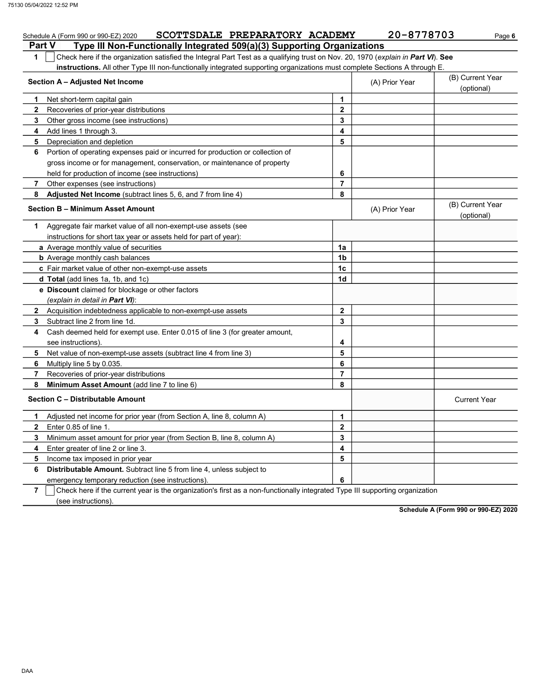|                | SCOTTSDALE PREPARATORY ACADEMY<br>Schedule A (Form 990 or 990-EZ) 2020                                                           |                         | 20-8778703     | Page 6                         |
|----------------|----------------------------------------------------------------------------------------------------------------------------------|-------------------------|----------------|--------------------------------|
|                | Type III Non-Functionally Integrated 509(a)(3) Supporting Organizations<br><b>Part V</b>                                         |                         |                |                                |
| 1              | Check here if the organization satisfied the Integral Part Test as a qualifying trust on Nov. 20, 1970 (explain in Part VI). See |                         |                |                                |
|                | instructions. All other Type III non-functionally integrated supporting organizations must complete Sections A through E.        |                         |                |                                |
|                | Section A - Adjusted Net Income                                                                                                  |                         | (A) Prior Year | (B) Current Year<br>(optional) |
| 1              | Net short-term capital gain                                                                                                      | 1                       |                |                                |
| $\mathbf{2}$   | Recoveries of prior-year distributions                                                                                           | $\overline{2}$          |                |                                |
| 3              | Other gross income (see instructions)                                                                                            | 3                       |                |                                |
| 4              | Add lines 1 through 3.                                                                                                           | $\overline{\mathbf{4}}$ |                |                                |
| 5              | Depreciation and depletion                                                                                                       | 5                       |                |                                |
| 6              | Portion of operating expenses paid or incurred for production or collection of                                                   |                         |                |                                |
|                | gross income or for management, conservation, or maintenance of property                                                         |                         |                |                                |
|                | held for production of income (see instructions)                                                                                 | 6                       |                |                                |
| $\overline{7}$ | Other expenses (see instructions)                                                                                                | $\overline{7}$          |                |                                |
| 8              | Adjusted Net Income (subtract lines 5, 6, and 7 from line 4)                                                                     | 8                       |                |                                |
|                | Section B - Minimum Asset Amount                                                                                                 |                         | (A) Prior Year | (B) Current Year<br>(optional) |
| 1.             | Aggregate fair market value of all non-exempt-use assets (see                                                                    |                         |                |                                |
|                | instructions for short tax year or assets held for part of year):                                                                |                         |                |                                |
|                | <b>a</b> Average monthly value of securities                                                                                     | 1a                      |                |                                |
|                | <b>b</b> Average monthly cash balances                                                                                           | 1 <sub>b</sub>          |                |                                |
|                | c Fair market value of other non-exempt-use assets                                                                               | 1 <sub>c</sub>          |                |                                |
|                | d Total (add lines 1a, 1b, and 1c)                                                                                               | 1 <sub>d</sub>          |                |                                |
|                | <b>e</b> Discount claimed for blockage or other factors                                                                          |                         |                |                                |
|                | (explain in detail in <b>Part VI</b> ):                                                                                          |                         |                |                                |
|                | 2 Acquisition indebtedness applicable to non-exempt-use assets                                                                   | $\mathbf{2}$            |                |                                |
| 3              | Subtract line 2 from line 1d.                                                                                                    | 3                       |                |                                |
| 4              | Cash deemed held for exempt use. Enter 0.015 of line 3 (for greater amount,                                                      |                         |                |                                |
|                | see instructions).                                                                                                               | 4                       |                |                                |
| 5              | Net value of non-exempt-use assets (subtract line 4 from line 3)                                                                 | 5                       |                |                                |
| 6              | Multiply line 5 by 0.035.                                                                                                        | 6                       |                |                                |
| 7              | Recoveries of prior-year distributions                                                                                           | $\overline{7}$          |                |                                |
| 8              | Minimum Asset Amount (add line 7 to line 6)                                                                                      | 8                       |                |                                |
|                | Section C - Distributable Amount                                                                                                 |                         |                | <b>Current Year</b>            |
| 1              | Adjusted net income for prior year (from Section A, line 8, column A)                                                            | $\blacktriangleleft$    |                |                                |
| $\mathbf{2}$   | Enter 0.85 of line 1.                                                                                                            | $\mathbf{2}$            |                |                                |
| 3              | Minimum asset amount for prior year (from Section B, line 8, column A)                                                           | 3                       |                |                                |
| 4              | Enter greater of line 2 or line 3.                                                                                               | 4                       |                |                                |
| 5              | Income tax imposed in prior year                                                                                                 | 5                       |                |                                |
| 6              | <b>Distributable Amount.</b> Subtract line 5 from line 4, unless subject to                                                      |                         |                |                                |
|                | emergency temporary reduction (see instructions).                                                                                | 6                       |                |                                |
|                |                                                                                                                                  |                         |                |                                |

7 Check here if the current year is the organization's first as a non-functionally integrated Type III supporting organization (see instructions).

Schedule A (Form 990 or 990-EZ) 2020

DAA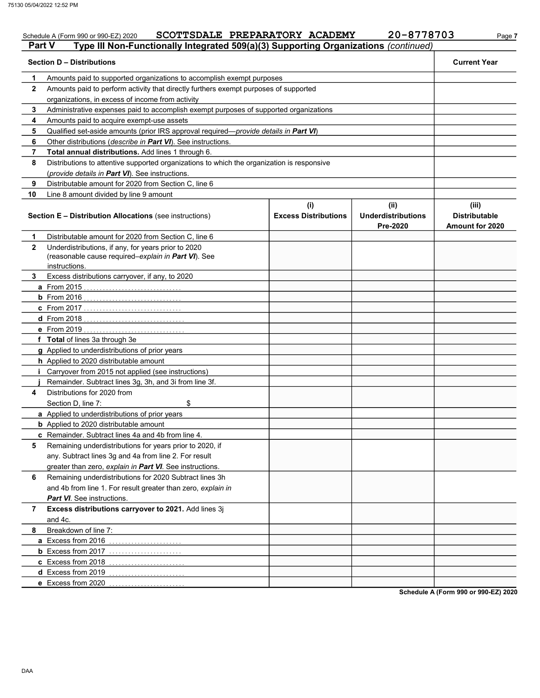#### Schedule A (Form 990 or 990-EZ) 2020 **SCOTTSDALE PREPARATORY ACADEMY** 20-8778703 Page 7 Part V Type III Non-Functionally Integrated 509(a)(3) Supporting Organizations (continued) Section D – Distributions Current Year 1 2 3 4 5 6 7 8 9 10 Amounts paid to supported organizations to accomplish exempt purposes Amounts paid to perform activity that directly furthers exempt purposes of supported organizations, in excess of income from activity Administrative expenses paid to accomplish exempt purposes of supported organizations Amounts paid to acquire exempt-use assets Qualified set-aside amounts (prior IRS approval required—provide details in Part VI) Other distributions (describe in Part VI). See instructions. Total annual distributions. Add lines 1 through 6. Distributions to attentive supported organizations to which the organization is responsive (provide details in Part VI). See instructions. Distributable amount for 2020 from Section C, line 6 Line 8 amount divided by line 9 amount Section E – Distribution Allocations (see instructions) Excess Distributions (i) (ii) Underdistributions Pre-2020 (iii) Distributable Amount for 2020 7 6 Remaining underdistributions for 2020 Subtract lines 3h 5 4 3 2 1 a From 2015 . . . . . . . . . . . . . . . . . . . . . . . . . . . . . . . b From 2016 . . . . . . . . . . . . . . . . . . . . . . . . . . . . . . . c From 2017 . . . . . . . . . . . . . . . . . . . . . . . . . . . . . . . d From 2018 . . . . . . . . . . . . . . . . . . . . . . . . . . . . . . . . e From 2019 . . . . . . . . . . . . . . . . . . . . . . . . . . . . . . . . f Total of lines 3a through 3e g Applied to underdistributions of prior years h Applied to 2020 distributable amount i Carryover from 2015 not applied (see instructions) j Remainder. Subtract lines 3g, 3h, and 3i from line 3f. a Applied to underdistributions of prior years **b** Applied to 2020 distributable amount c Remainder. Subtract lines 4a and 4b from line 4. Distributable amount for 2020 from Section C, line 6 Underdistributions, if any, for years prior to 2020 (reasonable cause required–explain in Part VI). See Excess distributions carryover, if any, to 2020 Distributions for 2020 from Section D, line 7: \$ Remaining underdistributions for years prior to 2020, if any. Subtract lines 3g and 4a from line 2. For result greater than zero, explain in Part VI. See instructions. and 4b from line 1. For result greater than zero, explain in Part VI. See instructions. Excess distributions carryover to 2021. Add lines 3j and 4c. instructions.

Schedule A (Form 990 or 990-EZ) 2020

8

a Excess from 2016 ........................ **b** Excess from 2017 ........................ c Excess from 2018 . . . . . . . . . . . . . . . . . . . . . . . . d Excess from 2019 ......................... e Excess from 2020 . . . . . . . . . . . . . . . . . . . . . . . .

Breakdown of line 7: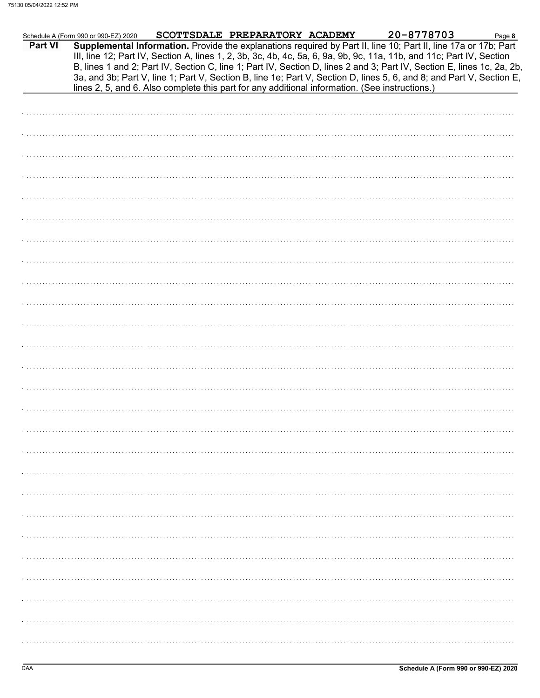|         | Schedule A (Form 990 or 990-EZ) 2020 | SCOTTSDALE PREPARATORY ACADEMY                                                                 | 20-8778703                                                                                                                                                                                                                                                                                                                                                                                                                                                                                | Page 8 |
|---------|--------------------------------------|------------------------------------------------------------------------------------------------|-------------------------------------------------------------------------------------------------------------------------------------------------------------------------------------------------------------------------------------------------------------------------------------------------------------------------------------------------------------------------------------------------------------------------------------------------------------------------------------------|--------|
| Part VI |                                      |                                                                                                | Supplemental Information. Provide the explanations required by Part II, line 10; Part II, line 17a or 17b; Part<br>III, line 12; Part IV, Section A, lines 1, 2, 3b, 3c, 4b, 4c, 5a, 6, 9a, 9b, 9c, 11a, 11b, and 11c; Part IV, Section<br>B, lines 1 and 2; Part IV, Section C, line 1; Part IV, Section D, lines 2 and 3; Part IV, Section E, lines 1c, 2a, 2b,<br>3a, and 3b; Part V, line 1; Part V, Section B, line 1e; Part V, Section D, lines 5, 6, and 8; and Part V, Section E, |        |
|         |                                      | lines 2, 5, and 6. Also complete this part for any additional information. (See instructions.) |                                                                                                                                                                                                                                                                                                                                                                                                                                                                                           |        |
|         |                                      |                                                                                                |                                                                                                                                                                                                                                                                                                                                                                                                                                                                                           |        |
|         |                                      |                                                                                                |                                                                                                                                                                                                                                                                                                                                                                                                                                                                                           |        |
|         |                                      |                                                                                                |                                                                                                                                                                                                                                                                                                                                                                                                                                                                                           |        |
|         |                                      |                                                                                                |                                                                                                                                                                                                                                                                                                                                                                                                                                                                                           |        |
|         |                                      |                                                                                                |                                                                                                                                                                                                                                                                                                                                                                                                                                                                                           |        |
|         |                                      |                                                                                                |                                                                                                                                                                                                                                                                                                                                                                                                                                                                                           |        |
|         |                                      |                                                                                                |                                                                                                                                                                                                                                                                                                                                                                                                                                                                                           |        |
|         |                                      |                                                                                                |                                                                                                                                                                                                                                                                                                                                                                                                                                                                                           |        |
|         |                                      |                                                                                                |                                                                                                                                                                                                                                                                                                                                                                                                                                                                                           |        |
|         |                                      |                                                                                                |                                                                                                                                                                                                                                                                                                                                                                                                                                                                                           |        |
|         |                                      |                                                                                                |                                                                                                                                                                                                                                                                                                                                                                                                                                                                                           |        |
|         |                                      |                                                                                                |                                                                                                                                                                                                                                                                                                                                                                                                                                                                                           |        |
|         |                                      |                                                                                                |                                                                                                                                                                                                                                                                                                                                                                                                                                                                                           |        |
|         |                                      |                                                                                                |                                                                                                                                                                                                                                                                                                                                                                                                                                                                                           |        |
|         |                                      |                                                                                                |                                                                                                                                                                                                                                                                                                                                                                                                                                                                                           |        |
|         |                                      |                                                                                                |                                                                                                                                                                                                                                                                                                                                                                                                                                                                                           |        |
|         |                                      |                                                                                                |                                                                                                                                                                                                                                                                                                                                                                                                                                                                                           |        |
|         |                                      |                                                                                                |                                                                                                                                                                                                                                                                                                                                                                                                                                                                                           |        |
|         |                                      |                                                                                                |                                                                                                                                                                                                                                                                                                                                                                                                                                                                                           |        |
|         |                                      |                                                                                                |                                                                                                                                                                                                                                                                                                                                                                                                                                                                                           |        |
|         |                                      |                                                                                                |                                                                                                                                                                                                                                                                                                                                                                                                                                                                                           |        |
|         |                                      |                                                                                                |                                                                                                                                                                                                                                                                                                                                                                                                                                                                                           |        |
|         |                                      |                                                                                                |                                                                                                                                                                                                                                                                                                                                                                                                                                                                                           |        |
|         |                                      |                                                                                                |                                                                                                                                                                                                                                                                                                                                                                                                                                                                                           |        |
|         |                                      |                                                                                                |                                                                                                                                                                                                                                                                                                                                                                                                                                                                                           |        |
|         |                                      |                                                                                                |                                                                                                                                                                                                                                                                                                                                                                                                                                                                                           |        |
|         |                                      |                                                                                                |                                                                                                                                                                                                                                                                                                                                                                                                                                                                                           |        |
|         |                                      |                                                                                                |                                                                                                                                                                                                                                                                                                                                                                                                                                                                                           |        |
|         |                                      |                                                                                                |                                                                                                                                                                                                                                                                                                                                                                                                                                                                                           |        |
|         |                                      |                                                                                                |                                                                                                                                                                                                                                                                                                                                                                                                                                                                                           |        |
|         |                                      |                                                                                                |                                                                                                                                                                                                                                                                                                                                                                                                                                                                                           |        |
|         |                                      |                                                                                                |                                                                                                                                                                                                                                                                                                                                                                                                                                                                                           |        |
|         |                                      |                                                                                                |                                                                                                                                                                                                                                                                                                                                                                                                                                                                                           |        |
|         |                                      |                                                                                                |                                                                                                                                                                                                                                                                                                                                                                                                                                                                                           |        |
|         |                                      |                                                                                                |                                                                                                                                                                                                                                                                                                                                                                                                                                                                                           |        |
|         |                                      |                                                                                                |                                                                                                                                                                                                                                                                                                                                                                                                                                                                                           |        |
|         |                                      |                                                                                                |                                                                                                                                                                                                                                                                                                                                                                                                                                                                                           |        |
|         |                                      |                                                                                                |                                                                                                                                                                                                                                                                                                                                                                                                                                                                                           |        |
|         |                                      |                                                                                                |                                                                                                                                                                                                                                                                                                                                                                                                                                                                                           |        |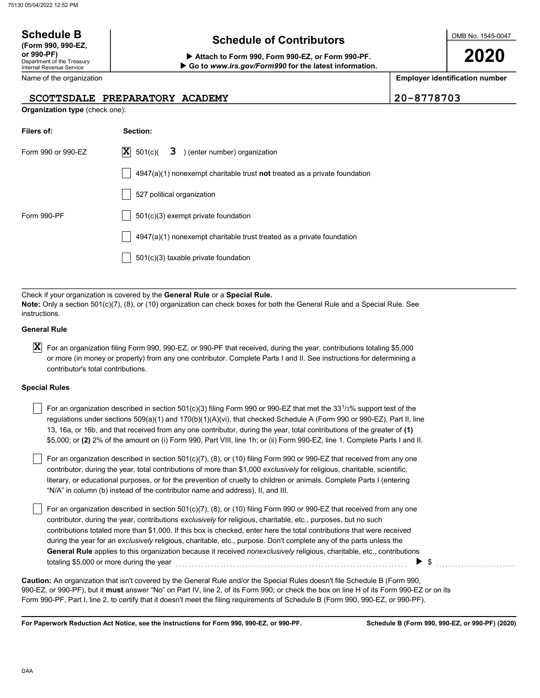### Schedule B  $\overline{S}$  Schedule of Contributors

or 990-PF) Attach to Form 990, Form 990-EZ, or Form 990-PF. Go to www.irs.gov/Form990 for the latest information. OMB No. 1545-0047

2020

Employer identification number

Name of the organization

Department of the Treasury Internal Revenue Service

(Form 990, 990-EZ,

#### SCOTTSDALE PREPARATORY ACADEMY 20-8778703

Organization type (check one):

| Filers of:         | Section:                                                                           |
|--------------------|------------------------------------------------------------------------------------|
| Form 990 or 990-EZ | $ \mathbf{X} $ 501(c)(<br>3 ) (enter number) organization                          |
|                    | $4947(a)(1)$ nonexempt charitable trust <b>not</b> treated as a private foundation |
|                    | 527 political organization                                                         |
| Form 990-PF        | $501(c)(3)$ exempt private foundation                                              |
|                    | 4947(a)(1) nonexempt charitable trust treated as a private foundation              |
|                    | 501(c)(3) taxable private foundation                                               |

Check if your organization is covered by the General Rule or a Special Rule. Note: Only a section 501(c)(7), (8), or (10) organization can check boxes for both the General Rule and a Special Rule. See instructions.

#### General Rule

 $\bm{X}$  For an organization filing Form 990, 990-EZ, or 990-PF that received, during the year, contributions totaling \$5,000 or more (in money or property) from any one contributor. Complete Parts I and II. See instructions for determining a contributor's total contributions.

#### Special Rules

| For an organization described in section 501(c)(3) filing Form 990 or 990-EZ that met the 33 <sup>1</sup> /3% support test of the |
|-----------------------------------------------------------------------------------------------------------------------------------|
| regulations under sections 509(a)(1) and 170(b)(1)(A)(vi), that checked Schedule A (Form 990 or 990-EZ), Part II, line            |
| 13, 16a, or 16b, and that received from any one contributor, during the year, total contributions of the greater of (1)           |
| \$5,000; or (2) 2% of the amount on (i) Form 990, Part VIII, line 1h; or (ii) Form 990-EZ, line 1. Complete Parts I and II.       |

literary, or educational purposes, or for the prevention of cruelty to children or animals. Complete Parts I (entering For an organization described in section 501(c)(7), (8), or (10) filing Form 990 or 990-EZ that received from any one contributor, during the year, total contributions of more than \$1,000 exclusively for religious, charitable, scientific, "N/A" in column (b) instead of the contributor name and address), II, and III.

For an organization described in section 501(c)(7), (8), or (10) filing Form 990 or 990-EZ that received from any one contributor, during the year, contributions exclusively for religious, charitable, etc., purposes, but no such contributions totaled more than \$1,000. If this box is checked, enter here the total contributions that were received during the year for an exclusively religious, charitable, etc., purpose. Don't complete any of the parts unless the General Rule applies to this organization because it received nonexclusively religious, charitable, etc., contributions  $\text{totaling }$  \$5,000 or more during the year  $\ldots$   $\ldots$   $\ldots$   $\ldots$   $\ldots$   $\ldots$   $\ldots$   $\ldots$   $\ldots$   $\ldots$   $\blacksquare$ 

990-EZ, or 990-PF), but it must answer "No" on Part IV, line 2, of its Form 990; or check the box on line H of its Form 990-EZ or on its Form 990-PF, Part I, line 2, to certify that it doesn't meet the filing requirements of Schedule B (Form 990, 990-EZ, or 990-PF). Caution: An organization that isn't covered by the General Rule and/or the Special Rules doesn't file Schedule B (Form 990,

For Paperwork Reduction Act Notice, see the instructions for Form 990, 990-EZ, or 990-PF.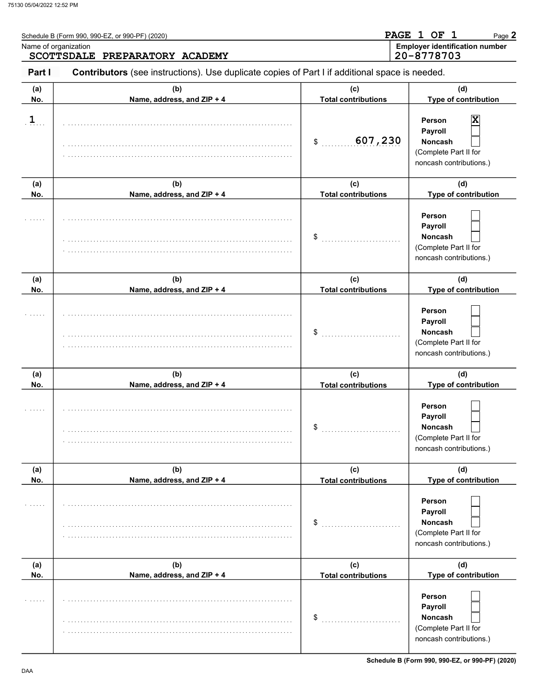|                      | Schedule B (Form 990, 990-EZ, or 990-PF) (2020)                                                |                                   | PAGE 1 OF 1<br>Page 2                                                                                       |
|----------------------|------------------------------------------------------------------------------------------------|-----------------------------------|-------------------------------------------------------------------------------------------------------------|
| Name of organization | SCOTTSDALE PREPARATORY ACADEMY                                                                 |                                   | <b>Employer identification number</b><br>20-8778703                                                         |
| Part I               | Contributors (see instructions). Use duplicate copies of Part I if additional space is needed. |                                   |                                                                                                             |
| (a)<br>No.           | (b)<br>Name, address, and ZIP + 4                                                              | (c)<br><b>Total contributions</b> | (d)<br>Type of contribution                                                                                 |
| $\frac{1}{2}$        |                                                                                                | 607,230<br>\$                     | $\overline{\mathbf{x}}$<br>Person<br>Payroll<br>Noncash<br>(Complete Part II for<br>noncash contributions.) |
| (a)                  | (b)                                                                                            | (c)                               | (d)                                                                                                         |
| No.                  | Name, address, and ZIP + 4                                                                     | <b>Total contributions</b>        | Type of contribution                                                                                        |
|                      |                                                                                                | \$                                | Person<br>Payroll<br>Noncash<br>(Complete Part II for<br>noncash contributions.)                            |
| (a)                  | (b)                                                                                            | (c)                               | (d)                                                                                                         |
| No.                  | Name, address, and ZIP + 4                                                                     | <b>Total contributions</b>        | Type of contribution                                                                                        |
|                      |                                                                                                | \$                                | Person<br>Payroll<br>Noncash<br>(Complete Part II for<br>noncash contributions.)                            |
| (a)                  | (b)                                                                                            | (c)                               | (d)                                                                                                         |
| No.                  | Name, address, and ZIP + 4                                                                     | <b>Total contributions</b>        | Type of contribution                                                                                        |
|                      |                                                                                                | \$                                | Person<br>Payroll<br>Noncash<br>(Complete Part II for<br>noncash contributions.)                            |
| (a)                  | (b)                                                                                            | (c)                               | (d)                                                                                                         |
| No.                  | Name, address, and ZIP + 4                                                                     | <b>Total contributions</b>        | Type of contribution                                                                                        |
|                      |                                                                                                | \$                                | Person<br>Payroll<br>Noncash<br>(Complete Part II for<br>noncash contributions.)                            |
| (a)                  | (b)                                                                                            | (c)                               | (d)                                                                                                         |
| No.                  | Name, address, and ZIP + 4                                                                     | <b>Total contributions</b>        | Type of contribution                                                                                        |
|                      |                                                                                                | \$                                | Person<br>Payroll<br>Noncash<br>(Complete Part II for<br>noncash contributions.)                            |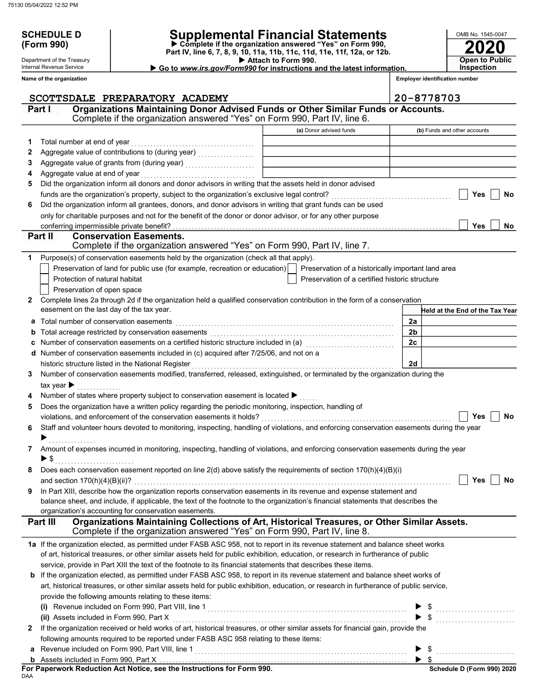SCHEDULE D<br>(Form 990)

Department of the Treasury Internal Revenue Service

### SCHEDULE D | Supplemental Financial Statements

 Attach to Form 990. Part IV, line 6, 7, 8, 9, 10, 11a, 11b, 11c, 11d, 11e, 11f, 12a, or 12b. Complete if the organization answered "Yes" on Form 990,

Go to www.irs.gov/Form990 for instructions and the latest information.

Inspection

2020

**Open to Public** 

OMB No. 1545-0047

|              | Name of the organization       |                                                                                                                                                                                                                                                                      |                                                | Employer identification number                               |
|--------------|--------------------------------|----------------------------------------------------------------------------------------------------------------------------------------------------------------------------------------------------------------------------------------------------------------------|------------------------------------------------|--------------------------------------------------------------|
|              |                                |                                                                                                                                                                                                                                                                      |                                                |                                                              |
|              | Part I                         | SCOTTSDALE PREPARATORY ACADEMY<br>Organizations Maintaining Donor Advised Funds or Other Similar Funds or Accounts.                                                                                                                                                  |                                                | 20-8778703                                                   |
|              |                                | Complete if the organization answered "Yes" on Form 990, Part IV, line 6.                                                                                                                                                                                            |                                                |                                                              |
|              |                                |                                                                                                                                                                                                                                                                      | (a) Donor advised funds                        | (b) Funds and other accounts                                 |
| 1            |                                | Total number at end of year                                                                                                                                                                                                                                          |                                                |                                                              |
| 2            |                                |                                                                                                                                                                                                                                                                      |                                                |                                                              |
| 3            |                                | Aggregate value of grants from (during year)                                                                                                                                                                                                                         |                                                |                                                              |
| 4            |                                |                                                                                                                                                                                                                                                                      |                                                |                                                              |
| 5            |                                | Did the organization inform all donors and donor advisors in writing that the assets held in donor advised                                                                                                                                                           |                                                |                                                              |
|              |                                | funds are the organization's property, subject to the organization's exclusive legal control?                                                                                                                                                                        |                                                | Yes<br>No                                                    |
| 6            |                                | Did the organization inform all grantees, donors, and donor advisors in writing that grant funds can be used                                                                                                                                                         |                                                |                                                              |
|              |                                | only for charitable purposes and not for the benefit of the donor or donor advisor, or for any other purpose                                                                                                                                                         |                                                |                                                              |
|              |                                |                                                                                                                                                                                                                                                                      |                                                | Yes<br><b>No</b>                                             |
|              | Part II                        | <b>Conservation Easements.</b><br>Complete if the organization answered "Yes" on Form 990, Part IV, line 7.                                                                                                                                                          |                                                |                                                              |
|              |                                | Purpose(s) of conservation easements held by the organization (check all that apply).                                                                                                                                                                                |                                                |                                                              |
| 1            |                                | Preservation of land for public use (for example, recreation or education)   Preservation of a historically important land area                                                                                                                                      |                                                |                                                              |
|              |                                | Protection of natural habitat                                                                                                                                                                                                                                        | Preservation of a certified historic structure |                                                              |
|              |                                | Preservation of open space                                                                                                                                                                                                                                           |                                                |                                                              |
| $\mathbf{2}$ |                                | Complete lines 2a through 2d if the organization held a qualified conservation contribution in the form of a conservation                                                                                                                                            |                                                |                                                              |
|              |                                | easement on the last day of the tax year.                                                                                                                                                                                                                            |                                                | Held at the End of the Tax Year                              |
| а            |                                | Total number of conservation easements                                                                                                                                                                                                                               |                                                | 2a                                                           |
| b            |                                |                                                                                                                                                                                                                                                                      |                                                | 2b                                                           |
|              |                                | Number of conservation easements on a certified historic structure included in (a) [[[[[[[[[[[[[[[[[[[[[[[[[]]]]]]]                                                                                                                                                  |                                                | 2c                                                           |
| d            |                                | Number of conservation easements included in (c) acquired after 7/25/06, and not on a                                                                                                                                                                                |                                                |                                                              |
|              |                                | historic structure listed in the National Register                                                                                                                                                                                                                   |                                                | 2d                                                           |
| 3            |                                | Number of conservation easements modified, transferred, released, extinguished, or terminated by the organization during the                                                                                                                                         |                                                |                                                              |
|              | tax year $\blacktriangleright$ |                                                                                                                                                                                                                                                                      |                                                |                                                              |
|              |                                | Number of states where property subject to conservation easement is located ▶                                                                                                                                                                                        |                                                |                                                              |
| 5            |                                | Does the organization have a written policy regarding the periodic monitoring, inspection, handling of                                                                                                                                                               |                                                |                                                              |
|              |                                | violations, and enforcement of the conservation easements it holds?                                                                                                                                                                                                  |                                                | Yes<br>No                                                    |
| 6            |                                | Staff and volunteer hours devoted to monitoring, inspecting, handling of violations, and enforcing conservation easements during the year                                                                                                                            |                                                |                                                              |
|              |                                | 7 Amount of expenses incurred in monitoring, inspecting, handling of violations, and enforcing conservation easements during the year                                                                                                                                |                                                |                                                              |
|              | ▶ \$                           |                                                                                                                                                                                                                                                                      |                                                |                                                              |
|              |                                | Does each conservation easement reported on line 2(d) above satisfy the requirements of section 170(h)(4)(B)(i)                                                                                                                                                      |                                                |                                                              |
|              |                                |                                                                                                                                                                                                                                                                      |                                                | Yes<br>No                                                    |
| 9            |                                | In Part XIII, describe how the organization reports conservation easements in its revenue and expense statement and                                                                                                                                                  |                                                |                                                              |
|              |                                | balance sheet, and include, if applicable, the text of the footnote to the organization's financial statements that describes the                                                                                                                                    |                                                |                                                              |
|              |                                | organization's accounting for conservation easements.                                                                                                                                                                                                                |                                                |                                                              |
|              | Part III                       | Organizations Maintaining Collections of Art, Historical Treasures, or Other Similar Assets.<br>Complete if the organization answered "Yes" on Form 990, Part IV, line 8.                                                                                            |                                                |                                                              |
|              |                                |                                                                                                                                                                                                                                                                      |                                                |                                                              |
|              |                                | 1a If the organization elected, as permitted under FASB ASC 958, not to report in its revenue statement and balance sheet works<br>of art, historical treasures, or other similar assets held for public exhibition, education, or research in furtherance of public |                                                |                                                              |
|              |                                | service, provide in Part XIII the text of the footnote to its financial statements that describes these items.                                                                                                                                                       |                                                |                                                              |
|              |                                | b If the organization elected, as permitted under FASB ASC 958, to report in its revenue statement and balance sheet works of                                                                                                                                        |                                                |                                                              |
|              |                                | art, historical treasures, or other similar assets held for public exhibition, education, or research in furtherance of public service,                                                                                                                              |                                                |                                                              |
|              |                                | provide the following amounts relating to these items:                                                                                                                                                                                                               |                                                |                                                              |
|              |                                |                                                                                                                                                                                                                                                                      |                                                |                                                              |
|              |                                | (ii) Assets included in Form 990, Part X [11] Conservation contracts and all the Section of Assets included in Form 990, Part X [11] Conservation conservation of the Section of Assets in Assets and Assets and Assets and As                                       |                                                | $\begin{array}{c} \mathsf{\$} \\ \mathsf{\$} \\ \end{array}$ |
| 2            |                                | If the organization received or held works of art, historical treasures, or other similar assets for financial gain, provide the                                                                                                                                     |                                                |                                                              |
|              |                                | following amounts required to be reported under FASB ASC 958 relating to these items:                                                                                                                                                                                |                                                |                                                              |
| a            |                                | Revenue included on Form 990, Part VIII, line 1 [1] CONDING CONDITIONS AND REVENUES A REVENUES A REPORT ON RE                                                                                                                                                        |                                                |                                                              |
|              |                                |                                                                                                                                                                                                                                                                      |                                                |                                                              |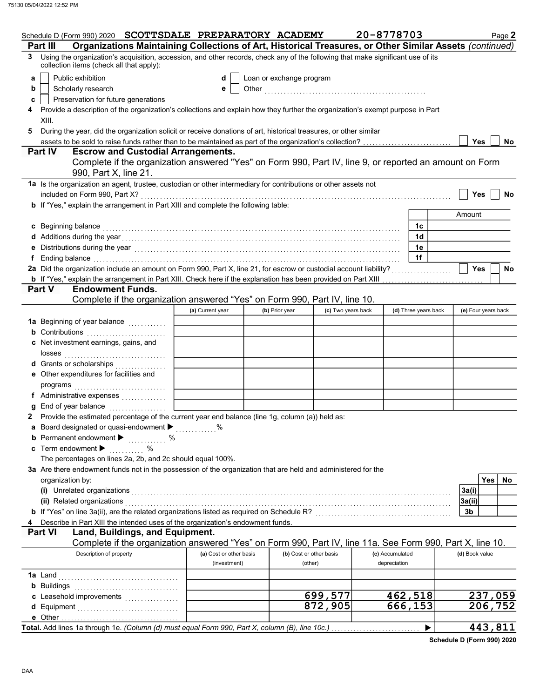|    | Schedule D (Form 990) 2020 SCOTTSDALE PREPARATORY ACADEMY                                                                                                                                                                      |                                         |                          |                                    | 20-8778703                      |                      |                | Page 2              |
|----|--------------------------------------------------------------------------------------------------------------------------------------------------------------------------------------------------------------------------------|-----------------------------------------|--------------------------|------------------------------------|---------------------------------|----------------------|----------------|---------------------|
|    | Organizations Maintaining Collections of Art, Historical Treasures, or Other Similar Assets (continued)<br>Part III                                                                                                            |                                         |                          |                                    |                                 |                      |                |                     |
| 3. | Using the organization's acquisition, accession, and other records, check any of the following that make significant use of its<br>collection items (check all that apply):                                                    |                                         |                          |                                    |                                 |                      |                |                     |
| a  | Public exhibition                                                                                                                                                                                                              | d                                       | Loan or exchange program |                                    |                                 |                      |                |                     |
| b  | Scholarly research                                                                                                                                                                                                             | е                                       |                          |                                    |                                 |                      |                |                     |
| c  | Preservation for future generations                                                                                                                                                                                            |                                         |                          |                                    |                                 |                      |                |                     |
| 4  | Provide a description of the organization's collections and explain how they further the organization's exempt purpose in Part                                                                                                 |                                         |                          |                                    |                                 |                      |                |                     |
|    | XIII.                                                                                                                                                                                                                          |                                         |                          |                                    |                                 |                      |                |                     |
| 5  | During the year, did the organization solicit or receive donations of art, historical treasures, or other similar                                                                                                              |                                         |                          |                                    |                                 |                      |                |                     |
|    |                                                                                                                                                                                                                                |                                         |                          |                                    |                                 |                      | Yes            | <b>No</b>           |
|    | <b>Part IV</b><br><b>Escrow and Custodial Arrangements.</b>                                                                                                                                                                    |                                         |                          |                                    |                                 |                      |                |                     |
|    | Complete if the organization answered "Yes" on Form 990, Part IV, line 9, or reported an amount on Form<br>990, Part X, line 21.                                                                                               |                                         |                          |                                    |                                 |                      |                |                     |
|    | 1a Is the organization an agent, trustee, custodian or other intermediary for contributions or other assets not                                                                                                                |                                         |                          |                                    |                                 |                      |                |                     |
|    | included on Form 990, Part X?                                                                                                                                                                                                  |                                         |                          |                                    |                                 |                      | Yes            | No                  |
|    | b If "Yes," explain the arrangement in Part XIII and complete the following table:                                                                                                                                             |                                         |                          |                                    |                                 |                      |                |                     |
|    |                                                                                                                                                                                                                                |                                         |                          |                                    |                                 |                      | Amount         |                     |
|    |                                                                                                                                                                                                                                |                                         |                          |                                    |                                 |                      |                |                     |
| c  | Beginning balance                                                                                                                                                                                                              |                                         |                          |                                    |                                 | 1c<br>1d             |                |                     |
|    | d Additions during the year electron contracts and a set of the set of the year of the set of the set of the set of the set of the set of the set of the set of the set of the set of the set of the set of the set of the set |                                         |                          |                                    |                                 |                      |                |                     |
| е  | Distributions during the year manufactured contains and the year manufactured with the year manufactured with                                                                                                                  |                                         |                          |                                    |                                 | 1е<br>1f             |                |                     |
| f  | Ending balance with a construction of the construction of the construction of the construction of the construction of the construction of the construction of the construction of the construction of the construction of the  |                                         |                          |                                    |                                 |                      |                |                     |
|    | 2a Did the organization include an amount on Form 990, Part X, line 21, for escrow or custodial account liability?                                                                                                             |                                         |                          |                                    |                                 |                      | <b>Yes</b>     | <b>No</b>           |
|    | <b>Endowment Funds.</b><br><b>Part V</b>                                                                                                                                                                                       |                                         |                          |                                    |                                 |                      |                |                     |
|    | Complete if the organization answered "Yes" on Form 990, Part IV, line 10.                                                                                                                                                     |                                         |                          |                                    |                                 |                      |                |                     |
|    |                                                                                                                                                                                                                                |                                         |                          |                                    |                                 | (d) Three years back |                | (e) Four years back |
|    |                                                                                                                                                                                                                                | (a) Current year                        | (b) Prior year           | (c) Two years back                 |                                 |                      |                |                     |
|    | 1a Beginning of year balance <i>[[[[[[[[[[[[[[[[[[[[[[[[[[[[[]]]]</i>                                                                                                                                                          |                                         |                          |                                    |                                 |                      |                |                     |
|    | <b>b</b> Contributions $\ldots$                                                                                                                                                                                                |                                         |                          |                                    |                                 |                      |                |                     |
|    | c Net investment earnings, gains, and                                                                                                                                                                                          |                                         |                          |                                    |                                 |                      |                |                     |
|    | losses                                                                                                                                                                                                                         |                                         |                          |                                    |                                 |                      |                |                     |
|    | <b>d</b> Grants or scholarships<br>.                                                                                                                                                                                           |                                         |                          |                                    |                                 |                      |                |                     |
|    | e Other expenditures for facilities and                                                                                                                                                                                        |                                         |                          |                                    |                                 |                      |                |                     |
|    |                                                                                                                                                                                                                                |                                         |                          |                                    |                                 |                      |                |                     |
|    | f Administrative expenses                                                                                                                                                                                                      |                                         |                          |                                    |                                 |                      |                |                     |
| g  | End of year balance                                                                                                                                                                                                            |                                         |                          |                                    |                                 |                      |                |                     |
| 2  | Provide the estimated percentage of the current year end balance (line 1g, column (a)) held as:                                                                                                                                |                                         |                          |                                    |                                 |                      |                |                     |
|    | a Board designated or quasi-endowment >                                                                                                                                                                                        | $\%$                                    |                          |                                    |                                 |                      |                |                     |
| b  | Permanent endowment ><br>$\%$                                                                                                                                                                                                  |                                         |                          |                                    |                                 |                      |                |                     |
| c  | Term endowment ▶<br>%                                                                                                                                                                                                          |                                         |                          |                                    |                                 |                      |                |                     |
|    | The percentages on lines 2a, 2b, and 2c should equal 100%.                                                                                                                                                                     |                                         |                          |                                    |                                 |                      |                |                     |
|    | 3a Are there endowment funds not in the possession of the organization that are held and administered for the                                                                                                                  |                                         |                          |                                    |                                 |                      |                |                     |
|    | organization by:                                                                                                                                                                                                               |                                         |                          |                                    |                                 |                      |                | Yes<br>No           |
|    | (i) Unrelated organizations                                                                                                                                                                                                    |                                         |                          |                                    |                                 |                      | 3a(i)          |                     |
|    | (ii) Related organizations                                                                                                                                                                                                     |                                         |                          |                                    |                                 |                      | 3a(ii)         |                     |
|    | b If "Yes" on line 3a(ii), are the related organizations listed as required on Schedule R? [[[[[[[[[[[[[[[[[[[                                                                                                                 |                                         |                          |                                    |                                 |                      | 3 <sub>b</sub> |                     |
|    | Describe in Part XIII the intended uses of the organization's endowment funds.                                                                                                                                                 |                                         |                          |                                    |                                 |                      |                |                     |
|    | Land, Buildings, and Equipment.<br><b>Part VI</b>                                                                                                                                                                              |                                         |                          |                                    |                                 |                      |                |                     |
|    | Complete if the organization answered "Yes" on Form 990, Part IV, line 11a. See Form 990, Part X, line 10.                                                                                                                     |                                         |                          |                                    |                                 |                      |                |                     |
|    | Description of property                                                                                                                                                                                                        | (a) Cost or other basis<br>(investment) |                          | (b) Cost or other basis<br>(other) | (c) Accumulated<br>depreciation |                      | (d) Book value |                     |
|    |                                                                                                                                                                                                                                |                                         |                          |                                    |                                 |                      |                |                     |
|    | <b>1a</b> Land                                                                                                                                                                                                                 |                                         |                          |                                    |                                 |                      |                |                     |
|    |                                                                                                                                                                                                                                |                                         |                          |                                    |                                 |                      |                |                     |
| c  | Leasehold improvements                                                                                                                                                                                                         |                                         |                          | 699,577                            |                                 | 462,518              |                | 237,059             |
| d  |                                                                                                                                                                                                                                |                                         |                          | 872,905                            |                                 | 666,153              |                | 206,752             |
|    |                                                                                                                                                                                                                                |                                         |                          |                                    |                                 |                      |                |                     |
|    |                                                                                                                                                                                                                                |                                         |                          |                                    |                                 |                      |                | 443,811             |

Schedule D (Form 990) 2020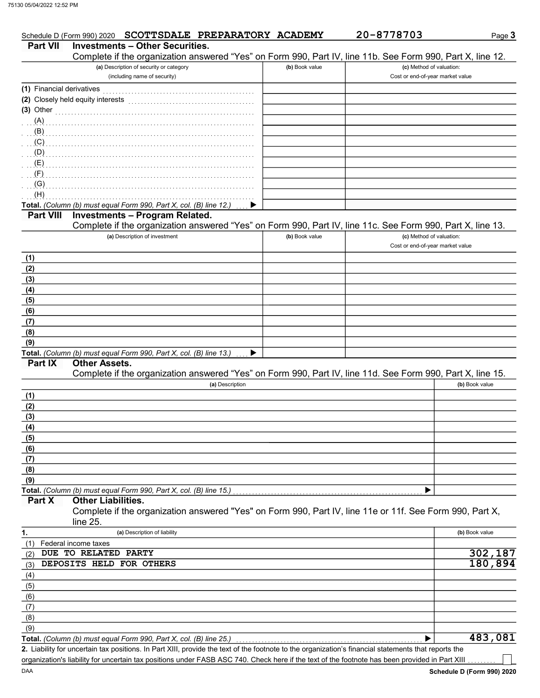| <b>Part VII</b>           | <b>Investments - Other Securities.</b>                                                                     |                |                                  |                |
|---------------------------|------------------------------------------------------------------------------------------------------------|----------------|----------------------------------|----------------|
|                           | Complete if the organization answered "Yes" on Form 990, Part IV, line 11b. See Form 990, Part X, line 12. |                |                                  |                |
|                           | (a) Description of security or category                                                                    | (b) Book value | (c) Method of valuation:         |                |
|                           | (including name of security)                                                                               |                | Cost or end-of-year market value |                |
| (1) Financial derivatives |                                                                                                            |                |                                  |                |
|                           | (2) Closely held equity interests                                                                          |                |                                  |                |
| $(3)$ Other               |                                                                                                            |                |                                  |                |
| (A)                       |                                                                                                            |                |                                  |                |
| (B)                       |                                                                                                            |                |                                  |                |
| (C)                       |                                                                                                            |                |                                  |                |
| (D)                       |                                                                                                            |                |                                  |                |
| (E)                       |                                                                                                            |                |                                  |                |
| (F)                       |                                                                                                            |                |                                  |                |
| (G)                       |                                                                                                            |                |                                  |                |
| (H)                       |                                                                                                            |                |                                  |                |
|                           | Total. (Column (b) must equal Form 990, Part X, col. (B) line 12.)                                         |                |                                  |                |
| <b>Part VIII</b>          | <b>Investments - Program Related.</b>                                                                      |                |                                  |                |
|                           | Complete if the organization answered "Yes" on Form 990, Part IV, line 11c. See Form 990, Part X, line 13. |                |                                  |                |
|                           | (a) Description of investment                                                                              | (b) Book value | (c) Method of valuation:         |                |
|                           |                                                                                                            |                | Cost or end-of-year market value |                |
| (1)                       |                                                                                                            |                |                                  |                |
| (2)                       |                                                                                                            |                |                                  |                |
| (3)                       |                                                                                                            |                |                                  |                |
| (4)                       |                                                                                                            |                |                                  |                |
| (5)                       |                                                                                                            |                |                                  |                |
| (6)                       |                                                                                                            |                |                                  |                |
| (7)                       |                                                                                                            |                |                                  |                |
| (8)                       |                                                                                                            |                |                                  |                |
| (9)                       |                                                                                                            |                |                                  |                |
|                           | Total. (Column (b) must equal Form 990, Part X, col. (B) line 13.)                                         |                |                                  |                |
| Part IX                   | <b>Other Assets.</b>                                                                                       |                |                                  |                |
|                           | Complete if the organization answered "Yes" on Form 990, Part IV, line 11d. See Form 990, Part X, line 15. |                |                                  |                |
|                           | (a) Description                                                                                            |                |                                  | (b) Book value |
| (1)                       |                                                                                                            |                |                                  |                |
| (2)                       |                                                                                                            |                |                                  |                |
| (3)                       |                                                                                                            |                |                                  |                |
|                           |                                                                                                            |                |                                  |                |
| (4)                       |                                                                                                            |                |                                  |                |
| (5)                       |                                                                                                            |                |                                  |                |
| (6)                       |                                                                                                            |                |                                  |                |
| (7)                       |                                                                                                            |                |                                  |                |
| (8)                       |                                                                                                            |                |                                  |                |
| (9)                       |                                                                                                            |                |                                  |                |
| Part X                    | Total. (Column (b) must equal Form 990, Part X, col. (B) line 15.).<br><b>Other Liabilities.</b>           |                |                                  |                |
|                           | Complete if the organization answered "Yes" on Form 990, Part IV, line 11e or 11f. See Form 990, Part X,   |                |                                  |                |
|                           | line 25.                                                                                                   |                |                                  |                |
|                           |                                                                                                            |                |                                  |                |
| 1.                        | (a) Description of liability                                                                               |                |                                  | (b) Book value |
| (1)                       | Federal income taxes                                                                                       |                |                                  |                |
| (2)                       | DUE TO RELATED PARTY                                                                                       |                |                                  | 302,187        |
| (3)                       | DEPOSITS HELD FOR OTHERS                                                                                   |                |                                  | 180,894        |
| (4)                       |                                                                                                            |                |                                  |                |
| (5)                       |                                                                                                            |                |                                  |                |
| (6)                       |                                                                                                            |                |                                  |                |
| (7)                       |                                                                                                            |                |                                  |                |
| (8)                       |                                                                                                            |                |                                  |                |
| (9)                       |                                                                                                            |                |                                  | 483,081        |
|                           | Total. (Column (b) must equal Form 990, Part X, col. (B) line 25.)                                         |                |                                  |                |

Liability for uncertain tax positions. In Part XIII, provide the text of the footnote to the organization's financial statements that reports the 2. organization's liability for uncertain tax positions under FASB ASC 740. Check here if the text of the footnote has been provided in Part XIII

┓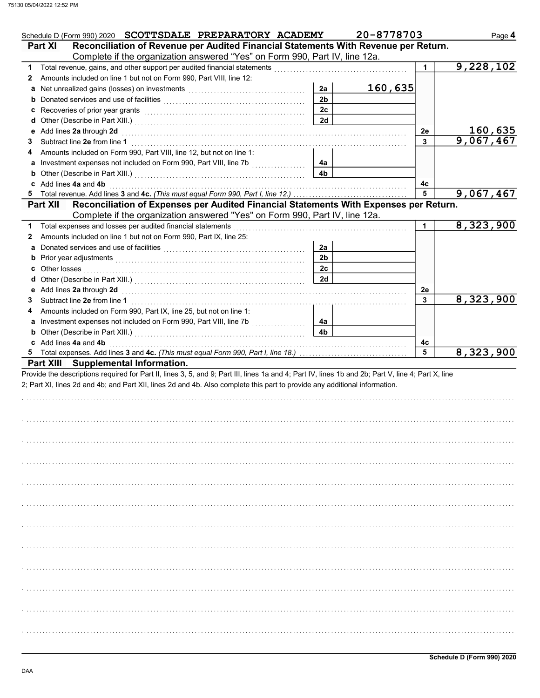| Schedule D (Form 990) 2020 SCOTTSDALE PREPARATORY ACADEMY                                                                                                                                                                      |                | 20-8778703 |         | Page 4      |
|--------------------------------------------------------------------------------------------------------------------------------------------------------------------------------------------------------------------------------|----------------|------------|---------|-------------|
| Reconciliation of Revenue per Audited Financial Statements With Revenue per Return.<br>Part XI                                                                                                                                 |                |            |         |             |
| Complete if the organization answered "Yes" on Form 990, Part IV, line 12a.                                                                                                                                                    |                |            |         |             |
| Total revenue, gains, and other support per audited financial statements [111] [11] [11] Total revenue, gains, and other support per audited financial statements [11] [11] Total Revenue of Total Bill<br>1                   |                |            | 1.      | 9,228,102   |
| Amounts included on line 1 but not on Form 990, Part VIII, line 12:<br>$\mathbf{2}$                                                                                                                                            |                |            |         |             |
|                                                                                                                                                                                                                                | 2a             | 160,635    |         |             |
|                                                                                                                                                                                                                                | 2 <sub>b</sub> |            |         |             |
|                                                                                                                                                                                                                                | 2c             |            |         |             |
|                                                                                                                                                                                                                                | 2d             |            |         |             |
| e Add lines 2a through 2d (a) and the contract of the Add lines 2a through the Add lines 2a through 2d (a) and the Add and the Add and the Add and Add and Add and Add and Add and Add and Add and Add and Add and Add Add and |                |            | 2e      | 160,635     |
| 3                                                                                                                                                                                                                              |                |            | 3       | 9,067,467   |
| Amounts included on Form 990, Part VIII, line 12, but not on line 1:<br>4                                                                                                                                                      |                |            |         |             |
|                                                                                                                                                                                                                                | 4a             |            |         |             |
| <b>b</b> Other (Describe in Part XIII.) <b>CONSIDENT DESCRIPTION DESCRIPTION DESCRIPTION DESCRIPTION DESCRIPTION DESCRIPTION DESCRIPTION DESCRIPTION DESCRIPTION DESCRIPTION DESCRIPTION DESCRIPTION DESCRI</b>                | 4 <sub>b</sub> |            |         |             |
| c Add lines 4a and 4b                                                                                                                                                                                                          |                |            | 4c      |             |
| 5                                                                                                                                                                                                                              |                |            | 5       | 9,067,467   |
| Reconciliation of Expenses per Audited Financial Statements With Expenses per Return.<br><b>Part XII</b><br>Complete if the organization answered "Yes" on Form 990, Part IV, line 12a.                                        |                |            |         |             |
| Total expenses and losses per audited financial statements                                                                                                                                                                     |                |            | 1.      | 8,323,900   |
| 1<br>Amounts included on line 1 but not on Form 990, Part IX, line 25:<br>$\mathbf{2}$                                                                                                                                         |                |            |         |             |
|                                                                                                                                                                                                                                | 2a             |            |         |             |
|                                                                                                                                                                                                                                | 2 <sub>b</sub> |            |         |             |
|                                                                                                                                                                                                                                |                |            |         |             |
|                                                                                                                                                                                                                                | 2 <sub>c</sub> |            |         |             |
|                                                                                                                                                                                                                                | 2d             |            |         |             |
|                                                                                                                                                                                                                                |                |            | 2e      |             |
| 3                                                                                                                                                                                                                              |                |            | 3       | 8,323,900   |
| Amounts included on Form 990, Part IX, line 25, but not on line 1:<br>4                                                                                                                                                        |                |            |         |             |
| a Investment expenses not included on Form 990, Part VIII, line 7b                                                                                                                                                             | 4a             |            |         |             |
|                                                                                                                                                                                                                                | 4 <sub>b</sub> |            |         |             |
| c Add lines 4a and 4b                                                                                                                                                                                                          |                |            | 4c<br>5 | 8, 323, 900 |
| 5.<br>Part XIII Supplemental Information.                                                                                                                                                                                      |                |            |         |             |
| Provide the descriptions required for Part II, lines 3, 5, and 9; Part III, lines 1a and 4; Part IV, lines 1b and 2b; Part V, line 4; Part X, line                                                                             |                |            |         |             |
| 2; Part XI, lines 2d and 4b; and Part XII, lines 2d and 4b. Also complete this part to provide any additional information.                                                                                                     |                |            |         |             |
|                                                                                                                                                                                                                                |                |            |         |             |
|                                                                                                                                                                                                                                |                |            |         |             |
|                                                                                                                                                                                                                                |                |            |         |             |
|                                                                                                                                                                                                                                |                |            |         |             |
|                                                                                                                                                                                                                                |                |            |         |             |
|                                                                                                                                                                                                                                |                |            |         |             |
|                                                                                                                                                                                                                                |                |            |         |             |
|                                                                                                                                                                                                                                |                |            |         |             |
|                                                                                                                                                                                                                                |                |            |         |             |
|                                                                                                                                                                                                                                |                |            |         |             |
|                                                                                                                                                                                                                                |                |            |         |             |
|                                                                                                                                                                                                                                |                |            |         |             |
|                                                                                                                                                                                                                                |                |            |         |             |
|                                                                                                                                                                                                                                |                |            |         |             |
|                                                                                                                                                                                                                                |                |            |         |             |
|                                                                                                                                                                                                                                |                |            |         |             |
|                                                                                                                                                                                                                                |                |            |         |             |
|                                                                                                                                                                                                                                |                |            |         |             |
|                                                                                                                                                                                                                                |                |            |         |             |
|                                                                                                                                                                                                                                |                |            |         |             |
|                                                                                                                                                                                                                                |                |            |         |             |
|                                                                                                                                                                                                                                |                |            |         |             |
|                                                                                                                                                                                                                                |                |            |         |             |
|                                                                                                                                                                                                                                |                |            |         |             |
|                                                                                                                                                                                                                                |                |            |         |             |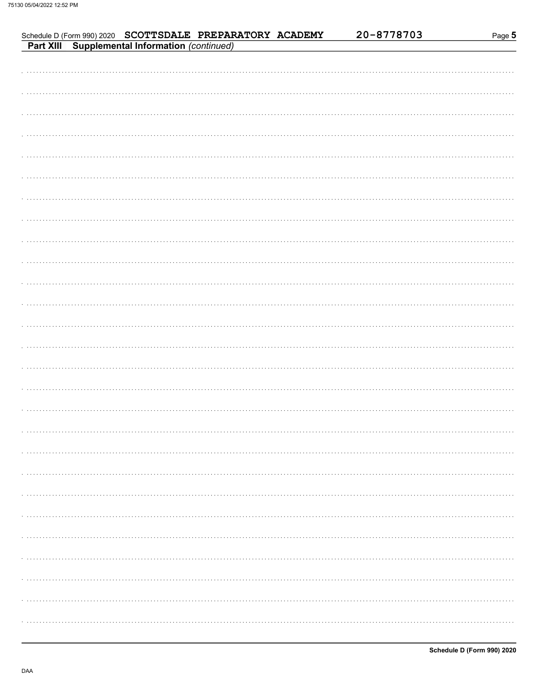|  | Schedule D (Form 990) 2020 SCOTTSDALE PREPARATORY ACADEMY<br>Part XIII Supplemental Information (continued) | 20-8778703 | Page 5 |
|--|-------------------------------------------------------------------------------------------------------------|------------|--------|
|  |                                                                                                             |            |        |
|  |                                                                                                             |            |        |
|  |                                                                                                             |            |        |
|  |                                                                                                             |            |        |
|  |                                                                                                             |            |        |
|  |                                                                                                             |            |        |
|  |                                                                                                             |            |        |
|  |                                                                                                             |            |        |
|  |                                                                                                             |            |        |
|  |                                                                                                             |            |        |
|  |                                                                                                             |            |        |
|  |                                                                                                             |            |        |
|  |                                                                                                             |            |        |
|  |                                                                                                             |            |        |
|  |                                                                                                             |            |        |
|  |                                                                                                             |            |        |
|  |                                                                                                             |            |        |
|  |                                                                                                             |            |        |
|  |                                                                                                             |            |        |
|  |                                                                                                             |            |        |
|  |                                                                                                             |            |        |
|  |                                                                                                             |            |        |
|  |                                                                                                             |            |        |
|  |                                                                                                             |            |        |
|  |                                                                                                             |            |        |
|  |                                                                                                             |            |        |
|  |                                                                                                             |            |        |
|  |                                                                                                             |            |        |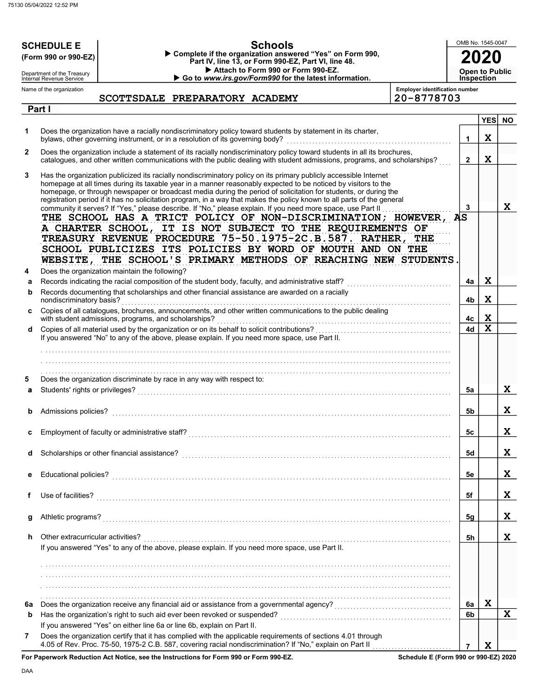|              | <b>SCHEDULE E</b>                                                                                                                       |                                                      |                                                                            | <b>Schools</b>                                                                                                                                                                                                                                                                                                                                                                                                                                                                                                                                                                                    |                                                                                                                                                                                                                                                                       | OMB No. 1545-0047 |                       |           |  |
|--------------|-----------------------------------------------------------------------------------------------------------------------------------------|------------------------------------------------------|----------------------------------------------------------------------------|---------------------------------------------------------------------------------------------------------------------------------------------------------------------------------------------------------------------------------------------------------------------------------------------------------------------------------------------------------------------------------------------------------------------------------------------------------------------------------------------------------------------------------------------------------------------------------------------------|-----------------------------------------------------------------------------------------------------------------------------------------------------------------------------------------------------------------------------------------------------------------------|-------------------|-----------------------|-----------|--|
|              | Complete if the organization answered "Yes" on Form 990,<br>(Form 990 or 990-EZ)<br>Part IV, line 13, or Form 990-EZ, Part VI, line 48. |                                                      |                                                                            |                                                                                                                                                                                                                                                                                                                                                                                                                                                                                                                                                                                                   |                                                                                                                                                                                                                                                                       |                   |                       |           |  |
|              | Department of the Treasury                                                                                                              |                                                      |                                                                            | Attach to Form 990 or Form 990-EZ.                                                                                                                                                                                                                                                                                                                                                                                                                                                                                                                                                                |                                                                                                                                                                                                                                                                       |                   | <b>Open to Public</b> |           |  |
|              | Internal Revenue Service                                                                                                                |                                                      |                                                                            | Go to www.irs.gov/Form990 for the latest information.                                                                                                                                                                                                                                                                                                                                                                                                                                                                                                                                             |                                                                                                                                                                                                                                                                       | <b>Inspection</b> |                       |           |  |
|              | Name of the organization                                                                                                                |                                                      | SCOTTSDALE PREPARATORY ACADEMY                                             |                                                                                                                                                                                                                                                                                                                                                                                                                                                                                                                                                                                                   | <b>Employer identification number</b><br>20-8778703                                                                                                                                                                                                                   |                   |                       |           |  |
|              | Part I                                                                                                                                  |                                                      |                                                                            |                                                                                                                                                                                                                                                                                                                                                                                                                                                                                                                                                                                                   |                                                                                                                                                                                                                                                                       |                   |                       |           |  |
|              |                                                                                                                                         |                                                      |                                                                            |                                                                                                                                                                                                                                                                                                                                                                                                                                                                                                                                                                                                   |                                                                                                                                                                                                                                                                       |                   | <b>YES</b>            | <b>NO</b> |  |
| 1            |                                                                                                                                         |                                                      |                                                                            | Does the organization have a racially nondiscriminatory policy toward students by statement in its charter,                                                                                                                                                                                                                                                                                                                                                                                                                                                                                       | bylaws, other governing instrument, or in a resolution of its governing body?<br>with the contract content content content content content content content content of the content of the resolu                                                                       | 1                 | $\mathbf x$           |           |  |
| $\mathbf{2}$ |                                                                                                                                         |                                                      |                                                                            | Does the organization include a statement of its racially nondiscriminatory policy toward students in all its brochures,                                                                                                                                                                                                                                                                                                                                                                                                                                                                          | catalogues, and other written communications with the public dealing with student admissions, programs, and scholarships?                                                                                                                                             | $\mathbf{2}$      | X                     |           |  |
| 3            |                                                                                                                                         |                                                      |                                                                            | Has the organization publicized its racially nondiscriminatory policy on its primary publicly accessible Internet<br>homepage at all times during its taxable year in a manner reasonably expected to be noticed by visitors to the<br>homepage, or through newspaper or broadcast media during the period of solicitation for students, or during the<br>registration period if it has no solicitation program, in a way that makes the policy known to all parts of the general<br>community it serves? If "Yes," please describe. If "No," please explain. If you need more space, use Part II |                                                                                                                                                                                                                                                                       | 3                 |                       | X         |  |
|              |                                                                                                                                         |                                                      |                                                                            | TREASURY REVENUE PROCEDURE 75-50.1975-2C.B.587. RATHER,                                                                                                                                                                                                                                                                                                                                                                                                                                                                                                                                           | THE SCHOOL HAS A TRICT POLICY OF NON-DISCRIMINATION; HOWEVER, AS<br>A CHARTER SCHOOL, IT IS NOT SUBJECT TO THE REQUIREMENTS OF<br>THE<br>SCHOOL PUBLICIZES ITS POLICIES BY WORD OF MOUTH AND ON THE<br>WEBSITE, THE SCHOOL'S PRIMARY METHODS OF REACHING NEW STUDENTS |                   |                       |           |  |
|              |                                                                                                                                         | Does the organization maintain the following?        |                                                                            |                                                                                                                                                                                                                                                                                                                                                                                                                                                                                                                                                                                                   |                                                                                                                                                                                                                                                                       | 4a                | X                     |           |  |
| а<br>b       | nondiscriminatory basis?                                                                                                                |                                                      |                                                                            | Records documenting that scholarships and other financial assistance are awarded on a racially                                                                                                                                                                                                                                                                                                                                                                                                                                                                                                    |                                                                                                                                                                                                                                                                       | 4b                | $\mathbf x$           |           |  |
|              |                                                                                                                                         | with student admissions, programs, and scholarships? |                                                                            | Copies of all catalogues, brochures, announcements, and other written communications to the public dealing                                                                                                                                                                                                                                                                                                                                                                                                                                                                                        |                                                                                                                                                                                                                                                                       | 4с                | X                     |           |  |
| d            |                                                                                                                                         |                                                      |                                                                            |                                                                                                                                                                                                                                                                                                                                                                                                                                                                                                                                                                                                   |                                                                                                                                                                                                                                                                       | 4d                | $\mathbf x$           |           |  |
|              |                                                                                                                                         |                                                      |                                                                            | If you answered "No" to any of the above, please explain. If you need more space, use Part II.                                                                                                                                                                                                                                                                                                                                                                                                                                                                                                    |                                                                                                                                                                                                                                                                       |                   |                       |           |  |
|              |                                                                                                                                         |                                                      |                                                                            |                                                                                                                                                                                                                                                                                                                                                                                                                                                                                                                                                                                                   |                                                                                                                                                                                                                                                                       |                   |                       |           |  |
|              |                                                                                                                                         |                                                      |                                                                            |                                                                                                                                                                                                                                                                                                                                                                                                                                                                                                                                                                                                   |                                                                                                                                                                                                                                                                       |                   |                       |           |  |
| 5            |                                                                                                                                         |                                                      | Does the organization discriminate by race in any way with respect to:     |                                                                                                                                                                                                                                                                                                                                                                                                                                                                                                                                                                                                   |                                                                                                                                                                                                                                                                       |                   |                       |           |  |
| a            | Students' rights or privileges?                                                                                                         |                                                      |                                                                            |                                                                                                                                                                                                                                                                                                                                                                                                                                                                                                                                                                                                   |                                                                                                                                                                                                                                                                       | 5a                |                       | X         |  |
|              | Admissions policies?                                                                                                                    |                                                      |                                                                            |                                                                                                                                                                                                                                                                                                                                                                                                                                                                                                                                                                                                   |                                                                                                                                                                                                                                                                       | 5b                |                       | X         |  |
|              |                                                                                                                                         |                                                      |                                                                            |                                                                                                                                                                                                                                                                                                                                                                                                                                                                                                                                                                                                   |                                                                                                                                                                                                                                                                       |                   |                       |           |  |
| c            |                                                                                                                                         |                                                      |                                                                            |                                                                                                                                                                                                                                                                                                                                                                                                                                                                                                                                                                                                   |                                                                                                                                                                                                                                                                       | 5c                |                       | X         |  |
| d            |                                                                                                                                         |                                                      |                                                                            |                                                                                                                                                                                                                                                                                                                                                                                                                                                                                                                                                                                                   |                                                                                                                                                                                                                                                                       | 5d                |                       | X         |  |
|              |                                                                                                                                         |                                                      |                                                                            |                                                                                                                                                                                                                                                                                                                                                                                                                                                                                                                                                                                                   |                                                                                                                                                                                                                                                                       |                   |                       |           |  |
| е            |                                                                                                                                         |                                                      |                                                                            |                                                                                                                                                                                                                                                                                                                                                                                                                                                                                                                                                                                                   |                                                                                                                                                                                                                                                                       | 5е                |                       | X         |  |
| f            |                                                                                                                                         |                                                      |                                                                            |                                                                                                                                                                                                                                                                                                                                                                                                                                                                                                                                                                                                   | 5f                                                                                                                                                                                                                                                                    |                   | X                     |           |  |
| g            |                                                                                                                                         |                                                      |                                                                            |                                                                                                                                                                                                                                                                                                                                                                                                                                                                                                                                                                                                   |                                                                                                                                                                                                                                                                       | 5g                |                       | X         |  |
| h            | Other extracurricular activities?                                                                                                       |                                                      |                                                                            |                                                                                                                                                                                                                                                                                                                                                                                                                                                                                                                                                                                                   |                                                                                                                                                                                                                                                                       | 5h                |                       | X         |  |
|              |                                                                                                                                         |                                                      |                                                                            | If you answered "Yes" to any of the above, please explain. If you need more space, use Part II.                                                                                                                                                                                                                                                                                                                                                                                                                                                                                                   |                                                                                                                                                                                                                                                                       |                   |                       |           |  |
|              |                                                                                                                                         |                                                      |                                                                            |                                                                                                                                                                                                                                                                                                                                                                                                                                                                                                                                                                                                   |                                                                                                                                                                                                                                                                       |                   |                       |           |  |
|              |                                                                                                                                         |                                                      |                                                                            |                                                                                                                                                                                                                                                                                                                                                                                                                                                                                                                                                                                                   |                                                                                                                                                                                                                                                                       |                   |                       |           |  |
|              |                                                                                                                                         |                                                      |                                                                            |                                                                                                                                                                                                                                                                                                                                                                                                                                                                                                                                                                                                   |                                                                                                                                                                                                                                                                       |                   |                       |           |  |
| 6а           |                                                                                                                                         |                                                      |                                                                            |                                                                                                                                                                                                                                                                                                                                                                                                                                                                                                                                                                                                   |                                                                                                                                                                                                                                                                       | 6a                | $\mathbf x$           |           |  |
| b            |                                                                                                                                         |                                                      |                                                                            |                                                                                                                                                                                                                                                                                                                                                                                                                                                                                                                                                                                                   |                                                                                                                                                                                                                                                                       | 6b                |                       | X         |  |
|              |                                                                                                                                         |                                                      | If you answered "Yes" on either line 6a or line 6b, explain on Part II.    |                                                                                                                                                                                                                                                                                                                                                                                                                                                                                                                                                                                                   |                                                                                                                                                                                                                                                                       |                   |                       |           |  |
| 7            |                                                                                                                                         |                                                      |                                                                            | Does the organization certify that it has complied with the applicable requirements of sections 4.01 through                                                                                                                                                                                                                                                                                                                                                                                                                                                                                      | 4.05 of Rev. Proc. 75-50, 1975-2 C.B. 587, covering racial nondiscrimination? If "No," explain on Part II                                                                                                                                                             | $\overline{7}$    | $\mathbf x$           |           |  |
|              |                                                                                                                                         |                                                      | rk Deduction Act Notice, see the Instructions for Form 000 or Form 000 F7. |                                                                                                                                                                                                                                                                                                                                                                                                                                                                                                                                                                                                   |                                                                                                                                                                                                                                                                       |                   |                       |           |  |

For Paperwork Reduction Act Notice, see the Instructions for Form 990 or Form 990-EZ.

Schedule E (Form 990 or 990-EZ) 2020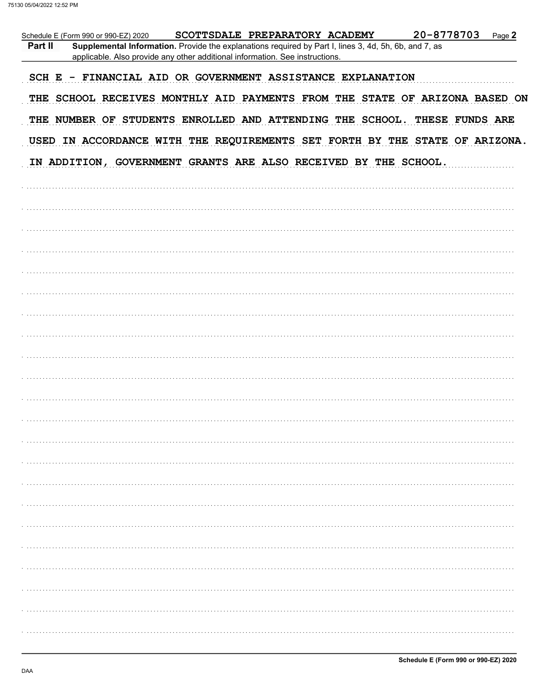| 20-8778703<br>SCOTTSDALE PREPARATORY ACADEMY<br>Page 2<br>Schedule E (Form 990 or 990-EZ) 2020<br>Part II<br>Supplemental Information. Provide the explanations required by Part I, lines 3, 4d, 5h, 6b, and 7, as<br>applicable. Also provide any other additional information. See instructions. |
|----------------------------------------------------------------------------------------------------------------------------------------------------------------------------------------------------------------------------------------------------------------------------------------------------|
| SCH E - FINANCIAL AID OR GOVERNMENT ASSISTANCE EXPLANATION                                                                                                                                                                                                                                         |
| THE SCHOOL RECEIVES MONTHLY AID PAYMENTS FROM THE STATE OF ARIZONA BASED ON                                                                                                                                                                                                                        |
| THE NUMBER OF STUDENTS ENROLLED AND ATTENDING THE SCHOOL. THESE FUNDS ARE                                                                                                                                                                                                                          |
| USED IN ACCORDANCE WITH THE REQUIREMENTS SET FORTH BY THE STATE OF ARIZONA.                                                                                                                                                                                                                        |
| IN ADDITION, GOVERNMENT GRANTS ARE ALSO RECEIVED BY THE SCHOOL.                                                                                                                                                                                                                                    |
|                                                                                                                                                                                                                                                                                                    |
|                                                                                                                                                                                                                                                                                                    |
|                                                                                                                                                                                                                                                                                                    |
|                                                                                                                                                                                                                                                                                                    |
|                                                                                                                                                                                                                                                                                                    |
|                                                                                                                                                                                                                                                                                                    |
|                                                                                                                                                                                                                                                                                                    |
|                                                                                                                                                                                                                                                                                                    |
|                                                                                                                                                                                                                                                                                                    |
|                                                                                                                                                                                                                                                                                                    |
|                                                                                                                                                                                                                                                                                                    |
|                                                                                                                                                                                                                                                                                                    |
|                                                                                                                                                                                                                                                                                                    |
|                                                                                                                                                                                                                                                                                                    |
|                                                                                                                                                                                                                                                                                                    |
|                                                                                                                                                                                                                                                                                                    |
|                                                                                                                                                                                                                                                                                                    |
|                                                                                                                                                                                                                                                                                                    |
|                                                                                                                                                                                                                                                                                                    |
|                                                                                                                                                                                                                                                                                                    |
|                                                                                                                                                                                                                                                                                                    |
|                                                                                                                                                                                                                                                                                                    |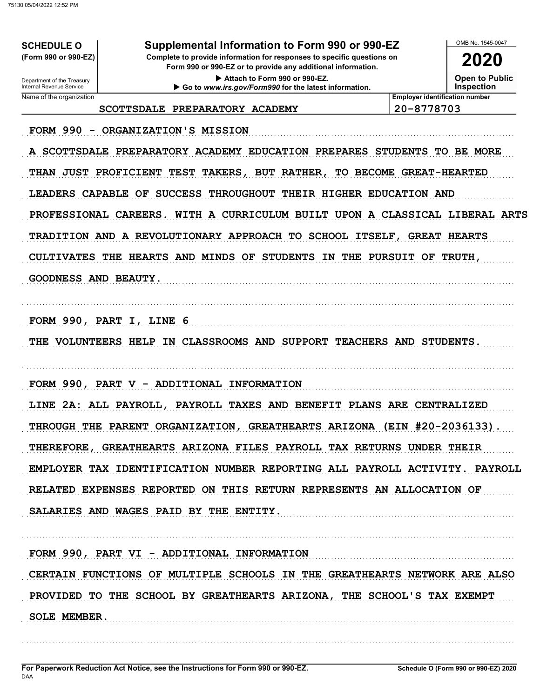**SCHEDULE O** (Form 990 or 990-EZ)

#### Supplemental Information to Form 990 or 990-EZ

Complete to provide information for responses to specific questions on Form 990 or 990-EZ or to provide any additional information.

> Attach to Form 990 or 990-EZ. Go to www.irs.gov/Form990 for the latest information.

**Open to Public Inspection** 

OMB No 1545-0047

2020

Department of the Treasury<br>Internal Revenue Service Name of the organization

SCOTTSDALE PREPARATORY ACADEMY

**Employer identification number** 20-8778703

FORM 990 - ORGANIZATION'S MISSION

A SCOTTSDALE PREPARATORY ACADEMY EDUCATION PREPARES STUDENTS TO BE MORE THAN JUST PROFICIENT TEST TAKERS, BUT RATHER, TO BECOME GREAT-HEARTED LEADERS CAPABLE OF SUCCESS THROUGHOUT THEIR HIGHER EDUCATION AND PROFESSIONAL CAREERS. WITH A CURRICULUM BUILT UPON A CLASSICAL LIBERAL ARTS TRADITION AND A REVOLUTIONARY APPROACH TO SCHOOL ITSELF, GREAT HEARTS CULTIVATES THE HEARTS AND MINDS OF STUDENTS IN THE PURSUIT OF TRUTH, GOODNESS AND BEAUTY.

FORM 990, PART I, LINE 6

THE VOLUNTEERS HELP IN CLASSROOMS AND SUPPORT TEACHERS AND STUDENTS.

FORM 990, PART V - ADDITIONAL INFORMATION

LINE 2A: ALL PAYROLL, PAYROLL TAXES AND BENEFIT PLANS ARE CENTRALIZED THROUGH THE PARENT ORGANIZATION, GREATHEARTS ARIZONA (EIN #20-2036133). THEREFORE, GREATHEARTS ARIZONA FILES PAYROLL TAX RETURNS UNDER THEIR EMPLOYER TAX IDENTIFICATION NUMBER REPORTING ALL PAYROLL ACTIVITY. PAYROLL RELATED EXPENSES REPORTED ON THIS RETURN REPRESENTS AN ALLOCATION OF SALARIES AND WAGES PAID BY THE ENTITY.

FORM 990, PART VI - ADDITIONAL INFORMATION CERTAIN FUNCTIONS OF MULTIPLE SCHOOLS IN THE GREATHEARTS NETWORK ARE ALSO PROVIDED TO THE SCHOOL BY GREATHEARTS ARIZONA, THE SCHOOL'S TAX EXEMPT **SOLE MEMBER.**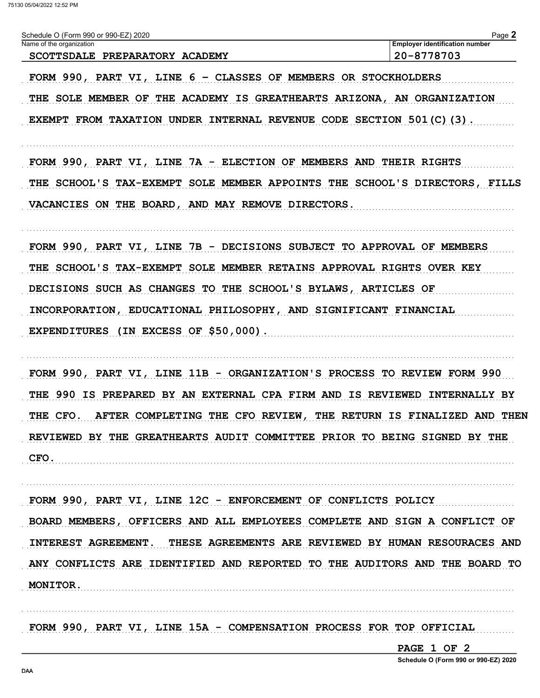75130 05/04/2022 12:52 PM

Schedule O (Form 990 or 990-EZ) 2020 Page 2 Name of the organization **Employer identification number** SCOTTSDALE PREPARATORY ACADEMY 20-8778703 FORM 990, PART VI, LINE 6 - CLASSES OF MEMBERS OR STOCKHOLDERS THE SOLE MEMBER OF THE ACADEMY IS GREATHEARTS ARIZONA, AN ORGANIZATION EXEMPT FROM TAXATION UNDER INTERNAL REVENUE CODE SECTION 501(C)(3). FORM 990, PART VI, LINE 7A - ELECTION OF MEMBERS AND THEIR RIGHTS THE SCHOOL'S TAX-EXEMPT SOLE MEMBER APPOINTS THE SCHOOL'S DIRECTORS, FILLS VACANCIES ON THE BOARD, AND MAY REMOVE DIRECTORS. FORM 990, PART VI, LINE 7B - DECISIONS SUBJECT TO APPROVAL OF MEMBERS THE SCHOOL'S TAX-EXEMPT SOLE MEMBER RETAINS APPROVAL RIGHTS OVER KEY DECISIONS SUCH AS CHANGES TO THE SCHOOL'S BYLAWS, ARTICLES OF INCORPORATION, EDUCATIONAL PHILOSOPHY, AND SIGNIFICANT FINANCIAL EXPENDITURES (IN EXCESS OF \$50,000). FORM 990, PART VI, LINE 11B - ORGANIZATION'S PROCESS TO REVIEW FORM 990 THE 990 IS PREPARED BY AN EXTERNAL CPA FIRM AND IS REVIEWED INTERNALLY BY THE CFO. AFTER COMPLETING THE CFO REVIEW, THE RETURN IS FINALIZED AND THEN REVIEWED BY THE GREATHEARTS AUDIT COMMITTEE PRIOR TO BEING SIGNED BY THE CFO. FORM 990, PART VI, LINE 12C - ENFORCEMENT OF CONFLICTS POLICY BOARD MEMBERS, OFFICERS AND ALL EMPLOYEES COMPLETE AND SIGN A CONFLICT OF

INTEREST AGREEMENT. THESE AGREEMENTS ARE REVIEWED BY HUMAN RESOURACES AND

ANY CONFLICTS ARE IDENTIFIED AND REPORTED TO THE AUDITORS AND THE BOARD TO

FORM 990, PART VI, LINE 15A - COMPENSATION PROCESS FOR TOP OFFICIAL

PAGE 1 OF 2

Schedule O (Form 990 or 990-EZ) 2020

MONITOR.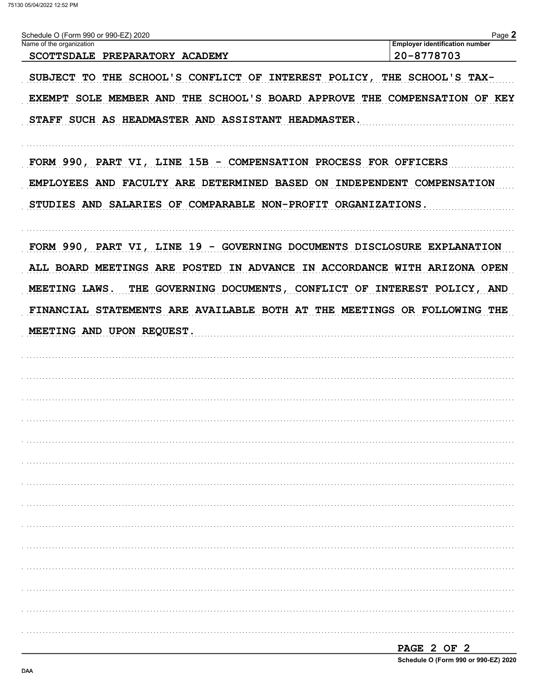| Schedule O (Form 990 or 990-EZ) 2020                                       | Page 2                                              |
|----------------------------------------------------------------------------|-----------------------------------------------------|
| Name of the organization<br>SCOTTSDALE PREPARATORY ACADEMY                 | <b>Employer identification number</b><br>20-8778703 |
| SUBJECT TO THE SCHOOL'S CONFLICT OF INTEREST POLICY, THE SCHOOL'S TAX-     |                                                     |
| EXEMPT SOLE MEMBER AND THE SCHOOL'S BOARD APPROVE THE COMPENSATION OF KEY  |                                                     |
| STAFF SUCH AS HEADMASTER AND ASSISTANT HEADMASTER.                         |                                                     |
| FORM 990, PART VI, LINE 15B - COMPENSATION PROCESS FOR OFFICERS            |                                                     |
| EMPLOYEES AND FACULTY ARE DETERMINED BASED ON INDEPENDENT COMPENSATION     |                                                     |
| STUDIES AND SALARIES OF COMPARABLE NON-PROFIT ORGANIZATIONS.               |                                                     |
| FORM 990, PART VI, LINE 19 - GOVERNING DOCUMENTS DISCLOSURE EXPLANATION    |                                                     |
| ALL BOARD MEETINGS ARE POSTED IN ADVANCE IN ACCORDANCE WITH ARIZONA OPEN   |                                                     |
| MEETING LAWS.<br>THE GOVERNING DOCUMENTS, CONFLICT OF INTEREST POLICY, AND |                                                     |
| FINANCIAL STATEMENTS ARE AVAILABLE BOTH AT THE MEETINGS OR FOLLOWING THE   |                                                     |
| MEETING AND UPON REQUEST.                                                  |                                                     |
|                                                                            |                                                     |
|                                                                            |                                                     |
|                                                                            |                                                     |
|                                                                            |                                                     |
|                                                                            |                                                     |
|                                                                            |                                                     |
|                                                                            |                                                     |
|                                                                            |                                                     |
|                                                                            |                                                     |
|                                                                            |                                                     |
|                                                                            |                                                     |
|                                                                            |                                                     |
|                                                                            |                                                     |
|                                                                            |                                                     |

| PAGE 2 OF 2 |  |                                      |
|-------------|--|--------------------------------------|
|             |  | Schedule O (Form 990 or 990-EZ) 2020 |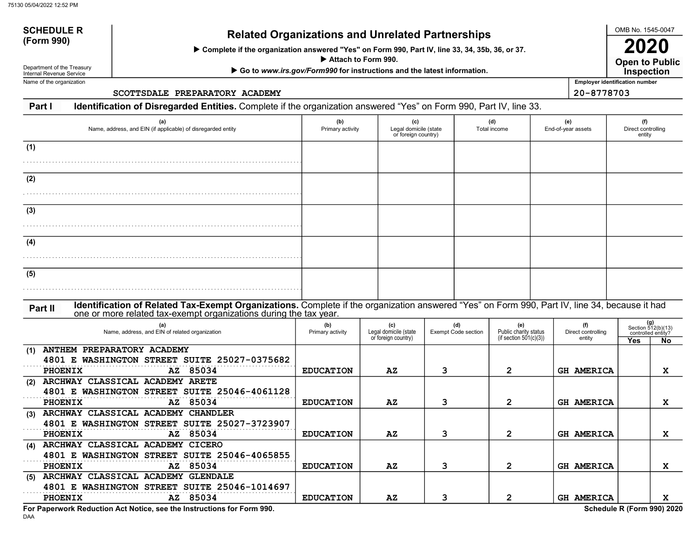# SCHEDULE R Related Organizations and Unrelated Partnerships<br>(Form 990)

Complete if the organization answered "Yes" on Form 990, Part IV, line 33, 34, 35b, 36, or 37.

Attach to Form 990.

**Part I** Identification of Disregarded Entities. Complete if the organization answered "Yes" on Form 990, Part IV, line 33.

▶ Go to www.irs.gov/Form990 for instructions and the latest information.

Department of the Treasury Internal Revenue Service Name of the organization

SCHEDULE R

SCOTTSDALE PREPARATORY ACADEMY 20-8778703

Employer identification number Open to Public Inspection

Part II Identification of Related Tax-Exempt Organizations. Complete if the organization answered "Yes" on Form 990, Part IV, line 34, because it had . . . . . . . . . . . . . . . . . . . . . . . . . . . . . . . . . . . . . . . . . . . . . . . . . . . . . . . . . . . . . . . . . . . . . . . . . . . . . . . . . . . . . . . . . . . . . . . . . . . . . . . . . . . . . . . . . . . . . . . . . . . . . . . . . . . . . . . . . . . . . . . . . . . . . . . . . . . . . . . . . . . . . . . . . . . . . . . . . . . . . . . . . . . . . . . . . . . . . . . . . . . . . . . . . . . . . . . . . . . . . . . . . . . . . . . . . . . . . . . . . . . . . . . . . . . . . . . . . . . . . . . . . . . . . . . . . . . . . . . . . . . . . . . . . . . . . . . . . . . . . . . . . . . . . . . . . . . . . . . . . . . . . . . . . . . . . . . . . . . . . . . . . . . . . . . . . . . . . . . . . . . . . . . . . . . . . . . . . . . . . . . . . . . . . . . . . . . . . . . . . . . . . . . . . . . . . . . . . . . . . . . . . . . . . . . . . . . . . . . . 4801 E WASHINGTON STREET SUITE 25027-0375682 4801 E WASHINGTON STREET SUITE 25046-4061128 4801 E WASHINGTON STREET SUITE 25027-3723907 4801 E WASHINGTON STREET SUITE 25046-4065855 4801 E WASHINGTON STREET SUITE 25046-1014697 (f) Direct controlling entity End-of-year assets (d) (e) Total income or foreign country) Legal domicile (state  $(b)$  (c) Name, address, and EIN (if applicable) of disregarded entity **Primary activity** Primary activity (a) (a) Name, address, and EIN of related organization Primary activity (b) (c) Legal domicile (state or foreign country) Exempt Code section (d) (e) Public charity status entity Direct controlling (f) (if section  $501(c)(3)$ ) one or more related tax-exempt organizations during the tax year. (1) (2) (3) (4) (5) (5) ARCHWAY CLASSICAL ACADEMY GLENDALE (4) (3) (2) (1) (g) Section 512(b)(13) controlled entity? Yes | No ANTHEM PREPARATORY ACADEMY PHOENIX AZ 85034 EDUCATION AZ 3 2 GH AMERICA X ARCHWAY CLASSICAL ACADEMY ARETE PHOENIX AZ 85034 EDUCATION AZ 3 2 GH AMERICA X ARCHWAY CLASSICAL ACADEMY CHANDLER PHOENIX AZ 85034 EDUCATION AZ 3 2 GH AMERICA X ARCHWAY CLASSICAL ACADEMY CICERO PHOENIX AZ 85034 EDUCATION AZ 3 2 GH AMERICA X PHOENIX AZ 85034 EDUCATION AZ 3 2 GH AMERICA X

**DAA** For Paperwork Reduction Act Notice, see the Instructions for Form 990. Schedule R (Form 990) 2020

OMB No. 1545-0047

2020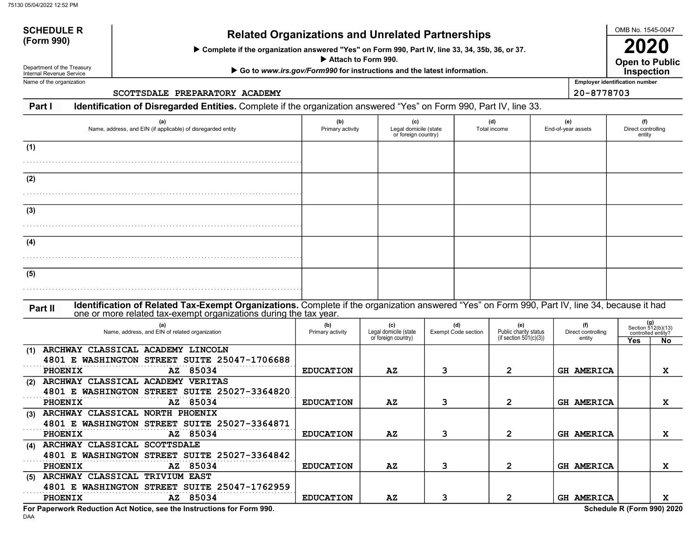# SCHEDULE R<br>(Form 990) Related Organizations and Unrelated Partnerships

Complete if the organization answered "Yes" on Form 990, Part IV, line 33, 34, 35b, 36, or 37.

Attach to Form 990.

▶ Go to www.irs.gov/Form990 for instructions and the latest information.

Department of the Treasury Internal Revenue Service Name of the organization

SCHEDULE R

SCOTTSDALE PREPARATORY ACADEMY 20-8778703

| (a)<br>Name, address, and EIN (if applicable) of disregarded entity                                                                                                                                                           | (b)<br>(c)<br>Primary activity |                                                     | (d)<br>Legal domicile (state<br>Total income<br>or foreign country) |                                                           | (e)<br>End-of-year assets           | (f)<br>Direct controlling<br>entity                                   |
|-------------------------------------------------------------------------------------------------------------------------------------------------------------------------------------------------------------------------------|--------------------------------|-----------------------------------------------------|---------------------------------------------------------------------|-----------------------------------------------------------|-------------------------------------|-----------------------------------------------------------------------|
| (1)                                                                                                                                                                                                                           |                                |                                                     |                                                                     |                                                           |                                     |                                                                       |
| (2)                                                                                                                                                                                                                           |                                |                                                     |                                                                     |                                                           |                                     |                                                                       |
| (3)                                                                                                                                                                                                                           |                                |                                                     |                                                                     |                                                           |                                     |                                                                       |
| (4)                                                                                                                                                                                                                           |                                |                                                     |                                                                     |                                                           |                                     |                                                                       |
| (5)                                                                                                                                                                                                                           |                                |                                                     |                                                                     |                                                           |                                     |                                                                       |
| Identification of Related Tax-Exempt Organizations. Complete if the organization answered "Yes" on Form 990, Part IV, line 34, because it had<br>Part II<br>one or more related tax-exempt organizations during the tax year. |                                |                                                     |                                                                     |                                                           |                                     |                                                                       |
| (a)<br>Name, address, and EIN of related organization                                                                                                                                                                         | (b)<br>Primary activity        | (c)<br>Legal domicile (state<br>or foreign country) | (d)<br><b>Exempt Code section</b>                                   | (e)<br>Public charity status<br>(if section $501(c)(3)$ ) | (f)<br>Direct controlling<br>entity | $(g)$<br>Section 512(b)(13)<br>controlled entity?<br>Yes<br><b>No</b> |
| ARCHWAY CLASSICAL ACADEMY LINCOLN<br>(1)<br>4801 E WASHINGTON STREET SUITE 25047-1706688<br>AZ 85034<br><b>PHOENIX</b>                                                                                                        | <b>EDUCATION</b>               | $\mathbf{A} \mathbf{Z}$                             | 3                                                                   | $\overline{2}$                                            | <b>GH AMERICA</b>                   | $\mathbf{x}$                                                          |
| ARCHWAY CLASSICAL ACADEMY VERITAS<br>(2)<br>4801 E WASHINGTON STREET SUITE 25027-3364820<br><b>PHOENIX</b><br>AZ 85034                                                                                                        | <b>EDUCATION</b>               | $\mathbf{A} \mathbf{Z}$                             | 3                                                                   | $\overline{2}$                                            | <b>GH AMERICA</b>                   | X                                                                     |
| (3) ARCHWAY CLASSICAL NORTH PHOENIX<br>4801 E WASHINGTON STREET SUITE 25027-3364871<br>AZ 85034<br><b>PHOENIX</b>                                                                                                             | <b>EDUCATION</b>               | AZ                                                  | 3                                                                   | $\overline{2}$                                            | <b>GH AMERICA</b>                   | x                                                                     |
| ARCHWAY CLASSICAL SCOTTSDALE<br>(4)<br>4801 E WASHINGTON STREET SUITE 25027-3364842<br>PHOENIX<br>85034<br>AZ                                                                                                                 | <b>EDUCATION</b>               | $\mathbf{A} \mathbf{Z}$                             | 3                                                                   | $\mathbf{2}$                                              | <b>GH AMERICA</b>                   | x                                                                     |
| ARCHWAY CLASSICAL TRIVIUM EAST<br>(5)<br>4801 E WASHINGTON STREET SUITE 25047-1762959<br>AZ 85034<br><b>PHOENIX</b>                                                                                                           | <b>EDUCATION</b>               | AZ                                                  | 3                                                                   | 2                                                         | <b>GH AMERICA</b>                   | X                                                                     |

DAA For Paperwork Reduction Act Notice, see the Instructions for Form 990. Schedule R (Form 990) 2020

OMB No. 1545-0047

Open to Public 2020 **Inspection** 

Employer identification number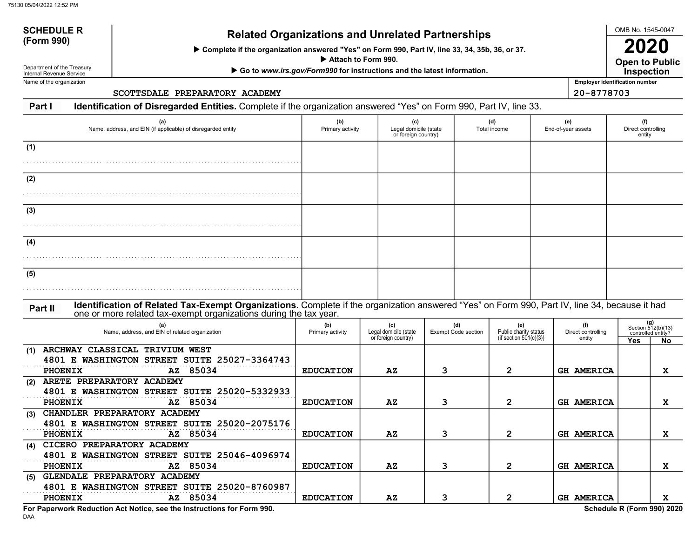# SCHEDULE Related Organizations and Unrelated Partnerships (Form 990)

Complete if the organization answered "Yes" on Form 990, Part IV, line 33, 34, 35b, 36, or 37.

Attach to Form 990.

▶ Go to www.irs.gov/Form990 for instructions and the latest information.

Department of the Treasury Internal Revenue Service Name of the organization

SCHEDULE R

SCOTTSDALE PREPARATORY ACADEMY 20-8778703

| <b>Part I</b> | <b>Identification of Disregarded Entities.</b> Complete if the organization answered "Yes" on Form 990, Part IV, line 33. |  |  |  |
|---------------|---------------------------------------------------------------------------------------------------------------------------|--|--|--|
|---------------|---------------------------------------------------------------------------------------------------------------------------|--|--|--|

| (a)<br>Name, address, and EIN (if applicable) of disregarded entity                                                                           | (b)<br>Primary activity |                     | (c)<br>Legal domicile (state<br>or foreign country) |   | (d)<br>Total income               |                              | (e)<br>End-of-year assets |                                     |     | (f)<br>Direct controlling<br>entity                    |
|-----------------------------------------------------------------------------------------------------------------------------------------------|-------------------------|---------------------|-----------------------------------------------------|---|-----------------------------------|------------------------------|---------------------------|-------------------------------------|-----|--------------------------------------------------------|
| (1)                                                                                                                                           |                         |                     |                                                     |   |                                   |                              |                           |                                     |     |                                                        |
|                                                                                                                                               |                         |                     |                                                     |   |                                   |                              |                           |                                     |     |                                                        |
| (2)                                                                                                                                           |                         |                     |                                                     |   |                                   |                              |                           |                                     |     |                                                        |
|                                                                                                                                               |                         |                     |                                                     |   |                                   |                              |                           |                                     |     |                                                        |
| (3)                                                                                                                                           |                         |                     |                                                     |   |                                   |                              |                           |                                     |     |                                                        |
|                                                                                                                                               |                         |                     |                                                     |   |                                   |                              |                           |                                     |     |                                                        |
| (4)                                                                                                                                           |                         |                     |                                                     |   |                                   |                              |                           |                                     |     |                                                        |
|                                                                                                                                               |                         |                     |                                                     |   |                                   |                              |                           |                                     |     |                                                        |
| (5)                                                                                                                                           |                         |                     |                                                     |   |                                   |                              |                           |                                     |     |                                                        |
|                                                                                                                                               |                         |                     |                                                     |   |                                   |                              |                           |                                     |     |                                                        |
| Identification of Related Tax-Exempt Organizations. Complete if the organization answered "Yes" on Form 990, Part IV, line 34, because it had |                         |                     |                                                     |   |                                   |                              |                           |                                     |     |                                                        |
| Part II<br>one or more related tax-exempt organizations during the tax year.                                                                  |                         |                     |                                                     |   |                                   |                              |                           |                                     |     |                                                        |
| (a)<br>Name, address, and EIN of related organization                                                                                         | (b)<br>Primary activity | or foreign country) | (c)<br>Legal domicile (state                        |   | (d)<br><b>Exempt Code section</b> | (e)<br>Public charity status |                           | (f)<br>Direct controlling<br>entity | Yes | (g)<br>Section 512(b)(13)<br>controlled entity?<br>No. |
| ARCHWAY CLASSICAL TRIVIUM WEST<br>(1)                                                                                                         |                         |                     |                                                     |   |                                   |                              |                           |                                     |     |                                                        |
| 4801 E WASHINGTON STREET SUITE 25027-3364743                                                                                                  |                         |                     |                                                     |   |                                   |                              |                           |                                     |     |                                                        |
| PHOENIX<br>85034<br>AZ<br>(2) ARETE PREPARATORY ACADEMY                                                                                       | <b>EDUCATION</b>        |                     | $\mathbf{A} \mathbf{Z}$                             | 3 |                                   | $\overline{2}$               |                           | <b>GH AMERICA</b>                   |     | $\mathbf{x}$                                           |
| 4801 E WASHINGTON STREET SUITE 25020-5332933                                                                                                  |                         |                     |                                                     |   |                                   |                              |                           |                                     |     |                                                        |
| <b>PHOENIX</b><br>AZ 85034                                                                                                                    | <b>EDUCATION</b>        |                     | AZ                                                  | 3 |                                   | $\overline{2}$               |                           | <b>GH AMERICA</b>                   |     | $\mathbf{x}$                                           |
| (3) CHANDLER PREPARATORY ACADEMY<br>4801 E WASHINGTON STREET SUITE 25020-2075176                                                              |                         |                     |                                                     |   |                                   |                              |                           |                                     |     |                                                        |
| PHOENIX<br>AZ 85034                                                                                                                           | <b>EDUCATION</b>        |                     | AZ                                                  | 3 |                                   | $\overline{2}$               |                           | <b>GH AMERICA</b>                   |     | $\mathbf{x}$                                           |
| (4) CICERO PREPARATORY ACADEMY                                                                                                                |                         |                     |                                                     |   |                                   |                              |                           |                                     |     |                                                        |
| 4801 E WASHINGTON STREET SUITE 25046-4096974                                                                                                  |                         |                     |                                                     |   |                                   |                              |                           |                                     |     |                                                        |
| PHOENIX<br>AZ 85034<br>(5) GLENDALE PREPARATORY ACADEMY                                                                                       | <b>EDUCATION</b>        |                     | AZ                                                  | 3 |                                   | $\mathbf{2}$                 |                           | <b>GH AMERICA</b>                   |     | X                                                      |
| 4801 E WASHINGTON STREET SUITE 25020-8760987                                                                                                  |                         |                     |                                                     |   |                                   |                              |                           |                                     |     |                                                        |
| AZ 85034<br><b>PHOENIX</b>                                                                                                                    | <b>EDUCATION</b>        |                     | $\mathbf{A} \mathbf{Z}$                             | 3 |                                   | $\overline{2}$               |                           | <b>GH AMERICA</b>                   |     | X                                                      |

DAA For Paperwork Reduction Act Notice, see the Instructions for Form 990. Schedule R (Form 990) 2020

OMB No. 1545-0047

Open to Public

Employer identification number

2020 **Inspection**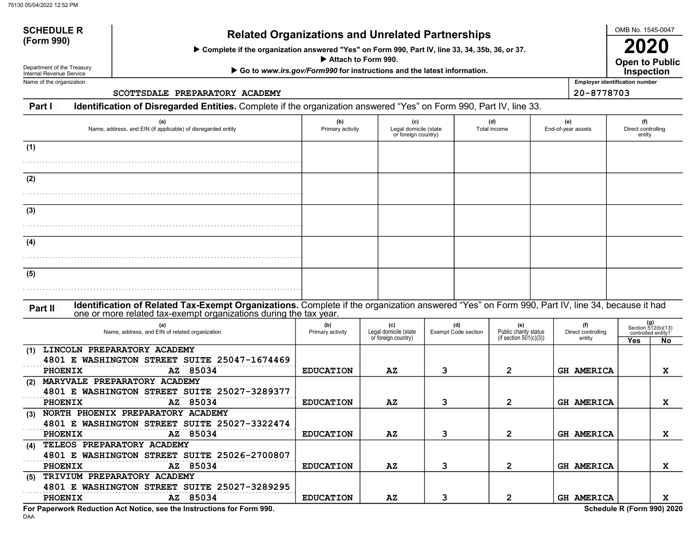# SCHEDULE Related Organizations and Unrelated Partnerships<br>(Form 990)

Complete if the organization answered "Yes" on Form 990, Part IV, line 33, 34, 35b, 36, or 37.

Attach to Form 990.

▶ Go to www.irs.gov/Form990 for instructions and the latest information.

Department of the Treasury Internal Revenue Service Name of the organization

SCHEDULE R

SCOTTSDALE PREPARATORY ACADEMY 20-8778703

|  | Part I |  |  | <b>Identification of Disregarded Entities.</b> Complete if the organization answered "Yes" on Form 990, Part IV, line 33. |
|--|--------|--|--|---------------------------------------------------------------------------------------------------------------------------|
|--|--------|--|--|---------------------------------------------------------------------------------------------------------------------------|

| (a)<br>Name, address, and EIN (if applicable) of disregarded entity                                                                                                                                                           | (b)<br>Primary activity | (c)<br>Legal domicile (state<br>or foreign country) |                                   | (d)<br>Total income                                       | (e)<br>End-of-year assets           | (f)<br>Direct controlling<br>entity                      |    |
|-------------------------------------------------------------------------------------------------------------------------------------------------------------------------------------------------------------------------------|-------------------------|-----------------------------------------------------|-----------------------------------|-----------------------------------------------------------|-------------------------------------|----------------------------------------------------------|----|
| (1)                                                                                                                                                                                                                           |                         |                                                     |                                   |                                                           |                                     |                                                          |    |
| (2)                                                                                                                                                                                                                           |                         |                                                     |                                   |                                                           |                                     |                                                          |    |
| (3)                                                                                                                                                                                                                           |                         |                                                     |                                   |                                                           |                                     |                                                          |    |
| (4)                                                                                                                                                                                                                           |                         |                                                     |                                   |                                                           |                                     |                                                          |    |
| (5)                                                                                                                                                                                                                           |                         |                                                     |                                   |                                                           |                                     |                                                          |    |
| Identification of Related Tax-Exempt Organizations. Complete if the organization answered "Yes" on Form 990, Part IV, line 34, because it had<br>Part II<br>one or more related tax-exempt organizations during the tax year. |                         |                                                     |                                   |                                                           |                                     |                                                          |    |
| (a)<br>Name, address, and EIN of related organization                                                                                                                                                                         | (b)<br>Primary activity | (c)<br>Legal domicile (state<br>or foreign country) | (d)<br><b>Exempt Code section</b> | (e)<br>Public charity status<br>(if section $501(c)(3)$ ) | (f)<br>Direct controlling<br>entity | $(g)$<br>Section 512(b)(13)<br>controlled entity?<br>Yes | No |
| LINCOLN PREPARATORY ACADEMY<br>(1)<br>4801 E WASHINGTON STREET SUITE 25047-1674469<br>AZ 85034<br>PHOENIX                                                                                                                     | <b>EDUCATION</b>        | $\mathbf{A} \mathbf{Z}$                             | 3                                 | $\overline{2}$                                            | <b>GH AMERICA</b>                   |                                                          | X  |
| (2) MARYVALE PREPARATORY ACADEMY<br>4801 E WASHINGTON STREET SUITE 25027-3289377<br>AZ 85034<br>PHOENIX                                                                                                                       | <b>EDUCATION</b>        | AZ                                                  | 3                                 | $\mathbf{2}$                                              | <b>GH AMERICA</b>                   |                                                          | x  |
| NORTH PHOENIX PREPARATORY ACADEMY<br>(3)<br>4801 E WASHINGTON STREET SUITE 25027-3322474<br><b>PHOENIX</b><br>AZ 85034                                                                                                        | <b>EDUCATION</b>        | $\mathbf{A} \mathbf{Z}$                             | 3                                 | $\overline{2}$                                            | <b>GH AMERICA</b>                   |                                                          | X  |
| TELEOS PREPARATORY ACADEMY<br>(4)<br>4801 E WASHINGTON STREET SUITE 25026-2700807<br><b>PHOENIX</b><br>AZ 85034                                                                                                               | <b>EDUCATION</b>        | $\mathbf{A} \mathbf{Z}$                             | 3                                 | $\overline{2}$                                            | <b>GH AMERICA</b>                   |                                                          | X  |
| TRIVIUM PREPARATORY ACADEMY<br>(5)<br>4801 E WASHINGTON STREET SUITE 25027-3289295<br>AZ 85034<br><b>PHOENIX</b><br>$\mathbf{r}$ and $\mathbf{r}$ are a subset of $\mathbf{r}$<br>$\cdots$<br>$\overline{\phantom{a}}$        | <b>EDUCATION</b>        | AZ                                                  | 3                                 | $\mathbf{2}$                                              | <b>GH AMERICA</b>                   |                                                          | x  |

DAA For Paperwork Reduction Act Notice, see the Instructions for Form 990. Schedule R (Form 990) 2020

OMB No. 1545-0047

Open to Public

Employer identification number

2020 **inspection**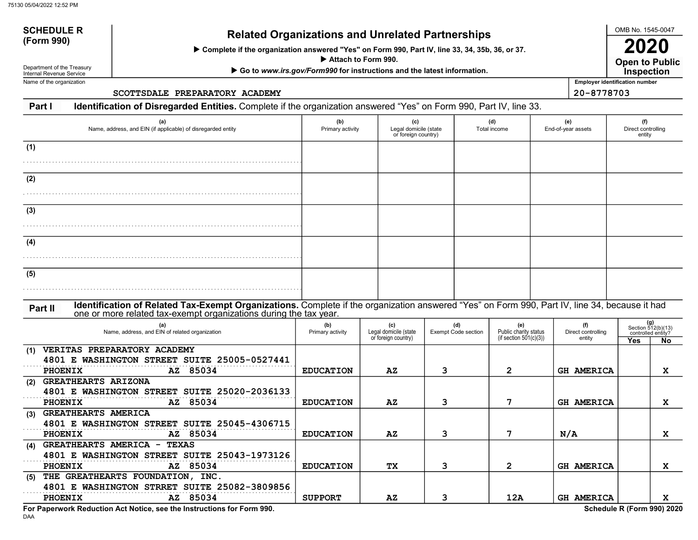# SCHEDULE R<br>(Form 990) Related Organizations and Unrelated Partnerships

Complete if the organization answered "Yes" on Form 990, Part IV, line 33, 34, 35b, 36, or 37.

Attach to Form 990.

▶ Go to www.irs.gov/Form990 for instructions and the latest information.

Department of the Treasury Internal Revenue Service Name of the organization

SCHEDULE R

SCOTTSDALE PREPARATORY ACADEMY 20-8778703

OMB No. 1545-0047 Open to Public 2020 **Inspection** 

Employer identification number

Part I Identification of Disregarded Entities. Complete if the organization answered "Yes" on Form 990, Part IV, line 33.

| (1)<br>(2)<br>(3)<br>(4)<br>(5)                                                                                                                                                                                                                                                         |                                                          |
|-----------------------------------------------------------------------------------------------------------------------------------------------------------------------------------------------------------------------------------------------------------------------------------------|----------------------------------------------------------|
|                                                                                                                                                                                                                                                                                         |                                                          |
|                                                                                                                                                                                                                                                                                         |                                                          |
|                                                                                                                                                                                                                                                                                         |                                                          |
|                                                                                                                                                                                                                                                                                         |                                                          |
|                                                                                                                                                                                                                                                                                         |                                                          |
| Identification of Related Tax-Exempt Organizations. Complete if the organization answered "Yes" on Form 990, Part IV, line 34, because it had<br>Part II<br>one or more related tax-exempt organizations during the tax year.                                                           |                                                          |
| (a)<br>(b)<br>(d)<br>(c)<br>(e)<br>(f)<br>Legal domicile (state<br>Public charity status<br>Name, address, and EIN of related organization<br><b>Exempt Code section</b><br>Direct controlling<br>Primary activity<br>or foreign country)<br>(if section $501(c)(3)$ )<br>entity<br>Yes | $(g)$<br>Section 512(b)(13)<br>controlled entity?<br>No. |
| VERITAS PREPARATORY ACADEMY<br>(1)<br>4801 E WASHINGTON STREET SUITE 25005-0527441<br>AZ 85034<br>PHOENIX<br>3<br>$\overline{2}$<br>AZ<br><b>GH AMERICA</b><br><b>EDUCATION</b>                                                                                                         | X                                                        |
| <b>GREATHEARTS ARIZONA</b><br>(2)<br>4801 E WASHINGTON STREET SUITE 25020-2036133<br>PHOENIX<br>AZ 85034<br>3<br>7<br><b>EDUCATION</b><br>AZ<br><b>GH AMERICA</b>                                                                                                                       | X                                                        |
| <b>GREATHEARTS AMERICA</b><br>(3)<br>4801 E WASHINGTON STREET SUITE 25045-4306715<br>PHOENIX<br>AZ 85034<br>7<br>3<br>N/A<br>AZ<br><b>EDUCATION</b>                                                                                                                                     | X                                                        |
| <b>GREATHEARTS AMERICA - TEXAS</b><br>(4)<br>4801 E WASHINGTON STREET SUITE 25043-1973126<br>AZ 85034<br>$\overline{2}$<br><b>PHOENIX</b><br>3<br><b>EDUCATION</b><br>TX.<br><b>GH AMERICA</b>                                                                                          | X                                                        |
| THE GREATHEARTS FOUNDATION, INC.<br>(5)<br>4801 E WASHINGTON STRRET SUITE 25082-3809856<br>AZ 85034<br>3<br>12A<br><b>PHOENIX</b><br><b>SUPPORT</b><br>$\mathbf{A} \mathbf{Z}$<br><b>GH AMERICA</b>                                                                                     |                                                          |

DAA For Paperwork Reduction Act Notice, see the Instructions for Form 990. Schedule R (Form 990) 2020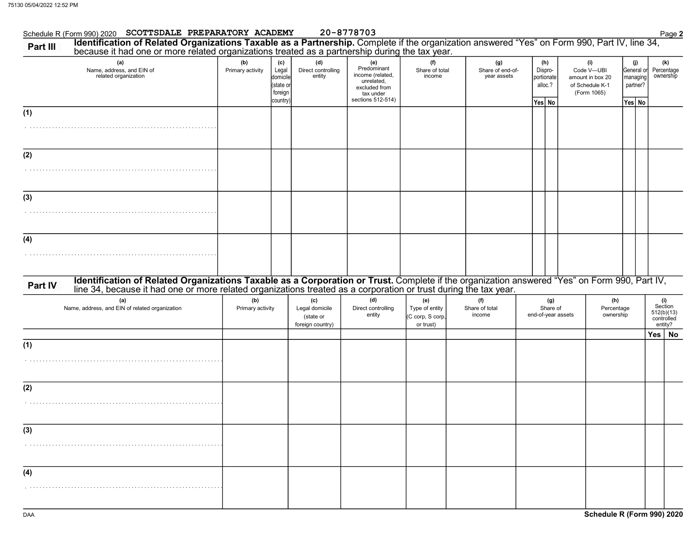|          | Schedule R (Form 990) 2020 SCOTTSDALE PREPARATORY ACADEMY                                                                                                                                                                      |                         |                                                              |                                                        | 20-8778703                                                                                              |                                                        |                                 |                    |                                                   |                 |                                                                         |                                |                                                     | Page 2                                                |
|----------|--------------------------------------------------------------------------------------------------------------------------------------------------------------------------------------------------------------------------------|-------------------------|--------------------------------------------------------------|--------------------------------------------------------|---------------------------------------------------------------------------------------------------------|--------------------------------------------------------|---------------------------------|--------------------|---------------------------------------------------|-----------------|-------------------------------------------------------------------------|--------------------------------|-----------------------------------------------------|-------------------------------------------------------|
| Part III | Identification of Related Organizations Taxable as a Partnership. Complete if the organization answered "Yes" on Form 990, Part IV, line 34, because it had one or more related organizations treated as a partnership during  |                         |                                                              |                                                        |                                                                                                         |                                                        |                                 |                    |                                                   |                 |                                                                         |                                |                                                     |                                                       |
|          | (a)<br>Name, address, and EIN of<br>related organization                                                                                                                                                                       | (b)<br>Primary activity | (c)<br>Legal<br>domicile<br>(state or<br>foreign<br>country) | (d)<br>Direct controlling<br>entity                    | (e)<br>Predominant<br>income (related,<br>unrelated,<br>excluded from<br>tax under<br>sections 512-514) | (f)<br>Share of total<br>income                        | Share of end-of-                | (g)<br>year assets | (h)<br>Dispro-<br>portionate<br>alloc.?<br>Yes No |                 | (i)<br>Code V-UBI<br>amount in box 20<br>of Schedule K-1<br>(Form 1065) |                                | (j)<br>General or<br>managing<br>partner?<br>Yes No | (k)<br>Percentage<br>ownership                        |
| (1)      |                                                                                                                                                                                                                                |                         |                                                              |                                                        |                                                                                                         |                                                        |                                 |                    |                                                   |                 |                                                                         |                                |                                                     |                                                       |
|          |                                                                                                                                                                                                                                |                         |                                                              |                                                        |                                                                                                         |                                                        |                                 |                    |                                                   |                 |                                                                         |                                |                                                     |                                                       |
| (2)      |                                                                                                                                                                                                                                |                         |                                                              |                                                        |                                                                                                         |                                                        |                                 |                    |                                                   |                 |                                                                         |                                |                                                     |                                                       |
|          |                                                                                                                                                                                                                                |                         |                                                              |                                                        |                                                                                                         |                                                        |                                 |                    |                                                   |                 |                                                                         |                                |                                                     |                                                       |
| (3)      |                                                                                                                                                                                                                                |                         |                                                              |                                                        |                                                                                                         |                                                        |                                 |                    |                                                   |                 |                                                                         |                                |                                                     |                                                       |
|          |                                                                                                                                                                                                                                |                         |                                                              |                                                        |                                                                                                         |                                                        |                                 |                    |                                                   |                 |                                                                         |                                |                                                     |                                                       |
| (4)      |                                                                                                                                                                                                                                |                         |                                                              |                                                        |                                                                                                         |                                                        |                                 |                    |                                                   |                 |                                                                         |                                |                                                     |                                                       |
|          |                                                                                                                                                                                                                                |                         |                                                              |                                                        |                                                                                                         |                                                        |                                 |                    |                                                   |                 |                                                                         |                                |                                                     |                                                       |
| Part IV  | Identification of Related Organizations Taxable as a Corporation or Trust. Complete if the organization answered "Yes" on Form 990, Part IV, line 34, because it had one or more related organizations treated as a corporatio |                         |                                                              |                                                        |                                                                                                         |                                                        |                                 |                    |                                                   |                 |                                                                         |                                |                                                     |                                                       |
|          | (a)<br>Name, address, and EIN of related organization                                                                                                                                                                          | (b)<br>Primary activity |                                                              | (c)<br>Legal domicile<br>(state or<br>foreign country) | (d)<br>Direct controlling<br>entity                                                                     | (e)<br>Type of entity<br>(C corp, S corp,<br>or trust) | (f)<br>Share of total<br>income |                    | end-of-year assets                                | (g)<br>Share of |                                                                         | (h)<br>Percentage<br>ownership |                                                     | (i)<br>Section<br>512(b)(13)<br>controlled<br>entity? |
| (1)      |                                                                                                                                                                                                                                |                         |                                                              |                                                        |                                                                                                         |                                                        |                                 |                    |                                                   |                 |                                                                         |                                |                                                     | Yes   No                                              |
|          |                                                                                                                                                                                                                                |                         |                                                              |                                                        |                                                                                                         |                                                        |                                 |                    |                                                   |                 |                                                                         |                                |                                                     |                                                       |
| (2)      |                                                                                                                                                                                                                                |                         |                                                              |                                                        |                                                                                                         |                                                        |                                 |                    |                                                   |                 |                                                                         |                                |                                                     |                                                       |
|          |                                                                                                                                                                                                                                |                         |                                                              |                                                        |                                                                                                         |                                                        |                                 |                    |                                                   |                 |                                                                         |                                |                                                     |                                                       |
| (3)      |                                                                                                                                                                                                                                |                         |                                                              |                                                        |                                                                                                         |                                                        |                                 |                    |                                                   |                 |                                                                         |                                |                                                     |                                                       |
|          |                                                                                                                                                                                                                                |                         |                                                              |                                                        |                                                                                                         |                                                        |                                 |                    |                                                   |                 |                                                                         |                                |                                                     |                                                       |
| (4)      |                                                                                                                                                                                                                                |                         |                                                              |                                                        |                                                                                                         |                                                        |                                 |                    |                                                   |                 |                                                                         |                                |                                                     |                                                       |
|          |                                                                                                                                                                                                                                |                         |                                                              |                                                        |                                                                                                         |                                                        |                                 |                    |                                                   |                 |                                                                         |                                |                                                     |                                                       |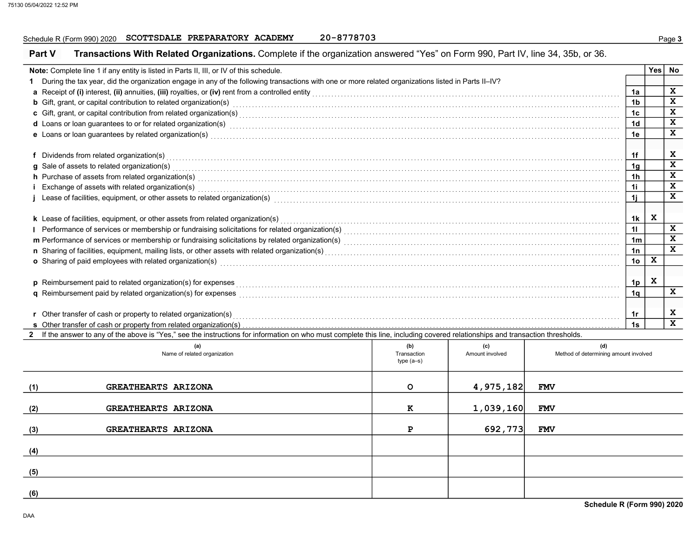### Schedule R (Form 990) 2020 SCOTTSDALE PREPARATORY ACADEMY 20-8778703

| Part V | Transactions With Related Organizations. Complete if the organization answered "Yes" on Form 990, Part IV, line 34, 35b, or 36.                                                                                                      |             |                 |                                       |                 |              |                         |
|--------|--------------------------------------------------------------------------------------------------------------------------------------------------------------------------------------------------------------------------------------|-------------|-----------------|---------------------------------------|-----------------|--------------|-------------------------|
|        | Note: Complete line 1 if any entity is listed in Parts II, III, or IV of this schedule.                                                                                                                                              |             |                 |                                       |                 | <b>Yes</b>   | No                      |
|        | 1 During the tax year, did the organization engage in any of the following transactions with one or more related organizations listed in Parts II-IV?                                                                                |             |                 |                                       |                 |              |                         |
|        |                                                                                                                                                                                                                                      |             |                 |                                       | 1a              |              | $\mathbf x$             |
|        | <b>b</b> Gift, grant, or capital contribution to related organization(s) encourse conserved conserved conserved contribution to related organization(s)                                                                              |             |                 |                                       | 1 <sub>b</sub>  |              | $\overline{\mathbf{x}}$ |
|        | c Gift, grant, or capital contribution from related organization(s) encourse the content of content of content of the contribution from related organization(s) encourse the content of content of content of content of conte       |             |                 |                                       | 1 <sub>c</sub>  |              | $\overline{\mathbf{x}}$ |
|        | d Loans or loan guarantees to or for related organization(s) encourance contained and contained a contained and contained a contained a contained and contained a contact or details and contact a contact or details and cont       |             |                 |                                       | 1 <sub>d</sub>  |              | $\overline{\mathbf{x}}$ |
|        | e Loans or loan guarantees by related organization(s)<br>interaction contractions contractions contraction control contractions control or control or contract or contract or contract or contract or control or contract or con     |             |                 |                                       | 1e              |              | $\mathbf{x}$            |
|        |                                                                                                                                                                                                                                      |             |                 |                                       |                 |              |                         |
|        | f Dividends from related organization(s) encourance contains a substantial container and providends from related organization(s) encourance contains a substantial contains a substantial contains a substantial contains a su       |             |                 |                                       | 1f              |              | x                       |
|        | g Sale of assets to related organization(s)                                                                                                                                                                                          |             |                 |                                       | 1 <sub>q</sub>  |              | $\mathbf{x}$            |
|        | h Purchase of assets from related organization(s) with an intervent control to contact the control of assets from related organization(s) with an intervent contact the control of a set of assets from related organization(s       |             |                 |                                       | 1 <sub>h</sub>  |              | $\mathbf{x}$            |
|        | <i>i</i> Exchange of assets with related organization(s)                                                                                                                                                                             |             |                 |                                       | 1i              |              | $\overline{\mathbf{x}}$ |
|        | j Lease of facilities, equipment, or other assets to related organization(s) enconverse contained accommodal contained and facilities equipment, or other assets to related organization(s) enconverse contained accommodal to       |             |                 |                                       | 1j              |              | X                       |
|        |                                                                                                                                                                                                                                      |             |                 |                                       |                 |              |                         |
|        | k Lease of facilities, equipment, or other assets from related organization(s)                                                                                                                                                       |             |                 |                                       | 1k              | X            |                         |
|        |                                                                                                                                                                                                                                      |             |                 |                                       | 11              |              | $\mathbf{x}$            |
|        |                                                                                                                                                                                                                                      |             |                 |                                       | 1 <sub>m</sub>  |              | X                       |
|        |                                                                                                                                                                                                                                      |             |                 |                                       | 1n              |              | $\mathbf{x}$            |
|        | o Sharing of paid employees with related organization(s) encounteral contracts and contain a substantial container with related organization(s) encouragement and container and container and container and container and cont       |             |                 |                                       | 10 <sup>1</sup> | $\mathbf{x}$ |                         |
|        |                                                                                                                                                                                                                                      |             |                 |                                       |                 |              |                         |
|        | p Reimbursement paid to related organization(s) for expenses <b>conserver and the conserver and the conserver and the conserver and the conserver and the conserver and the conserver and the conserver and the conserver and th</b> |             |                 |                                       | 1p              | X            |                         |
|        | q Reimbursement paid by related organization(s) for expenses <b>construction construction</b> construction construction                                                                                                              |             |                 |                                       | 1q              |              | x                       |
|        |                                                                                                                                                                                                                                      |             |                 |                                       |                 |              |                         |
|        | r Other transfer of cash or property to related organization(s)                                                                                                                                                                      |             |                 |                                       | 1r              |              | x                       |
|        | <b>s</b> Other transfer of cash or property from related organization(s)                                                                                                                                                             |             |                 |                                       | 1s              |              | $\mathbf{x}$            |
|        | 2 If the answer to any of the above is "Yes," see the instructions for information on who must complete this line, including covered relationships and transaction thresholds.                                                       |             |                 |                                       |                 |              |                         |
|        | (a)                                                                                                                                                                                                                                  | (b)         | (c)             | (d)                                   |                 |              |                         |
|        | Name of related organization                                                                                                                                                                                                         | Transaction | Amount involved | Method of determining amount involved |                 |              |                         |
|        |                                                                                                                                                                                                                                      | $type(a-s)$ |                 |                                       |                 |              |                         |
| (1)    | GREATHEARTS ARIZONA                                                                                                                                                                                                                  | $\circ$     | 4,975,182       | <b>FMV</b>                            |                 |              |                         |
|        |                                                                                                                                                                                                                                      |             |                 |                                       |                 |              |                         |
| (2)    | GREATHEARTS ARIZONA                                                                                                                                                                                                                  | к           | 1,039,160       | <b>FMV</b>                            |                 |              |                         |
|        |                                                                                                                                                                                                                                      |             |                 |                                       |                 |              |                         |
| (3)    | GREATHEARTS ARIZONA                                                                                                                                                                                                                  | Ρ           | 692,773         | FMV                                   |                 |              |                         |
| (4)    |                                                                                                                                                                                                                                      |             |                 |                                       |                 |              |                         |
|        |                                                                                                                                                                                                                                      |             |                 |                                       |                 |              |                         |
| (5)    |                                                                                                                                                                                                                                      |             |                 |                                       |                 |              |                         |
| (6)    |                                                                                                                                                                                                                                      |             |                 |                                       |                 |              |                         |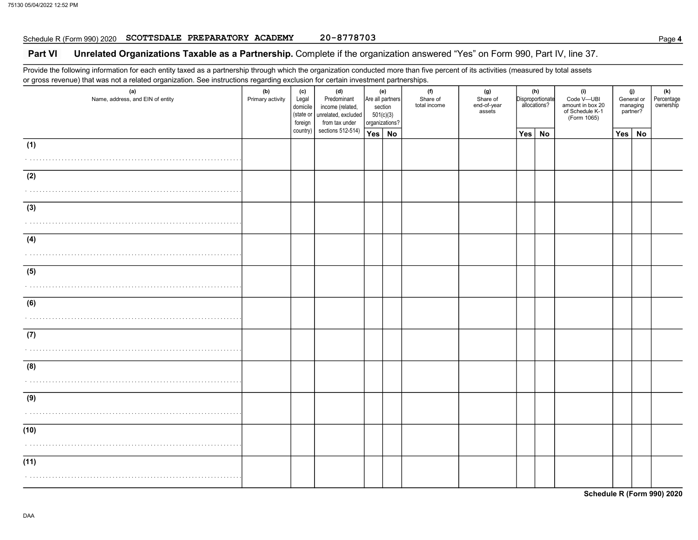### Schedule R (Form 990) 2020 SCOTTSDALE PREPARATORY ACADEMY 20-8778703

#### Part VI Unrelated Organizations Taxable as a Partnership. Complete if the organization answered "Yes" on Form 990, Part IV, line 37.

Provide the following information for each entity taxed as a partnership through which the organization conducted more than five percent of its activities (measured by total assets or gross revenue) that was not a related organization. See instructions regarding exclusion for certain investment partnerships.

| (a)<br>Name, address, and EIN of entity | (b)<br>Primary activity | (c)<br>Legal<br>domicile<br>(state or<br>foreign | (d)<br>Predominant<br>income (related,<br>unrelated, excluded<br>from tax under | (e)<br>Are all partners<br>section<br>501(c)(3)<br>organizations? |  | (f)<br>Share of<br>total income | (g)<br>Share of<br>end-of-year<br>assets | (h)<br>Disproportionate<br>allocations? |           | (i)<br>Code V-UBI<br>amount in box 20<br>of Schedule K-1<br>(Form 1065) | (j)<br>General or<br>managing<br>partner? |           | (k)<br>Percentage<br>ownership |
|-----------------------------------------|-------------------------|--------------------------------------------------|---------------------------------------------------------------------------------|-------------------------------------------------------------------|--|---------------------------------|------------------------------------------|-----------------------------------------|-----------|-------------------------------------------------------------------------|-------------------------------------------|-----------|--------------------------------|
|                                         |                         | country)                                         | sections 512-514)                                                               | Yes   No                                                          |  |                                 |                                          | Yes                                     | <b>No</b> |                                                                         | Yes                                       | <b>No</b> |                                |
| (1)                                     |                         |                                                  |                                                                                 |                                                                   |  |                                 |                                          |                                         |           |                                                                         |                                           |           |                                |
| (2)                                     |                         |                                                  |                                                                                 |                                                                   |  |                                 |                                          |                                         |           |                                                                         |                                           |           |                                |
| (3)                                     |                         |                                                  |                                                                                 |                                                                   |  |                                 |                                          |                                         |           |                                                                         |                                           |           |                                |
| (4)<br>.                                |                         |                                                  |                                                                                 |                                                                   |  |                                 |                                          |                                         |           |                                                                         |                                           |           |                                |
| (5)                                     |                         |                                                  |                                                                                 |                                                                   |  |                                 |                                          |                                         |           |                                                                         |                                           |           |                                |
| (6)                                     |                         |                                                  |                                                                                 |                                                                   |  |                                 |                                          |                                         |           |                                                                         |                                           |           |                                |
| (7)                                     |                         |                                                  |                                                                                 |                                                                   |  |                                 |                                          |                                         |           |                                                                         |                                           |           |                                |
| (8)                                     |                         |                                                  |                                                                                 |                                                                   |  |                                 |                                          |                                         |           |                                                                         |                                           |           |                                |
| (9)                                     |                         |                                                  |                                                                                 |                                                                   |  |                                 |                                          |                                         |           |                                                                         |                                           |           |                                |
| (10)                                    |                         |                                                  |                                                                                 |                                                                   |  |                                 |                                          |                                         |           |                                                                         |                                           |           |                                |
| (11)                                    |                         |                                                  |                                                                                 |                                                                   |  |                                 |                                          |                                         |           |                                                                         |                                           |           |                                |

Schedule R (Form 990) 2020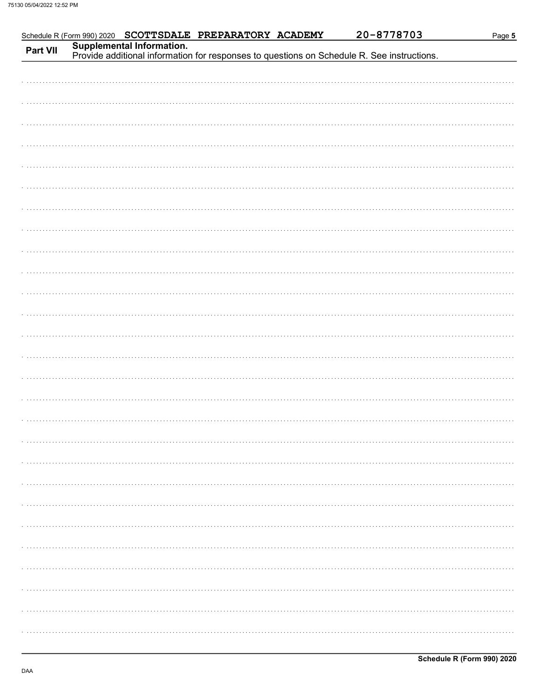|          |  | Schedule R (Form 990) 2020 SCOTTSDALE PREPARATORY ACADEMY | 20-8778703                                                                                                              | Page 5 |
|----------|--|-----------------------------------------------------------|-------------------------------------------------------------------------------------------------------------------------|--------|
| Part VII |  |                                                           | Supplemental Information.<br>Provide additional information for responses to questions on Schedule R. See instructions. |        |
|          |  |                                                           |                                                                                                                         |        |
|          |  |                                                           |                                                                                                                         |        |
|          |  |                                                           |                                                                                                                         |        |
|          |  |                                                           |                                                                                                                         |        |
|          |  |                                                           |                                                                                                                         |        |
|          |  |                                                           |                                                                                                                         |        |
|          |  |                                                           |                                                                                                                         |        |
|          |  |                                                           |                                                                                                                         |        |
|          |  |                                                           |                                                                                                                         |        |
|          |  |                                                           |                                                                                                                         |        |
|          |  |                                                           |                                                                                                                         |        |
|          |  |                                                           |                                                                                                                         |        |
|          |  |                                                           |                                                                                                                         |        |
|          |  |                                                           |                                                                                                                         |        |
|          |  |                                                           |                                                                                                                         |        |
|          |  |                                                           |                                                                                                                         |        |
|          |  |                                                           |                                                                                                                         |        |
|          |  |                                                           |                                                                                                                         |        |
|          |  |                                                           |                                                                                                                         |        |
|          |  |                                                           |                                                                                                                         |        |
|          |  |                                                           |                                                                                                                         |        |
|          |  |                                                           |                                                                                                                         |        |
|          |  |                                                           |                                                                                                                         |        |
|          |  |                                                           |                                                                                                                         |        |
|          |  |                                                           |                                                                                                                         |        |
|          |  |                                                           |                                                                                                                         |        |
|          |  |                                                           |                                                                                                                         |        |
|          |  |                                                           |                                                                                                                         |        |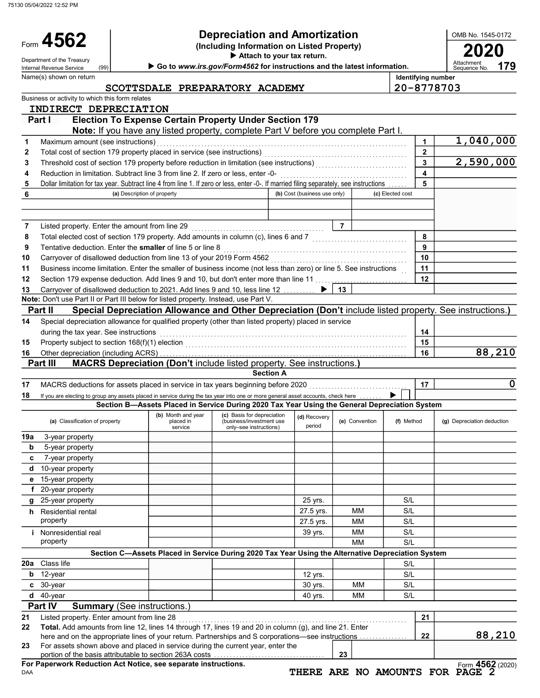75130 05/04/2022 12:52 PM

Name(s) shown on return

(99)

Form 4562

### Depreciation and Amortization

(Including Information on Listed Property) **4562** Depreciation and Amortization<br>(Including Information on Listed Property)<br>Attach to your tax return.

Attach to your tax return.

Department of the Treasury (99) **Department of the Treasury Control of the Service Control of the Treasury Department**<br>Internal Revenue Service (99) **Department Department of the Internal Revenue Roughly Control of the Int** 

Identifying number

OMB No. 1545-0172

179

|        |                                                                                                                                         | SCOTTSDALE PREPARATORY ACADEMY                                                                    |                                                                                  |                              |                |                  | 20-8778703       |                            |
|--------|-----------------------------------------------------------------------------------------------------------------------------------------|---------------------------------------------------------------------------------------------------|----------------------------------------------------------------------------------|------------------------------|----------------|------------------|------------------|----------------------------|
|        | Business or activity to which this form relates                                                                                         |                                                                                                   |                                                                                  |                              |                |                  |                  |                            |
|        | INDIRECT DEPRECIATION                                                                                                                   |                                                                                                   |                                                                                  |                              |                |                  |                  |                            |
|        | <b>Election To Expense Certain Property Under Section 179</b><br>Part I                                                                 |                                                                                                   |                                                                                  |                              |                |                  |                  |                            |
|        | Note: If you have any listed property, complete Part V before you complete Part I.                                                      |                                                                                                   |                                                                                  |                              |                |                  |                  |                            |
| 1      | Maximum amount (see instructions)                                                                                                       |                                                                                                   |                                                                                  |                              |                |                  | 1<br>$\mathbf 2$ | 1,040,000                  |
| 2<br>3 |                                                                                                                                         |                                                                                                   |                                                                                  |                              |                |                  | $\mathbf{3}$     | 2,590,000                  |
| 4      |                                                                                                                                         |                                                                                                   |                                                                                  |                              |                |                  | 4                |                            |
| 5      | Dollar limitation for tax year. Subtract line 4 from line 1. If zero or less, enter -0-. If married filing separately, see instructions |                                                                                                   |                                                                                  |                              |                |                  | 5                |                            |
| 6      | (a) Description of property                                                                                                             |                                                                                                   |                                                                                  | (b) Cost (business use only) |                | (c) Elected cost |                  |                            |
|        |                                                                                                                                         |                                                                                                   |                                                                                  |                              |                |                  |                  |                            |
|        |                                                                                                                                         |                                                                                                   |                                                                                  |                              |                |                  |                  |                            |
| 7      |                                                                                                                                         |                                                                                                   |                                                                                  |                              | $\overline{7}$ |                  |                  |                            |
| 8      | Total elected cost of section 179 property. Add amounts in column (c), lines 6 and 7 [[[[[[[[[[[[[[[[[[[[[[[[                           |                                                                                                   |                                                                                  |                              |                |                  | 8                |                            |
| 9      | Tentative deduction. Enter the smaller of line 5 or line 8                                                                              |                                                                                                   |                                                                                  |                              |                |                  | 9                |                            |
| 10     |                                                                                                                                         |                                                                                                   |                                                                                  |                              |                |                  | 10               |                            |
| 11     | Business income limitation. Enter the smaller of business income (not less than zero) or line 5. See instructions                       |                                                                                                   |                                                                                  |                              |                |                  | 11               |                            |
| 12     | Section 179 expense deduction. Add lines 9 and 10, but don't enter more than line 11                                                    |                                                                                                   |                                                                                  |                              |                |                  | 12               |                            |
| 13     | Carryover of disallowed deduction to 2021. Add lines 9 and 10, less line 12                                                             |                                                                                                   |                                                                                  | ▶                            | 13             |                  |                  |                            |
|        | Note: Don't use Part II or Part III below for listed property. Instead, use Part V.                                                     |                                                                                                   |                                                                                  |                              |                |                  |                  |                            |
|        | Special Depreciation Allowance and Other Depreciation (Don't include listed property. See instructions.)<br>Part II                     |                                                                                                   |                                                                                  |                              |                |                  |                  |                            |
| 14     | Special depreciation allowance for qualified property (other than listed property) placed in service                                    |                                                                                                   |                                                                                  |                              |                |                  |                  |                            |
|        | during the tax year. See instructions                                                                                                   |                                                                                                   |                                                                                  |                              |                |                  | 14               |                            |
| 15     |                                                                                                                                         |                                                                                                   |                                                                                  |                              |                |                  | 15<br>16         | 88,210                     |
| 16     | MACRS Depreciation (Don't include listed property. See instructions.)<br>Part III                                                       |                                                                                                   |                                                                                  |                              |                |                  |                  |                            |
|        |                                                                                                                                         |                                                                                                   | <b>Section A</b>                                                                 |                              |                |                  |                  |                            |
| 17     | MACRS deductions for assets placed in service in tax years beginning before 2020                                                        |                                                                                                   |                                                                                  |                              |                |                  | 17               | 0                          |
| 18     | If you are electing to group any assets placed in service during the tax year into one or more general asset accounts, check here       |                                                                                                   |                                                                                  |                              |                |                  |                  |                            |
|        |                                                                                                                                         | Section B-Assets Placed in Service During 2020 Tax Year Using the General Depreciation System     |                                                                                  |                              |                |                  |                  |                            |
|        | (a) Classification of property                                                                                                          | (b) Month and year<br>placed in<br>service                                                        | (c) Basis for depreciation<br>(business/investment use<br>only-see instructions) | (d) Recovery<br>period       | (e) Convention | (f) Method       |                  | (g) Depreciation deduction |
| 19a    | 3-year property                                                                                                                         |                                                                                                   |                                                                                  |                              |                |                  |                  |                            |
| b      | 5-year property                                                                                                                         |                                                                                                   |                                                                                  |                              |                |                  |                  |                            |
| C      | 7-year property                                                                                                                         |                                                                                                   |                                                                                  |                              |                |                  |                  |                            |
| d      | 10-year property                                                                                                                        |                                                                                                   |                                                                                  |                              |                |                  |                  |                            |
|        | 15-year property                                                                                                                        |                                                                                                   |                                                                                  |                              |                |                  |                  |                            |
|        | f 20-year property                                                                                                                      |                                                                                                   |                                                                                  |                              |                |                  |                  |                            |
|        | g 25-year property                                                                                                                      |                                                                                                   |                                                                                  | 25 yrs.                      |                | S/L              |                  |                            |
|        | <b>h</b> Residential rental<br>property                                                                                                 |                                                                                                   |                                                                                  | 27.5 yrs.                    | MМ             | S/L              |                  |                            |
|        |                                                                                                                                         |                                                                                                   |                                                                                  | 27.5 yrs.                    | ΜМ             | S/L              |                  |                            |
|        | <i>i</i> Nonresidential real<br>property                                                                                                |                                                                                                   |                                                                                  | 39 yrs.                      | ΜМ<br>MМ       | S/L<br>S/L       |                  |                            |
|        |                                                                                                                                         | Section C-Assets Placed in Service During 2020 Tax Year Using the Alternative Depreciation System |                                                                                  |                              |                |                  |                  |                            |
| 20a l  | Class life                                                                                                                              |                                                                                                   |                                                                                  |                              |                | S/L              |                  |                            |
|        | <b>b</b> 12-year                                                                                                                        |                                                                                                   |                                                                                  | 12 yrs.                      |                | S/L              |                  |                            |
|        | c 30-year                                                                                                                               |                                                                                                   |                                                                                  | 30 yrs.                      | ΜМ             | S/L              |                  |                            |
| d      | 40-year                                                                                                                                 |                                                                                                   |                                                                                  | 40 yrs.                      | MМ             | S/L              |                  |                            |
|        | Part IV<br><b>Summary (See instructions.)</b>                                                                                           |                                                                                                   |                                                                                  |                              |                |                  |                  |                            |
| 21     | Listed property. Enter amount from line 28                                                                                              |                                                                                                   |                                                                                  |                              |                |                  | 21               |                            |
| 22     | Total. Add amounts from line 12, lines 14 through 17, lines 19 and 20 in column (g), and line 21. Enter                                 |                                                                                                   |                                                                                  |                              |                |                  |                  |                            |
|        | here and on the appropriate lines of your return. Partnerships and S corporations—see instructions                                      |                                                                                                   |                                                                                  |                              |                |                  | 22               | 88,210                     |
| 23     | For assets shown above and placed in service during the current year, enter the                                                         |                                                                                                   |                                                                                  |                              |                |                  |                  |                            |
|        |                                                                                                                                         |                                                                                                   |                                                                                  |                              |                |                  |                  |                            |
|        | For Paperwork Reduction Act Notice, see separate instructions.                                                                          |                                                                                                   |                                                                                  |                              | 23             |                  |                  | Form 4562 (2020)           |

DAA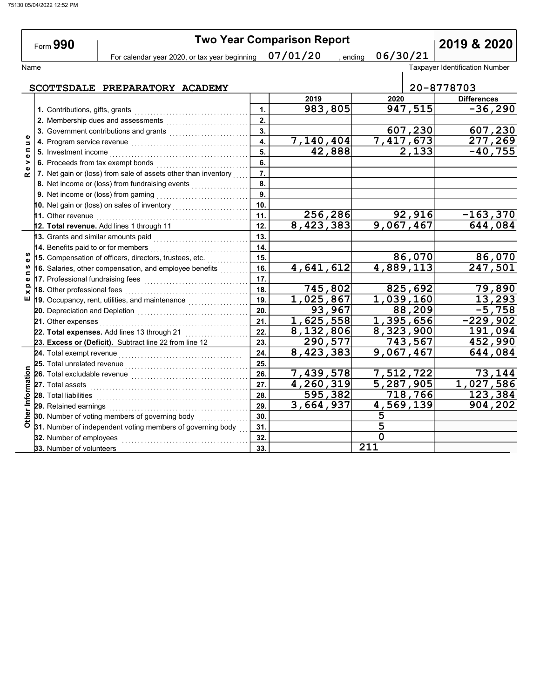|                             | Form 990                            |                                                                                                                                                                                                                                |                  | <b>Two Year Comparison Report</b> |          |                | 2019 & 2020                           |
|-----------------------------|-------------------------------------|--------------------------------------------------------------------------------------------------------------------------------------------------------------------------------------------------------------------------------|------------------|-----------------------------------|----------|----------------|---------------------------------------|
|                             |                                     | For calendar year 2020, or tax year beginning $07/01/20$                                                                                                                                                                       |                  |                                   | , ending | 06/30/21       |                                       |
| Name                        |                                     |                                                                                                                                                                                                                                |                  |                                   |          |                | <b>Taxpayer Identification Number</b> |
|                             |                                     |                                                                                                                                                                                                                                |                  |                                   |          |                |                                       |
|                             |                                     | SCOTTSDALE PREPARATORY ACADEMY                                                                                                                                                                                                 |                  |                                   |          |                | 20-8778703                            |
|                             |                                     |                                                                                                                                                                                                                                |                  | 2019                              |          | 2020           | <b>Differences</b>                    |
|                             | 1. Contributions, gifts, grants     |                                                                                                                                                                                                                                | 1.               |                                   | 983,805  | 947,515        | $-36,290$                             |
|                             |                                     | 2. Membership dues and assessments [111] [11] Membership dues and assessments [11] [11] Membership and Membership and Membership and Membership and Membership and Membership and Membership and Membership and Membership and | 2.               |                                   |          |                |                                       |
| Φ                           |                                     | 3. Government contributions and grants                                                                                                                                                                                         | 3.               |                                   |          | 607, 230       | 607,230                               |
| $\Rightarrow$               |                                     |                                                                                                                                                                                                                                | $\overline{4}$ . | 7,140,404                         |          | 7,417,673      | 277,269                               |
| $\blacksquare$<br>$\bullet$ | 5. Investment income                |                                                                                                                                                                                                                                | 5.               |                                   | 42,888   | 2,133          | $-40,755$                             |
| ><br>$\bullet$              |                                     | 6. Proceeds from tax exempt bonds                                                                                                                                                                                              | 6.               |                                   |          |                |                                       |
| œ                           |                                     | 7. Net gain or (loss) from sale of assets other than inventory                                                                                                                                                                 | 7.               |                                   |          |                |                                       |
|                             |                                     | 8. Net income or (loss) from fundraising events <i>minimizing</i> .                                                                                                                                                            | 8.               |                                   |          |                |                                       |
|                             |                                     |                                                                                                                                                                                                                                | $\overline{9}$ . |                                   |          |                |                                       |
|                             |                                     | 10. Net gain or (loss) on sales of inventory with a subsequence of the $\sim$                                                                                                                                                  | 10.              |                                   |          |                |                                       |
|                             |                                     |                                                                                                                                                                                                                                | 11.              |                                   | 256, 286 | 92,916         | $-163,370$                            |
|                             |                                     | 12. Total revenue. Add lines 1 through 11                                                                                                                                                                                      | 12.              | 8,423,383                         |          | 9,067,467      | 644,084                               |
|                             |                                     | 13. Grants and similar amounts paid                                                                                                                                                                                            | 13.              |                                   |          |                |                                       |
|                             | 14. Benefits paid to or for members |                                                                                                                                                                                                                                | 14.              |                                   |          |                |                                       |
|                             |                                     | 15. Compensation of officers, directors, trustees, etc.                                                                                                                                                                        | 15.              |                                   |          | 86,070         | 86,070                                |
| c                           |                                     | 16. Salaries, other compensation, and employee benefits                                                                                                                                                                        | 16.              | 4,641,612                         |          | 4,889,113      | 247,501                               |
| Ф                           | 17. Professional fundraising fees   |                                                                                                                                                                                                                                | 17.              |                                   |          |                |                                       |
| Ω<br>×                      | 18. Other professional fees         |                                                                                                                                                                                                                                | 18.              |                                   | 745,802  | 825,692        | 79,890                                |
| ш                           |                                     | 19. Occupancy, rent, utilities, and maintenance                                                                                                                                                                                | 19.              | 1,025,867                         |          | 1,039,160      | 13,293                                |
|                             |                                     |                                                                                                                                                                                                                                | 20.              |                                   | 93,967   | 88,209         | $-5,758$                              |
|                             | 21. Other expenses                  |                                                                                                                                                                                                                                | 21.              | 1,625,558                         |          | 1,395,656      | $-229,902$                            |
|                             |                                     | 22. Total expenses. Add lines 13 through 21                                                                                                                                                                                    | 22.              | 8,132,806                         |          | 8,323,900      | 191,094                               |
|                             |                                     | 23. Excess or (Deficit). Subtract line 22 from line 12                                                                                                                                                                         | 23.              |                                   | 290,577  | 743,567        | 452,990                               |
|                             | 24. Total exempt revenue            |                                                                                                                                                                                                                                | 24.              | 8,423,383                         |          | 9,067,467      | 644,084                               |
|                             | 25. Total unrelated revenue         |                                                                                                                                                                                                                                | 25.              |                                   |          |                |                                       |
| latiol                      |                                     | 26. Total excludable revenue                                                                                                                                                                                                   | 26.              | 7,439,578                         |          | 7,512,722      | 73,144                                |
|                             | <b>27.</b> Total assets             |                                                                                                                                                                                                                                | 27.              | 4,260,319                         |          | 5,287,905      | 1,027,586                             |
|                             | 28. Total liabilities               |                                                                                                                                                                                                                                | 28.              |                                   | 595,382  | 718,766        | 123,384                               |
| Other Inform                |                                     | 29. Retained earnings <b>construction</b> and all and all and all and all and all and all and all and all and all and a                                                                                                        | 29.              | 3,664,937                         |          | 4,569,139      | 904,202                               |
|                             |                                     | 30. Number of voting members of governing body                                                                                                                                                                                 | 30.              |                                   |          | 5              |                                       |
|                             |                                     | 31. Number of independent voting members of governing body                                                                                                                                                                     | 31.              |                                   |          | 5              |                                       |
|                             | 32. Number of employees             |                                                                                                                                                                                                                                | 32.              |                                   |          | $\overline{0}$ |                                       |
|                             | 33. Number of volunteers            |                                                                                                                                                                                                                                | 33.              |                                   |          | 211            |                                       |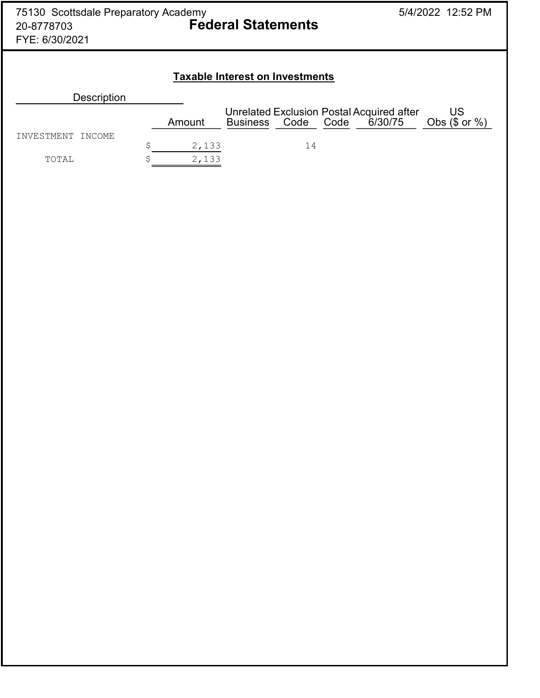| 75130 Scottsdale Preparatory Academy<br>20-8778703<br>FYE: 6/30/2021 |             | <b>Federal Statements</b>              |      |      |                                                      | 5/4/2022 12:52 PM   |
|----------------------------------------------------------------------|-------------|----------------------------------------|------|------|------------------------------------------------------|---------------------|
|                                                                      |             | <b>Taxable Interest on Investments</b> |      |      |                                                      |                     |
| <b>Description</b>                                                   |             |                                        |      |      |                                                      |                     |
|                                                                      | Amount      | <b>Business</b>                        | Code | Code | Unrelated Exclusion Postal Acquired after<br>6/30/75 | US<br>Obs $($or %)$ |
| INVESTMENT<br>INCOME                                                 |             |                                        |      |      |                                                      |                     |
|                                                                      | \$<br>2,133 |                                        | 14   |      |                                                      |                     |
| TOTAL                                                                | \$<br>2,133 |                                        |      |      |                                                      |                     |
|                                                                      |             |                                        |      |      |                                                      |                     |